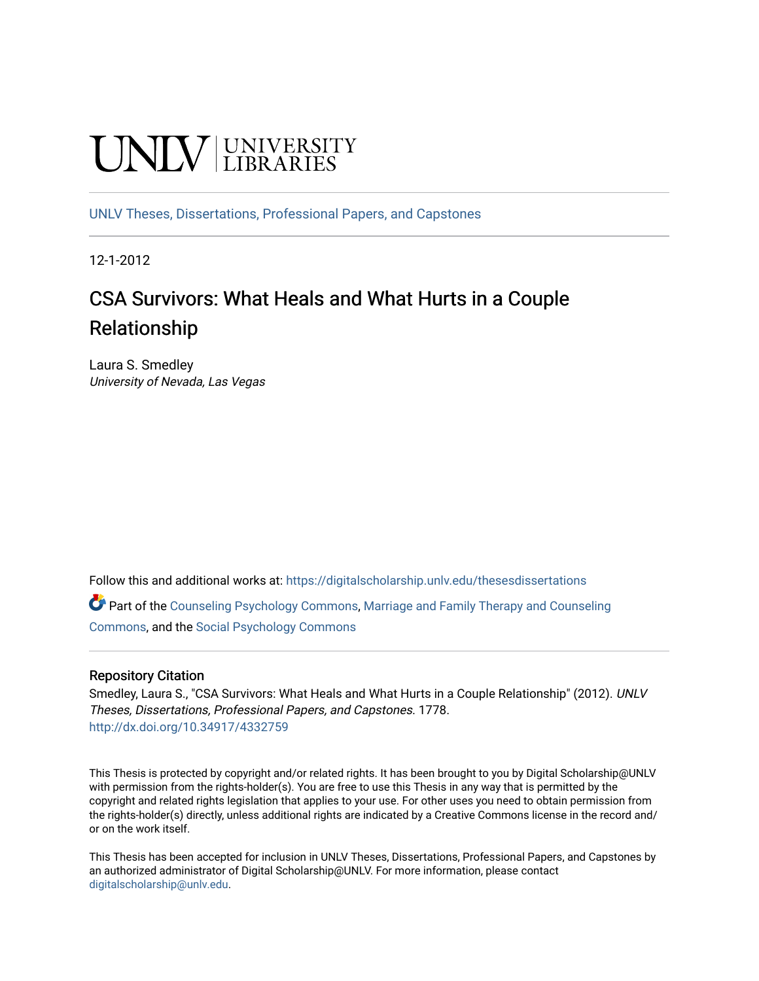# **UNIVERSITY**

[UNLV Theses, Dissertations, Professional Papers, and Capstones](https://digitalscholarship.unlv.edu/thesesdissertations)

12-1-2012

# CSA Survivors: What Heals and What Hurts in a Couple Relationship

Laura S. Smedley University of Nevada, Las Vegas

Follow this and additional works at: [https://digitalscholarship.unlv.edu/thesesdissertations](https://digitalscholarship.unlv.edu/thesesdissertations?utm_source=digitalscholarship.unlv.edu%2Fthesesdissertations%2F1778&utm_medium=PDF&utm_campaign=PDFCoverPages)

Part of the [Counseling Psychology Commons](http://network.bepress.com/hgg/discipline/1044?utm_source=digitalscholarship.unlv.edu%2Fthesesdissertations%2F1778&utm_medium=PDF&utm_campaign=PDFCoverPages), [Marriage and Family Therapy and Counseling](http://network.bepress.com/hgg/discipline/715?utm_source=digitalscholarship.unlv.edu%2Fthesesdissertations%2F1778&utm_medium=PDF&utm_campaign=PDFCoverPages) [Commons](http://network.bepress.com/hgg/discipline/715?utm_source=digitalscholarship.unlv.edu%2Fthesesdissertations%2F1778&utm_medium=PDF&utm_campaign=PDFCoverPages), and the [Social Psychology Commons](http://network.bepress.com/hgg/discipline/414?utm_source=digitalscholarship.unlv.edu%2Fthesesdissertations%2F1778&utm_medium=PDF&utm_campaign=PDFCoverPages)

#### Repository Citation

Smedley, Laura S., "CSA Survivors: What Heals and What Hurts in a Couple Relationship" (2012). UNLV Theses, Dissertations, Professional Papers, and Capstones. 1778. <http://dx.doi.org/10.34917/4332759>

This Thesis is protected by copyright and/or related rights. It has been brought to you by Digital Scholarship@UNLV with permission from the rights-holder(s). You are free to use this Thesis in any way that is permitted by the copyright and related rights legislation that applies to your use. For other uses you need to obtain permission from the rights-holder(s) directly, unless additional rights are indicated by a Creative Commons license in the record and/ or on the work itself.

This Thesis has been accepted for inclusion in UNLV Theses, Dissertations, Professional Papers, and Capstones by an authorized administrator of Digital Scholarship@UNLV. For more information, please contact [digitalscholarship@unlv.edu](mailto:digitalscholarship@unlv.edu).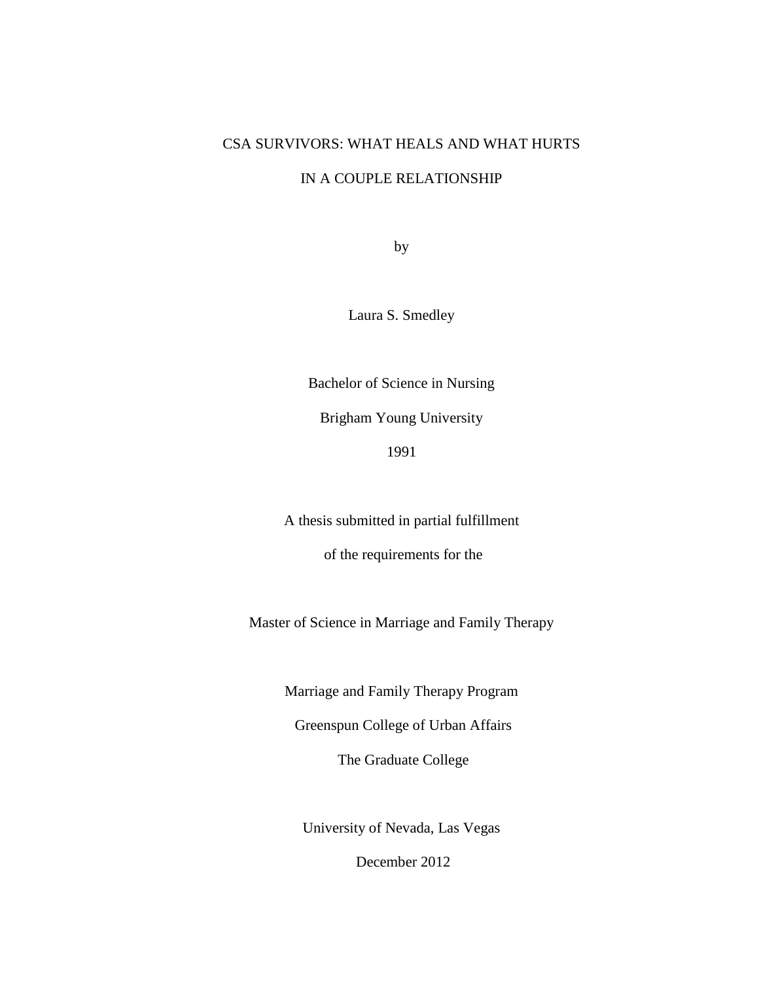# CSA SURVIVORS: WHAT HEALS AND WHAT HURTS

# IN A COUPLE RELATIONSHIP

by

Laura S. Smedley

Bachelor of Science in Nursing

Brigham Young University

1991

A thesis submitted in partial fulfillment

of the requirements for the

Master of Science in Marriage and Family Therapy

Marriage and Family Therapy Program

Greenspun College of Urban Affairs

The Graduate College

University of Nevada, Las Vegas

December 2012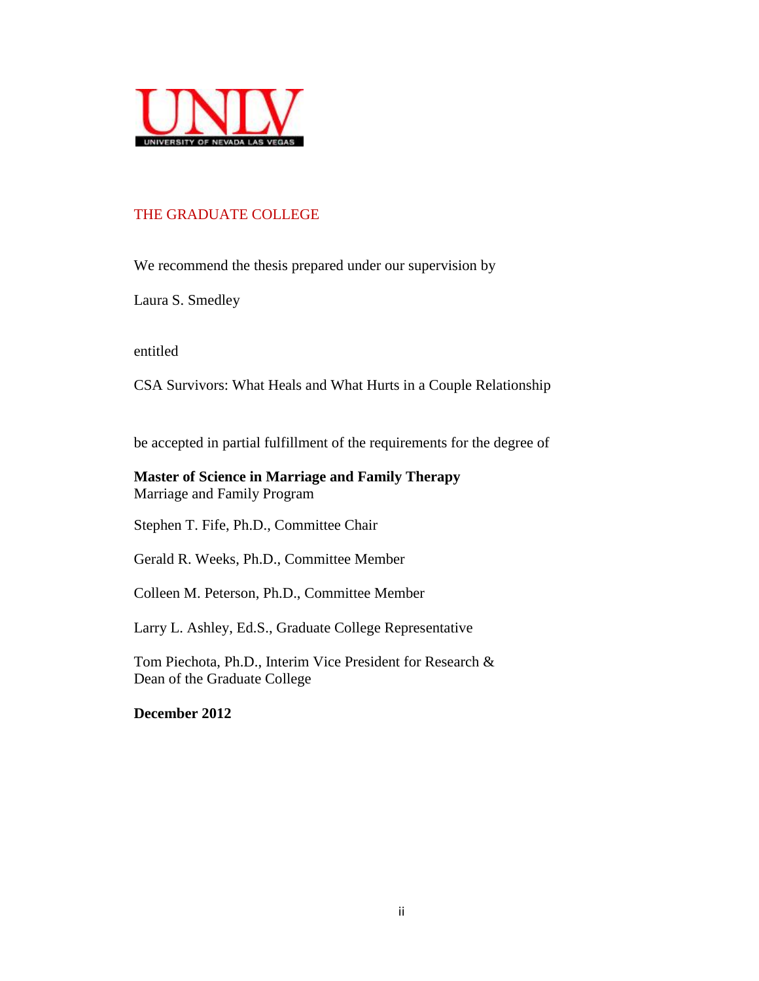

# THE GRADUATE COLLEGE

We recommend the thesis prepared under our supervision by

Laura S. Smedley

entitled

CSA Survivors: What Heals and What Hurts in a Couple Relationship

be accepted in partial fulfillment of the requirements for the degree of

## **Master of Science in Marriage and Family Therapy** Marriage and Family Program

Stephen T. Fife, Ph.D., Committee Chair

Gerald R. Weeks, Ph.D., Committee Member

Colleen M. Peterson, Ph.D., Committee Member

Larry L. Ashley, Ed.S., Graduate College Representative

Tom Piechota, Ph.D., Interim Vice President for Research & Dean of the Graduate College

<span id="page-2-0"></span>**December 2012**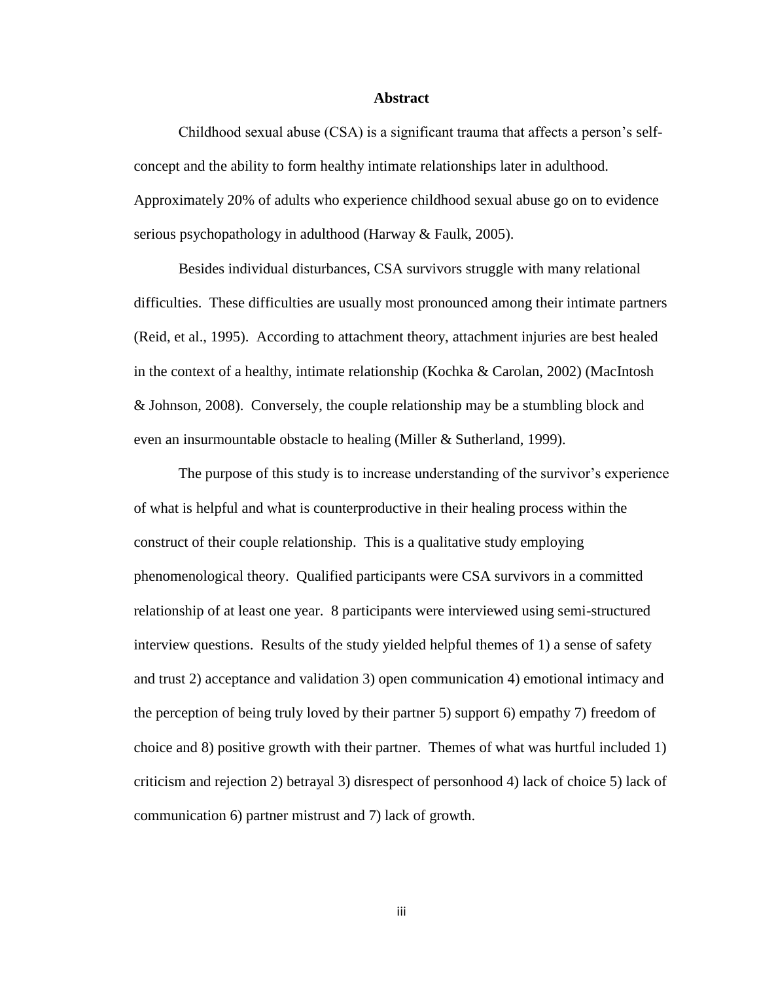#### **Abstract**

Childhood sexual abuse (CSA) is a significant trauma that affects a person's selfconcept and the ability to form healthy intimate relationships later in adulthood. Approximately 20% of adults who experience childhood sexual abuse go on to evidence serious psychopathology in adulthood (Harway & Faulk, 2005).

Besides individual disturbances, CSA survivors struggle with many relational difficulties. These difficulties are usually most pronounced among their intimate partners (Reid, et al., 1995). According to attachment theory, attachment injuries are best healed in the context of a healthy, intimate relationship (Kochka & Carolan, 2002) (MacIntosh & Johnson, 2008). Conversely, the couple relationship may be a stumbling block and even an insurmountable obstacle to healing (Miller & Sutherland, 1999).

The purpose of this study is to increase understanding of the survivor's experience of what is helpful and what is counterproductive in their healing process within the construct of their couple relationship. This is a qualitative study employing phenomenological theory. Qualified participants were CSA survivors in a committed relationship of at least one year. 8 participants were interviewed using semi-structured interview questions. Results of the study yielded helpful themes of 1) a sense of safety and trust 2) acceptance and validation 3) open communication 4) emotional intimacy and the perception of being truly loved by their partner 5) support 6) empathy 7) freedom of choice and 8) positive growth with their partner. Themes of what was hurtful included 1) criticism and rejection 2) betrayal 3) disrespect of personhood 4) lack of choice 5) lack of communication 6) partner mistrust and 7) lack of growth.

iii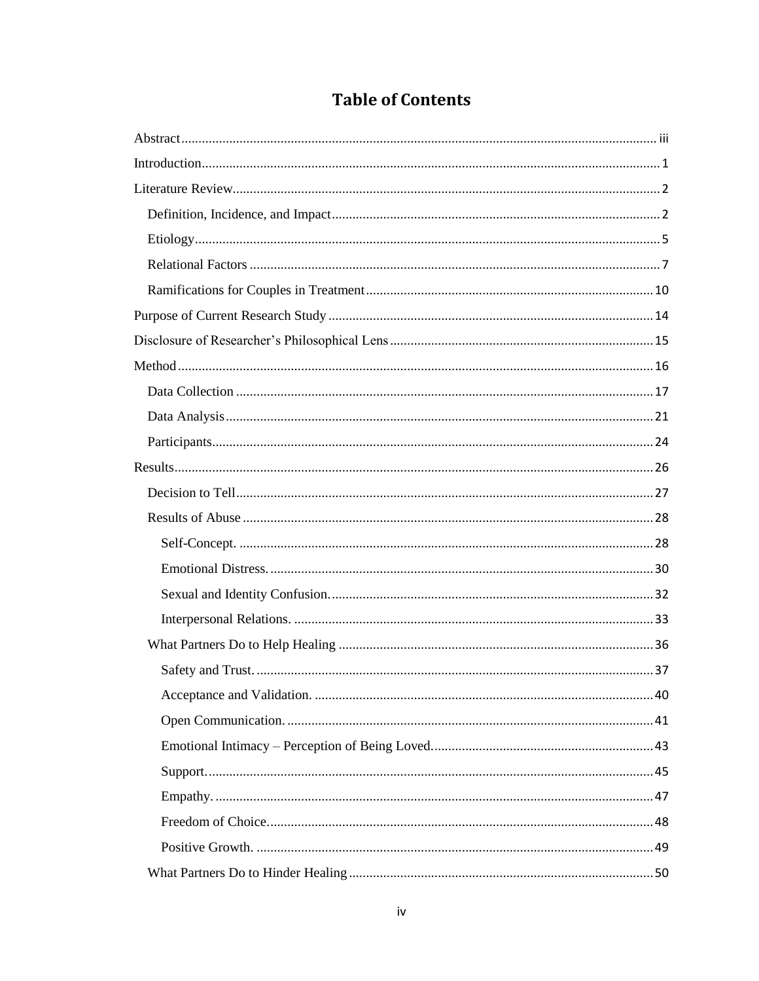|  | <b>Table of Contents</b> |
|--|--------------------------|
|--|--------------------------|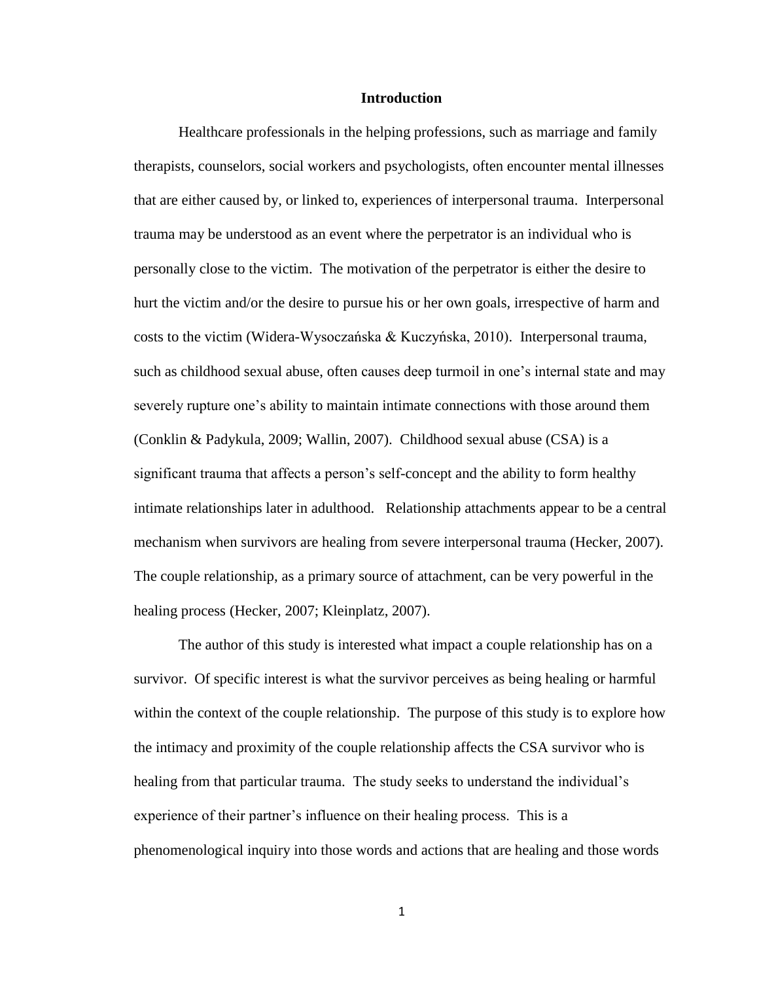#### **Introduction**

<span id="page-6-0"></span>Healthcare professionals in the helping professions, such as marriage and family therapists, counselors, social workers and psychologists, often encounter mental illnesses that are either caused by, or linked to, experiences of interpersonal trauma. Interpersonal trauma may be understood as an event where the perpetrator is an individual who is personally close to the victim. The motivation of the perpetrator is either the desire to hurt the victim and/or the desire to pursue his or her own goals, irrespective of harm and costs to the victim (Widera-Wysoczańska & Kuczyńska, 2010). Interpersonal trauma, such as childhood sexual abuse, often causes deep turmoil in one's internal state and may severely rupture one's ability to maintain intimate connections with those around them (Conklin & Padykula, 2009; Wallin, 2007). Childhood sexual abuse (CSA) is a significant trauma that affects a person's self-concept and the ability to form healthy intimate relationships later in adulthood. Relationship attachments appear to be a central mechanism when survivors are healing from severe interpersonal trauma (Hecker, 2007). The couple relationship, as a primary source of attachment, can be very powerful in the healing process (Hecker, 2007; Kleinplatz, 2007).

The author of this study is interested what impact a couple relationship has on a survivor. Of specific interest is what the survivor perceives as being healing or harmful within the context of the couple relationship. The purpose of this study is to explore how the intimacy and proximity of the couple relationship affects the CSA survivor who is healing from that particular trauma. The study seeks to understand the individual's experience of their partner's influence on their healing process. This is a phenomenological inquiry into those words and actions that are healing and those words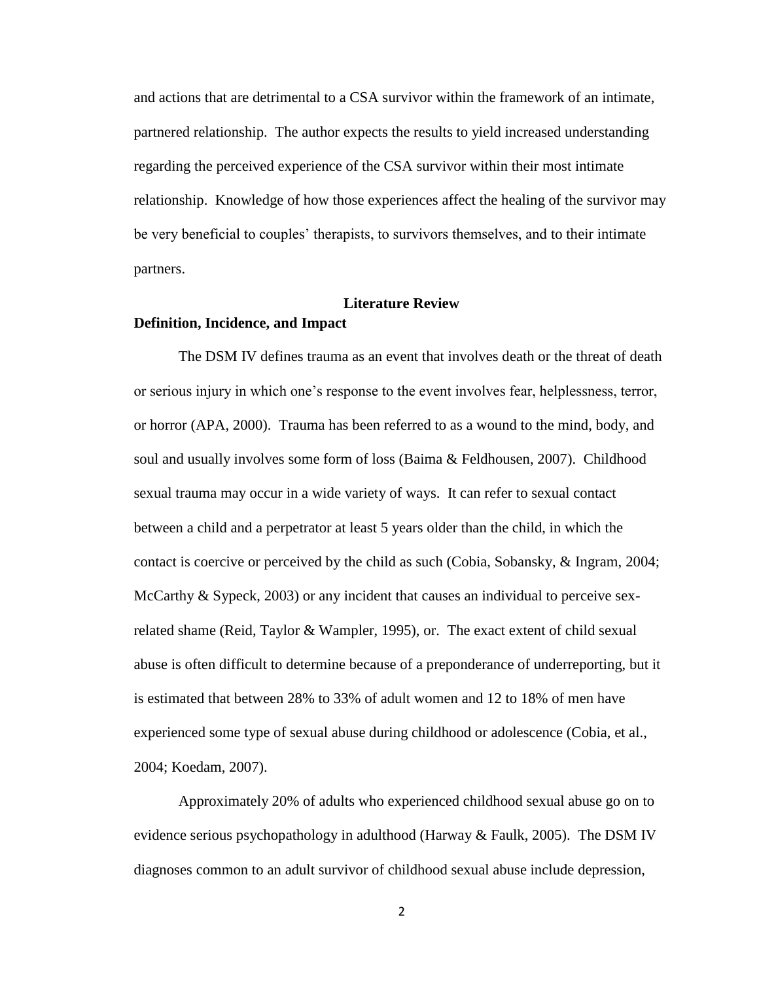and actions that are detrimental to a CSA survivor within the framework of an intimate, partnered relationship. The author expects the results to yield increased understanding regarding the perceived experience of the CSA survivor within their most intimate relationship. Knowledge of how those experiences affect the healing of the survivor may be very beneficial to couples' therapists, to survivors themselves, and to their intimate partners.

#### **Literature Review**

#### <span id="page-7-1"></span><span id="page-7-0"></span>**Definition, Incidence, and Impact**

The DSM IV defines trauma as an event that involves death or the threat of death or serious injury in which one's response to the event involves fear, helplessness, terror, or horror (APA, 2000). Trauma has been referred to as a wound to the mind, body, and soul and usually involves some form of loss (Baima & Feldhousen, 2007). Childhood sexual trauma may occur in a wide variety of ways. It can refer to sexual contact between a child and a perpetrator at least 5 years older than the child, in which the contact is coercive or perceived by the child as such (Cobia, Sobansky, & Ingram, 2004; McCarthy & Sypeck, 2003) or any incident that causes an individual to perceive sexrelated shame (Reid, Taylor & Wampler, 1995), or. The exact extent of child sexual abuse is often difficult to determine because of a preponderance of underreporting, but it is estimated that between 28% to 33% of adult women and 12 to 18% of men have experienced some type of sexual abuse during childhood or adolescence (Cobia, et al., 2004; Koedam, 2007).

Approximately 20% of adults who experienced childhood sexual abuse go on to evidence serious psychopathology in adulthood (Harway & Faulk, 2005). The DSM IV diagnoses common to an adult survivor of childhood sexual abuse include depression,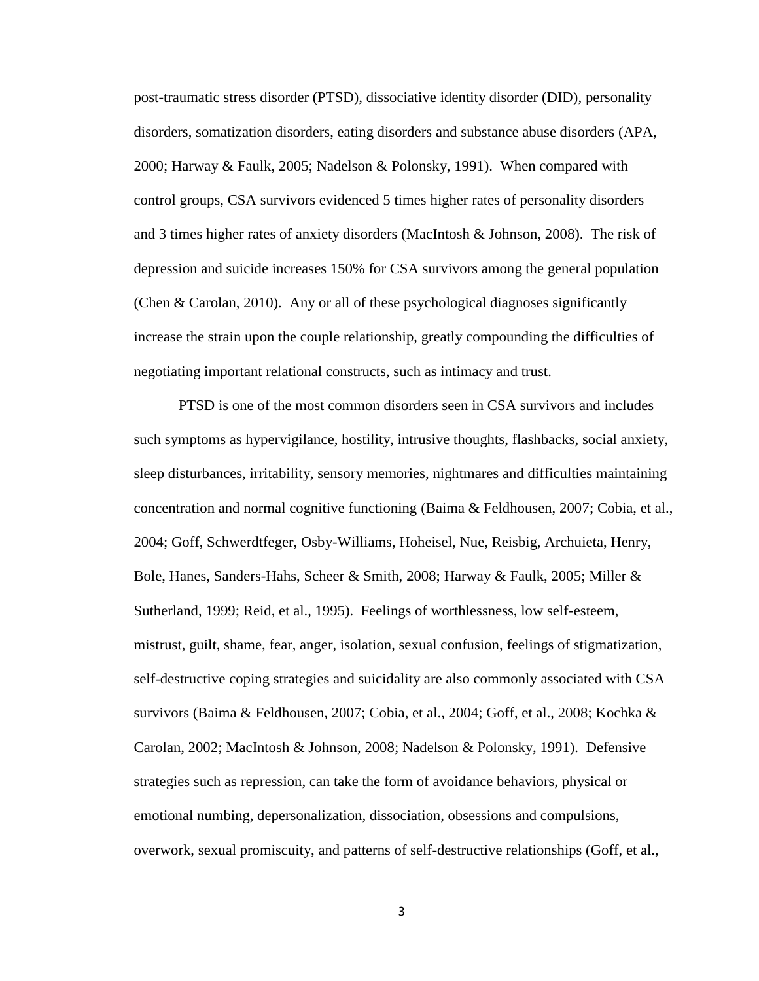post-traumatic stress disorder (PTSD), dissociative identity disorder (DID), personality disorders, somatization disorders, eating disorders and substance abuse disorders (APA, 2000; Harway & Faulk, 2005; Nadelson & Polonsky, 1991). When compared with control groups, CSA survivors evidenced 5 times higher rates of personality disorders and 3 times higher rates of anxiety disorders (MacIntosh & Johnson, 2008). The risk of depression and suicide increases 150% for CSA survivors among the general population (Chen & Carolan, 2010). Any or all of these psychological diagnoses significantly increase the strain upon the couple relationship, greatly compounding the difficulties of negotiating important relational constructs, such as intimacy and trust.

PTSD is one of the most common disorders seen in CSA survivors and includes such symptoms as hypervigilance, hostility, intrusive thoughts, flashbacks, social anxiety, sleep disturbances, irritability, sensory memories, nightmares and difficulties maintaining concentration and normal cognitive functioning (Baima & Feldhousen, 2007; Cobia, et al., 2004; Goff, Schwerdtfeger, Osby-Williams, Hoheisel, Nue, Reisbig, Archuieta, Henry, Bole, Hanes, Sanders-Hahs, Scheer & Smith, 2008; Harway & Faulk, 2005; Miller & Sutherland, 1999; Reid, et al., 1995). Feelings of worthlessness, low self-esteem, mistrust, guilt, shame, fear, anger, isolation, sexual confusion, feelings of stigmatization, self-destructive coping strategies and suicidality are also commonly associated with CSA survivors (Baima & Feldhousen, 2007; Cobia, et al., 2004; Goff, et al., 2008; Kochka & Carolan, 2002; MacIntosh & Johnson, 2008; Nadelson & Polonsky, 1991). Defensive strategies such as repression, can take the form of avoidance behaviors, physical or emotional numbing, depersonalization, dissociation, obsessions and compulsions, overwork, sexual promiscuity, and patterns of self-destructive relationships (Goff, et al.,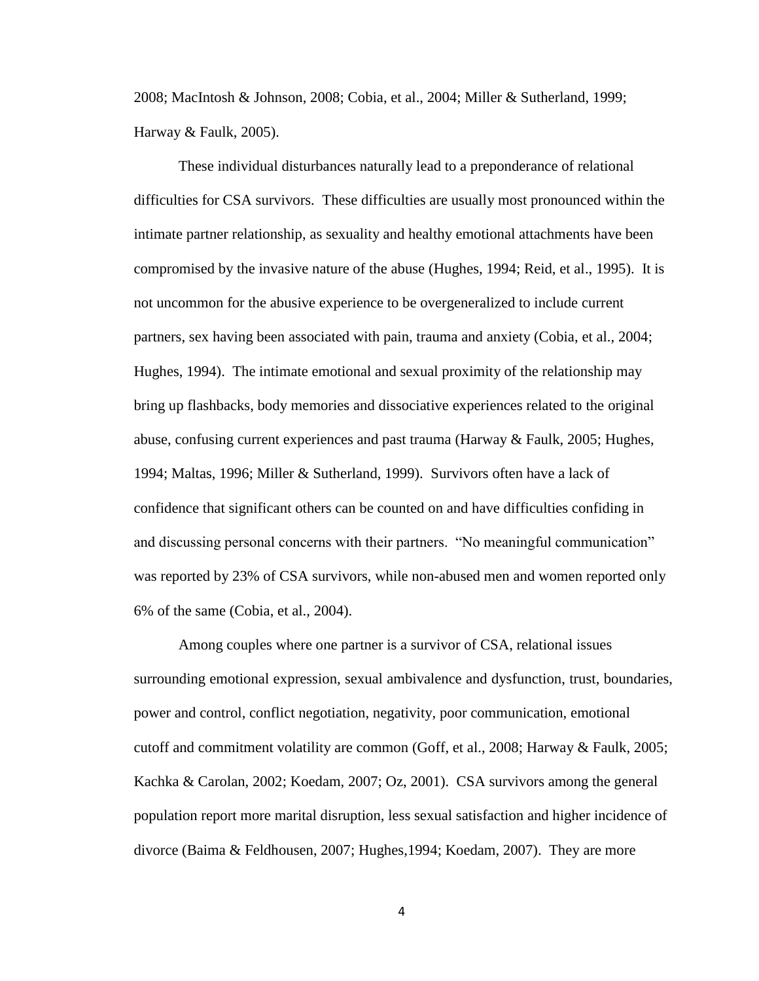2008; MacIntosh & Johnson, 2008; Cobia, et al., 2004; Miller & Sutherland, 1999; Harway & Faulk, 2005).

These individual disturbances naturally lead to a preponderance of relational difficulties for CSA survivors. These difficulties are usually most pronounced within the intimate partner relationship, as sexuality and healthy emotional attachments have been compromised by the invasive nature of the abuse (Hughes, 1994; Reid, et al., 1995). It is not uncommon for the abusive experience to be overgeneralized to include current partners, sex having been associated with pain, trauma and anxiety (Cobia, et al., 2004; Hughes, 1994). The intimate emotional and sexual proximity of the relationship may bring up flashbacks, body memories and dissociative experiences related to the original abuse, confusing current experiences and past trauma (Harway & Faulk, 2005; Hughes, 1994; Maltas, 1996; Miller & Sutherland, 1999). Survivors often have a lack of confidence that significant others can be counted on and have difficulties confiding in and discussing personal concerns with their partners. "No meaningful communication" was reported by 23% of CSA survivors, while non-abused men and women reported only 6% of the same (Cobia, et al., 2004).

Among couples where one partner is a survivor of CSA, relational issues surrounding emotional expression, sexual ambivalence and dysfunction, trust, boundaries, power and control, conflict negotiation, negativity, poor communication, emotional cutoff and commitment volatility are common (Goff, et al., 2008; Harway & Faulk, 2005; Kachka & Carolan, 2002; Koedam, 2007; Oz, 2001). CSA survivors among the general population report more marital disruption, less sexual satisfaction and higher incidence of divorce (Baima & Feldhousen, 2007; Hughes,1994; Koedam, 2007). They are more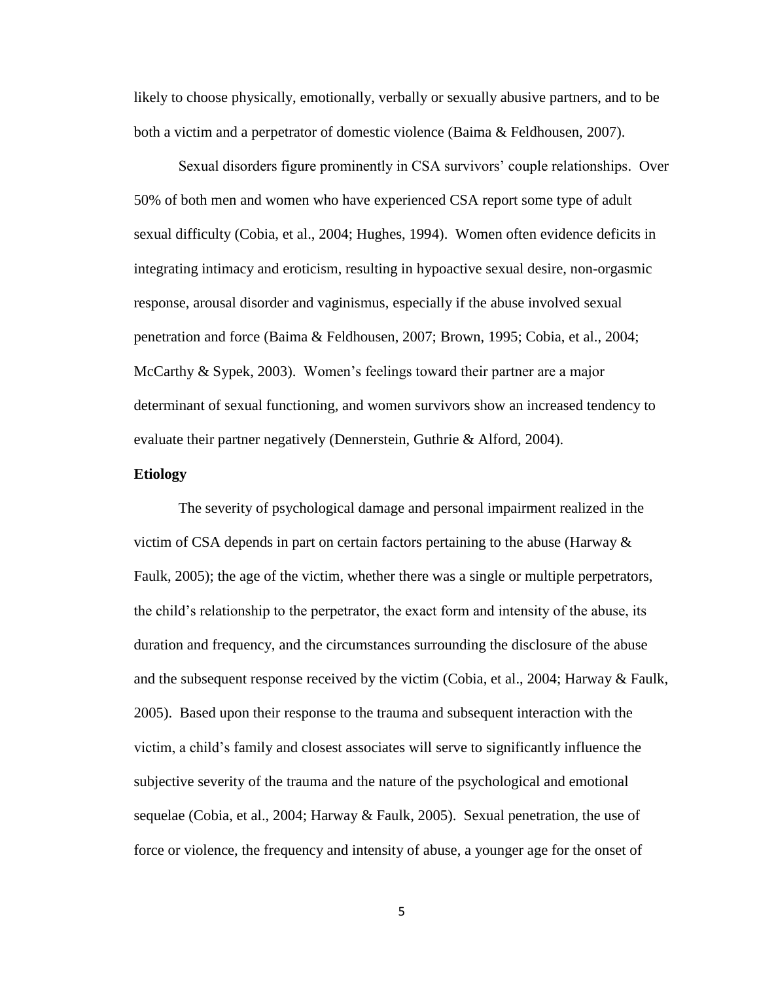likely to choose physically, emotionally, verbally or sexually abusive partners, and to be both a victim and a perpetrator of domestic violence (Baima & Feldhousen, 2007).

Sexual disorders figure prominently in CSA survivors' couple relationships. Over 50% of both men and women who have experienced CSA report some type of adult sexual difficulty (Cobia, et al., 2004; Hughes, 1994). Women often evidence deficits in integrating intimacy and eroticism, resulting in hypoactive sexual desire, non-orgasmic response, arousal disorder and vaginismus, especially if the abuse involved sexual penetration and force (Baima & Feldhousen, 2007; Brown, 1995; Cobia, et al., 2004; McCarthy & Sypek, 2003). Women's feelings toward their partner are a major determinant of sexual functioning, and women survivors show an increased tendency to evaluate their partner negatively (Dennerstein, Guthrie & Alford, 2004).

#### <span id="page-10-0"></span>**Etiology**

The severity of psychological damage and personal impairment realized in the victim of CSA depends in part on certain factors pertaining to the abuse (Harway  $\&$ Faulk, 2005); the age of the victim, whether there was a single or multiple perpetrators, the child's relationship to the perpetrator, the exact form and intensity of the abuse, its duration and frequency, and the circumstances surrounding the disclosure of the abuse and the subsequent response received by the victim (Cobia, et al., 2004; Harway & Faulk, 2005). Based upon their response to the trauma and subsequent interaction with the victim, a child's family and closest associates will serve to significantly influence the subjective severity of the trauma and the nature of the psychological and emotional sequelae (Cobia, et al., 2004; Harway & Faulk, 2005). Sexual penetration, the use of force or violence, the frequency and intensity of abuse, a younger age for the onset of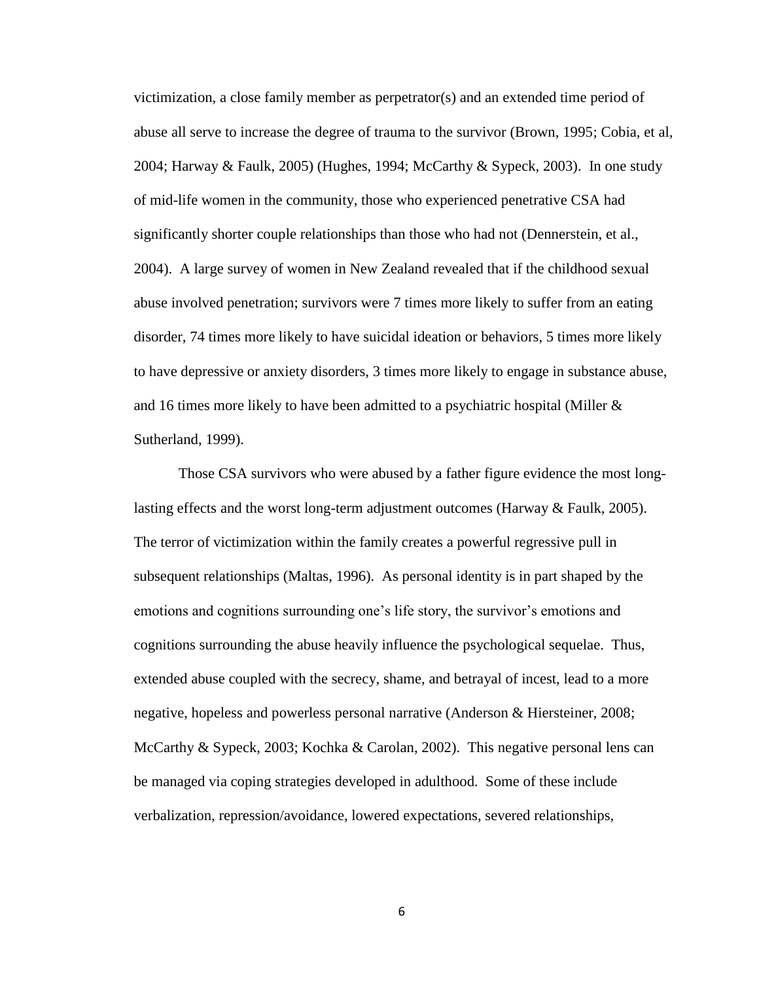victimization, a close family member as perpetrator(s) and an extended time period of abuse all serve to increase the degree of trauma to the survivor (Brown, 1995; Cobia, et al, 2004; Harway & Faulk, 2005) (Hughes, 1994; McCarthy & Sypeck, 2003). In one study of mid-life women in the community, those who experienced penetrative CSA had significantly shorter couple relationships than those who had not (Dennerstein, et al., 2004). A large survey of women in New Zealand revealed that if the childhood sexual abuse involved penetration; survivors were 7 times more likely to suffer from an eating disorder, 74 times more likely to have suicidal ideation or behaviors, 5 times more likely to have depressive or anxiety disorders, 3 times more likely to engage in substance abuse, and 16 times more likely to have been admitted to a psychiatric hospital (Miller  $\&$ Sutherland, 1999).

Those CSA survivors who were abused by a father figure evidence the most longlasting effects and the worst long-term adjustment outcomes (Harway & Faulk, 2005). The terror of victimization within the family creates a powerful regressive pull in subsequent relationships (Maltas, 1996). As personal identity is in part shaped by the emotions and cognitions surrounding one's life story, the survivor's emotions and cognitions surrounding the abuse heavily influence the psychological sequelae. Thus, extended abuse coupled with the secrecy, shame, and betrayal of incest, lead to a more negative, hopeless and powerless personal narrative (Anderson & Hiersteiner, 2008; McCarthy & Sypeck, 2003; Kochka & Carolan, 2002). This negative personal lens can be managed via coping strategies developed in adulthood. Some of these include verbalization, repression/avoidance, lowered expectations, severed relationships,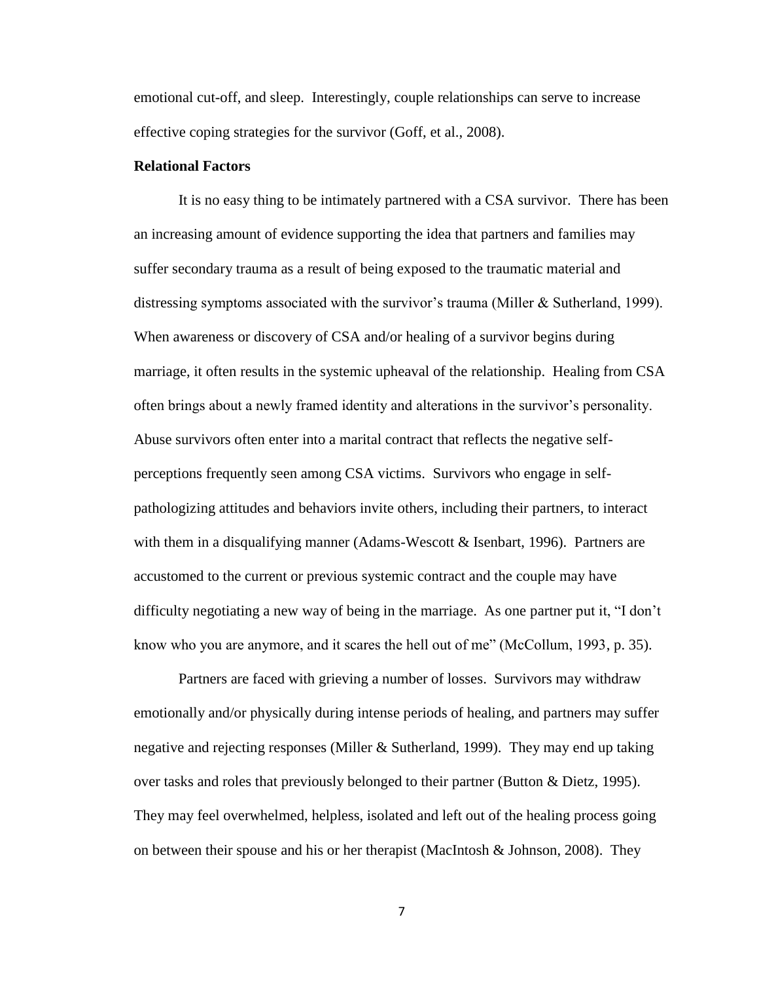emotional cut-off, and sleep. Interestingly, couple relationships can serve to increase effective coping strategies for the survivor (Goff, et al., 2008).

#### <span id="page-12-0"></span>**Relational Factors**

It is no easy thing to be intimately partnered with a CSA survivor. There has been an increasing amount of evidence supporting the idea that partners and families may suffer secondary trauma as a result of being exposed to the traumatic material and distressing symptoms associated with the survivor's trauma (Miller  $&$  Sutherland, 1999). When awareness or discovery of CSA and/or healing of a survivor begins during marriage, it often results in the systemic upheaval of the relationship. Healing from CSA often brings about a newly framed identity and alterations in the survivor's personality. Abuse survivors often enter into a marital contract that reflects the negative selfperceptions frequently seen among CSA victims. Survivors who engage in selfpathologizing attitudes and behaviors invite others, including their partners, to interact with them in a disqualifying manner (Adams-Wescott & Isenbart, 1996). Partners are accustomed to the current or previous systemic contract and the couple may have difficulty negotiating a new way of being in the marriage. As one partner put it, "I don't know who you are anymore, and it scares the hell out of me" (McCollum, 1993, p. 35).

Partners are faced with grieving a number of losses. Survivors may withdraw emotionally and/or physically during intense periods of healing, and partners may suffer negative and rejecting responses (Miller & Sutherland, 1999). They may end up taking over tasks and roles that previously belonged to their partner (Button & Dietz, 1995). They may feel overwhelmed, helpless, isolated and left out of the healing process going on between their spouse and his or her therapist (MacIntosh & Johnson, 2008). They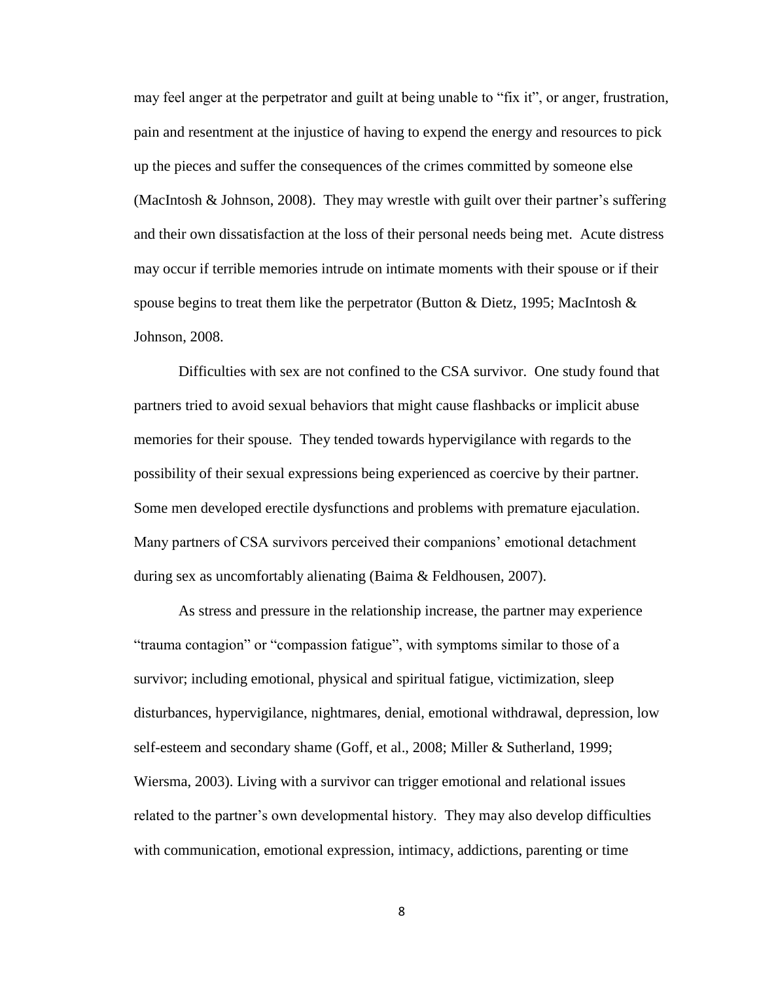may feel anger at the perpetrator and guilt at being unable to "fix it", or anger, frustration, pain and resentment at the injustice of having to expend the energy and resources to pick up the pieces and suffer the consequences of the crimes committed by someone else (MacIntosh & Johnson, 2008). They may wrestle with guilt over their partner's suffering and their own dissatisfaction at the loss of their personal needs being met. Acute distress may occur if terrible memories intrude on intimate moments with their spouse or if their spouse begins to treat them like the perpetrator (Button & Dietz, 1995; MacIntosh & Johnson, 2008.

Difficulties with sex are not confined to the CSA survivor. One study found that partners tried to avoid sexual behaviors that might cause flashbacks or implicit abuse memories for their spouse. They tended towards hypervigilance with regards to the possibility of their sexual expressions being experienced as coercive by their partner. Some men developed erectile dysfunctions and problems with premature ejaculation. Many partners of CSA survivors perceived their companions' emotional detachment during sex as uncomfortably alienating (Baima & Feldhousen, 2007).

As stress and pressure in the relationship increase, the partner may experience "trauma contagion" or "compassion fatigue", with symptoms similar to those of a survivor; including emotional, physical and spiritual fatigue, victimization, sleep disturbances, hypervigilance, nightmares, denial, emotional withdrawal, depression, low self-esteem and secondary shame (Goff, et al., 2008; Miller & Sutherland, 1999; Wiersma, 2003). Living with a survivor can trigger emotional and relational issues related to the partner's own developmental history. They may also develop difficulties with communication, emotional expression, intimacy, addictions, parenting or time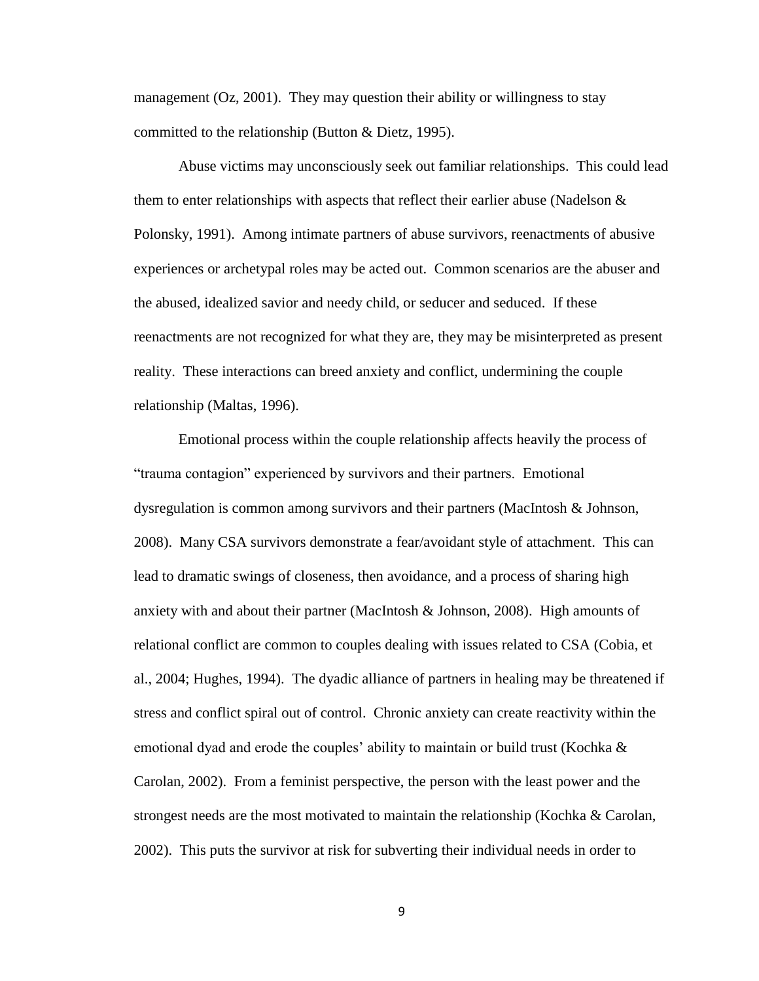management (Oz, 2001). They may question their ability or willingness to stay committed to the relationship (Button & Dietz, 1995).

Abuse victims may unconsciously seek out familiar relationships. This could lead them to enter relationships with aspects that reflect their earlier abuse (Nadelson  $\&$ Polonsky, 1991). Among intimate partners of abuse survivors, reenactments of abusive experiences or archetypal roles may be acted out. Common scenarios are the abuser and the abused, idealized savior and needy child, or seducer and seduced. If these reenactments are not recognized for what they are, they may be misinterpreted as present reality. These interactions can breed anxiety and conflict, undermining the couple relationship (Maltas, 1996).

Emotional process within the couple relationship affects heavily the process of "trauma contagion" experienced by survivors and their partners. Emotional dysregulation is common among survivors and their partners (MacIntosh & Johnson, 2008). Many CSA survivors demonstrate a fear/avoidant style of attachment. This can lead to dramatic swings of closeness, then avoidance, and a process of sharing high anxiety with and about their partner (MacIntosh & Johnson, 2008). High amounts of relational conflict are common to couples dealing with issues related to CSA (Cobia, et al., 2004; Hughes, 1994). The dyadic alliance of partners in healing may be threatened if stress and conflict spiral out of control. Chronic anxiety can create reactivity within the emotional dyad and erode the couples' ability to maintain or build trust (Kochka  $\&$ Carolan, 2002). From a feminist perspective, the person with the least power and the strongest needs are the most motivated to maintain the relationship (Kochka & Carolan, 2002). This puts the survivor at risk for subverting their individual needs in order to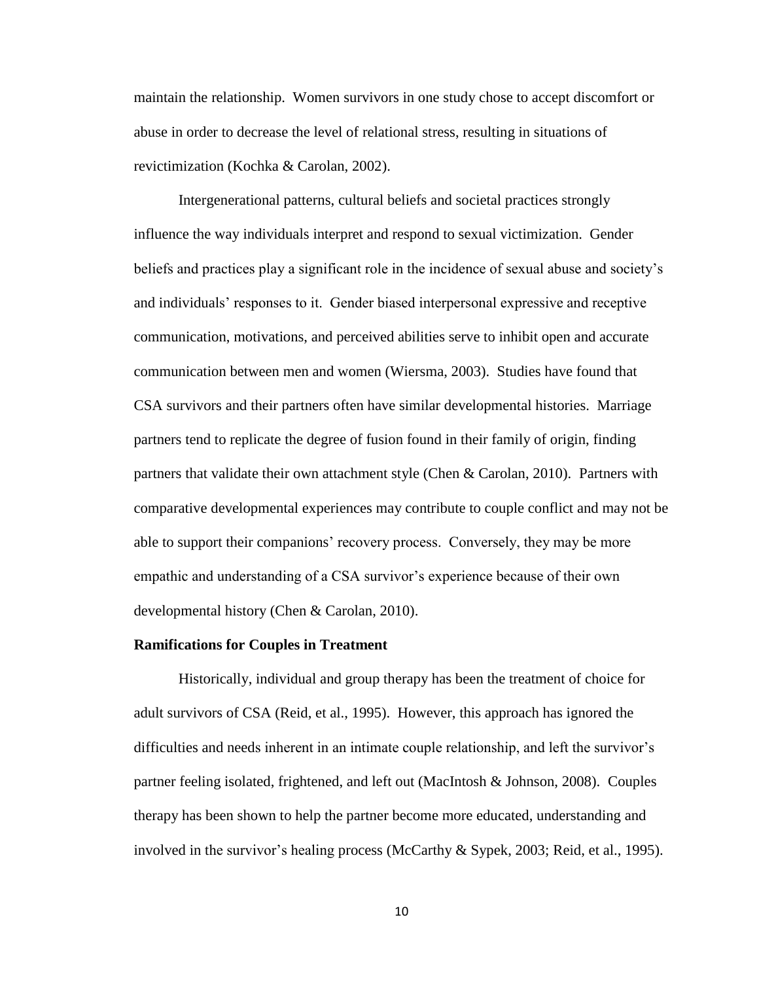maintain the relationship. Women survivors in one study chose to accept discomfort or abuse in order to decrease the level of relational stress, resulting in situations of revictimization (Kochka & Carolan, 2002).

Intergenerational patterns, cultural beliefs and societal practices strongly influence the way individuals interpret and respond to sexual victimization. Gender beliefs and practices play a significant role in the incidence of sexual abuse and society's and individuals' responses to it. Gender biased interpersonal expressive and receptive communication, motivations, and perceived abilities serve to inhibit open and accurate communication between men and women (Wiersma, 2003). Studies have found that CSA survivors and their partners often have similar developmental histories. Marriage partners tend to replicate the degree of fusion found in their family of origin, finding partners that validate their own attachment style (Chen & Carolan, 2010). Partners with comparative developmental experiences may contribute to couple conflict and may not be able to support their companions' recovery process. Conversely, they may be more empathic and understanding of a CSA survivor's experience because of their own developmental history (Chen & Carolan, 2010).

#### <span id="page-15-0"></span>**Ramifications for Couples in Treatment**

Historically, individual and group therapy has been the treatment of choice for adult survivors of CSA (Reid, et al., 1995). However, this approach has ignored the difficulties and needs inherent in an intimate couple relationship, and left the survivor's partner feeling isolated, frightened, and left out (MacIntosh & Johnson, 2008). Couples therapy has been shown to help the partner become more educated, understanding and involved in the survivor's healing process (McCarthy & Sypek, 2003; Reid, et al., 1995).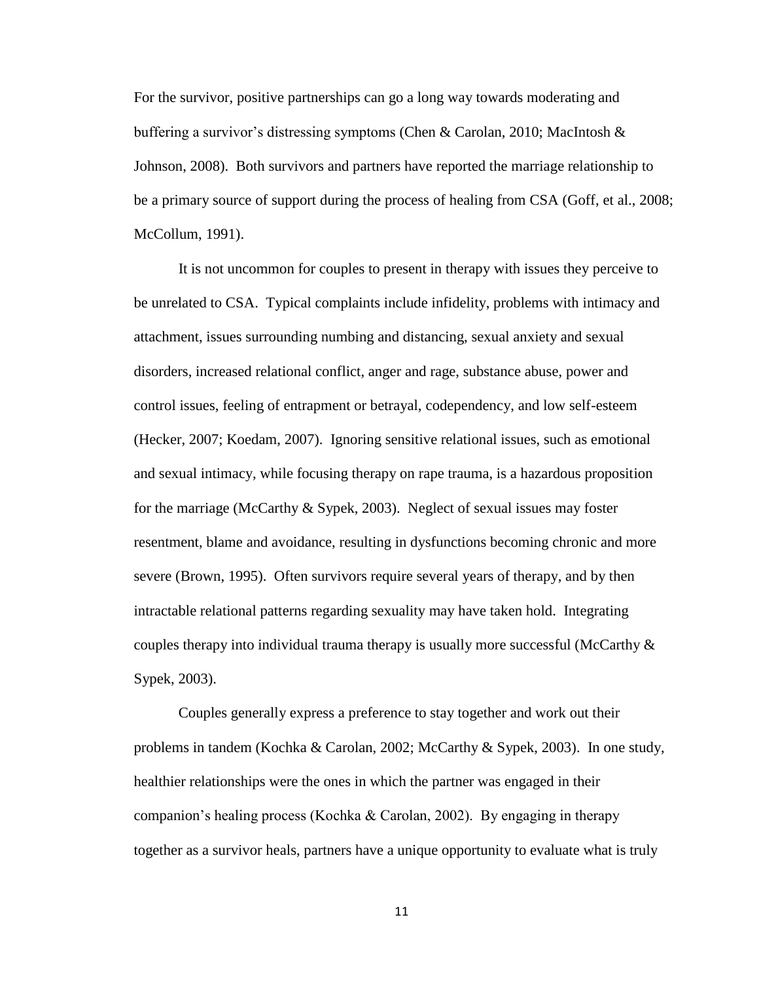For the survivor, positive partnerships can go a long way towards moderating and buffering a survivor's distressing symptoms (Chen & Carolan, 2010; MacIntosh & Johnson, 2008). Both survivors and partners have reported the marriage relationship to be a primary source of support during the process of healing from CSA (Goff, et al., 2008; McCollum, 1991).

It is not uncommon for couples to present in therapy with issues they perceive to be unrelated to CSA. Typical complaints include infidelity, problems with intimacy and attachment, issues surrounding numbing and distancing, sexual anxiety and sexual disorders, increased relational conflict, anger and rage, substance abuse, power and control issues, feeling of entrapment or betrayal, codependency, and low self-esteem (Hecker, 2007; Koedam, 2007). Ignoring sensitive relational issues, such as emotional and sexual intimacy, while focusing therapy on rape trauma, is a hazardous proposition for the marriage (McCarthy & Sypek, 2003). Neglect of sexual issues may foster resentment, blame and avoidance, resulting in dysfunctions becoming chronic and more severe (Brown, 1995). Often survivors require several years of therapy, and by then intractable relational patterns regarding sexuality may have taken hold. Integrating couples therapy into individual trauma therapy is usually more successful (McCarthy  $\&$ Sypek, 2003).

Couples generally express a preference to stay together and work out their problems in tandem (Kochka & Carolan, 2002; McCarthy & Sypek, 2003). In one study, healthier relationships were the ones in which the partner was engaged in their companion's healing process (Kochka & Carolan, 2002). By engaging in therapy together as a survivor heals, partners have a unique opportunity to evaluate what is truly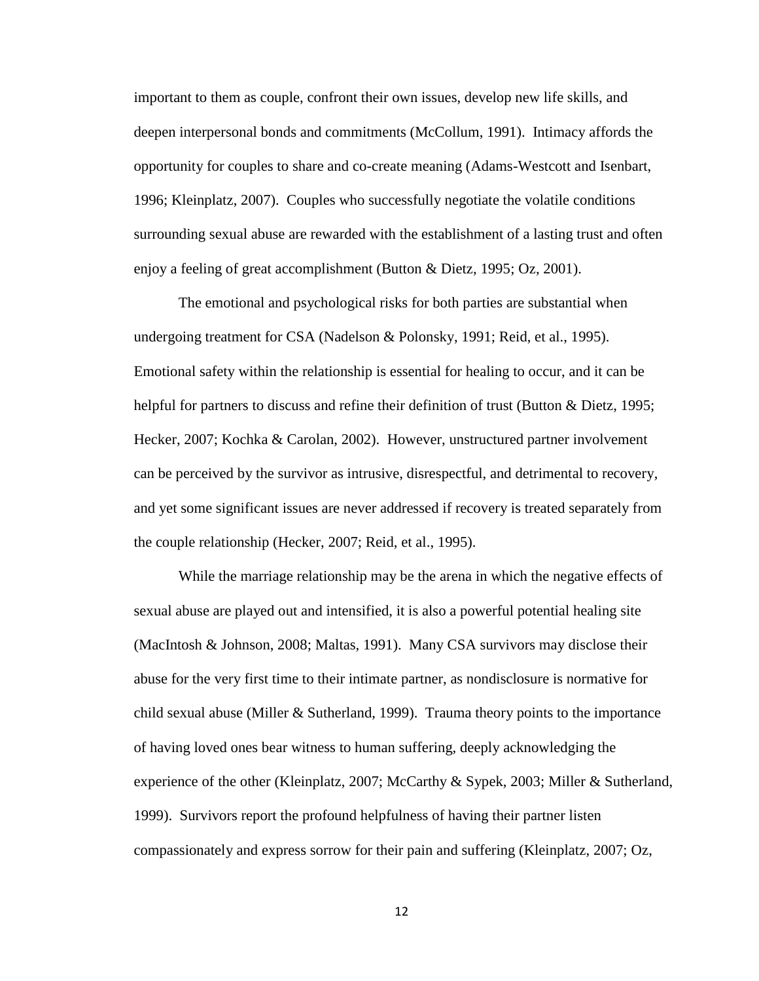important to them as couple, confront their own issues, develop new life skills, and deepen interpersonal bonds and commitments (McCollum, 1991). Intimacy affords the opportunity for couples to share and co-create meaning (Adams-Westcott and Isenbart, 1996; Kleinplatz, 2007). Couples who successfully negotiate the volatile conditions surrounding sexual abuse are rewarded with the establishment of a lasting trust and often enjoy a feeling of great accomplishment (Button & Dietz, 1995; Oz, 2001).

The emotional and psychological risks for both parties are substantial when undergoing treatment for CSA (Nadelson & Polonsky, 1991; Reid, et al., 1995). Emotional safety within the relationship is essential for healing to occur, and it can be helpful for partners to discuss and refine their definition of trust (Button & Dietz, 1995; Hecker, 2007; Kochka & Carolan, 2002). However, unstructured partner involvement can be perceived by the survivor as intrusive, disrespectful, and detrimental to recovery, and yet some significant issues are never addressed if recovery is treated separately from the couple relationship (Hecker, 2007; Reid, et al., 1995).

While the marriage relationship may be the arena in which the negative effects of sexual abuse are played out and intensified, it is also a powerful potential healing site (MacIntosh & Johnson, 2008; Maltas, 1991). Many CSA survivors may disclose their abuse for the very first time to their intimate partner, as nondisclosure is normative for child sexual abuse (Miller  $&$  Sutherland, 1999). Trauma theory points to the importance of having loved ones bear witness to human suffering, deeply acknowledging the experience of the other (Kleinplatz, 2007; McCarthy & Sypek, 2003; Miller & Sutherland, 1999). Survivors report the profound helpfulness of having their partner listen compassionately and express sorrow for their pain and suffering (Kleinplatz, 2007; Oz,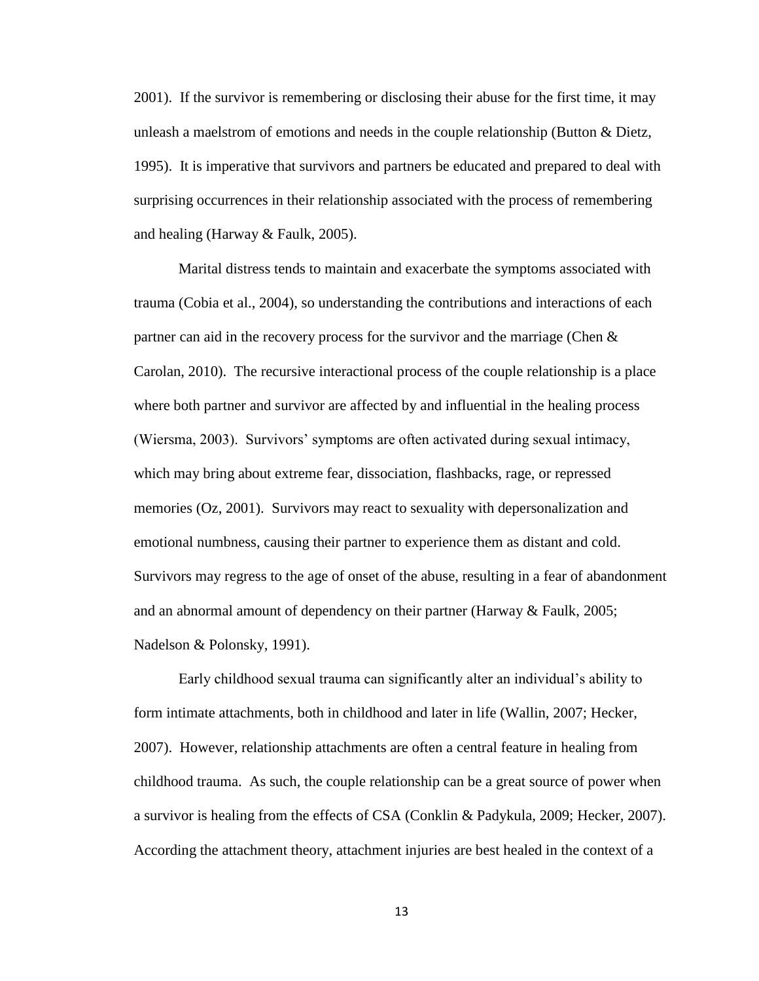2001). If the survivor is remembering or disclosing their abuse for the first time, it may unleash a maelstrom of emotions and needs in the couple relationship (Button & Dietz, 1995). It is imperative that survivors and partners be educated and prepared to deal with surprising occurrences in their relationship associated with the process of remembering and healing (Harway & Faulk, 2005).

Marital distress tends to maintain and exacerbate the symptoms associated with trauma (Cobia et al., 2004), so understanding the contributions and interactions of each partner can aid in the recovery process for the survivor and the marriage (Chen & Carolan, 2010). The recursive interactional process of the couple relationship is a place where both partner and survivor are affected by and influential in the healing process (Wiersma, 2003). Survivors' symptoms are often activated during sexual intimacy, which may bring about extreme fear, dissociation, flashbacks, rage, or repressed memories (Oz, 2001). Survivors may react to sexuality with depersonalization and emotional numbness, causing their partner to experience them as distant and cold. Survivors may regress to the age of onset of the abuse, resulting in a fear of abandonment and an abnormal amount of dependency on their partner (Harway & Faulk, 2005; Nadelson & Polonsky, 1991).

Early childhood sexual trauma can significantly alter an individual's ability to form intimate attachments, both in childhood and later in life (Wallin, 2007; Hecker, 2007). However, relationship attachments are often a central feature in healing from childhood trauma. As such, the couple relationship can be a great source of power when a survivor is healing from the effects of CSA (Conklin & Padykula, 2009; Hecker, 2007). According the attachment theory, attachment injuries are best healed in the context of a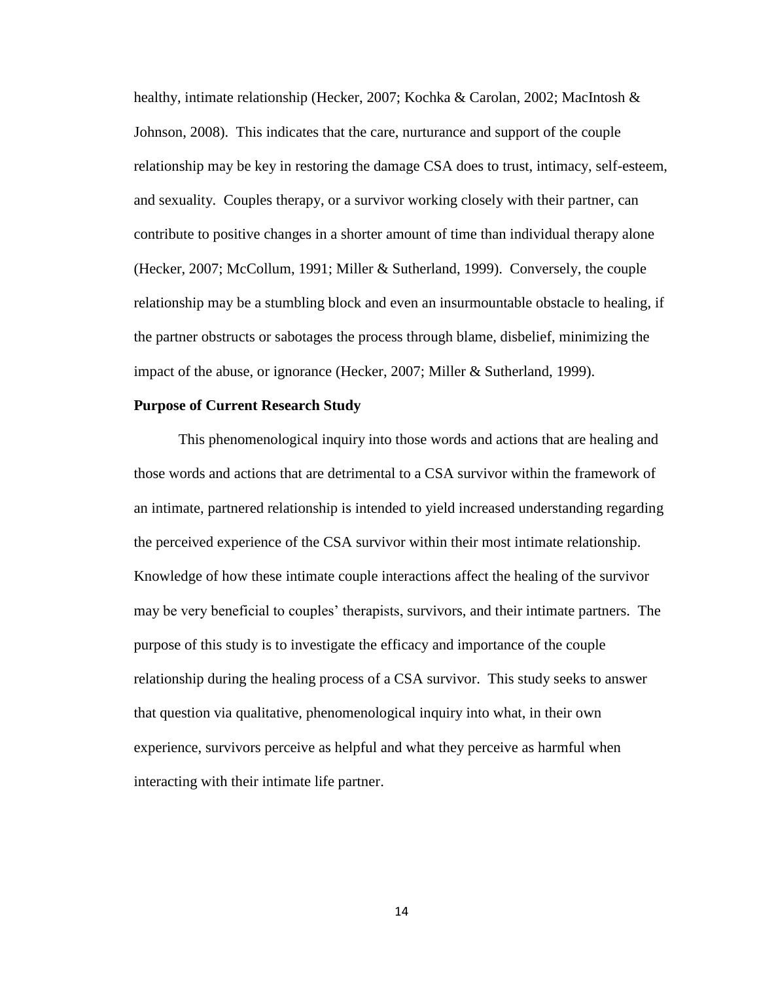healthy, intimate relationship (Hecker, 2007; Kochka & Carolan, 2002; MacIntosh & Johnson, 2008). This indicates that the care, nurturance and support of the couple relationship may be key in restoring the damage CSA does to trust, intimacy, self-esteem, and sexuality. Couples therapy, or a survivor working closely with their partner, can contribute to positive changes in a shorter amount of time than individual therapy alone (Hecker, 2007; McCollum, 1991; Miller & Sutherland, 1999). Conversely, the couple relationship may be a stumbling block and even an insurmountable obstacle to healing, if the partner obstructs or sabotages the process through blame, disbelief, minimizing the impact of the abuse, or ignorance (Hecker, 2007; Miller & Sutherland, 1999).

#### <span id="page-19-0"></span>**Purpose of Current Research Study**

This phenomenological inquiry into those words and actions that are healing and those words and actions that are detrimental to a CSA survivor within the framework of an intimate, partnered relationship is intended to yield increased understanding regarding the perceived experience of the CSA survivor within their most intimate relationship. Knowledge of how these intimate couple interactions affect the healing of the survivor may be very beneficial to couples' therapists, survivors, and their intimate partners. The purpose of this study is to investigate the efficacy and importance of the couple relationship during the healing process of a CSA survivor. This study seeks to answer that question via qualitative, phenomenological inquiry into what, in their own experience, survivors perceive as helpful and what they perceive as harmful when interacting with their intimate life partner.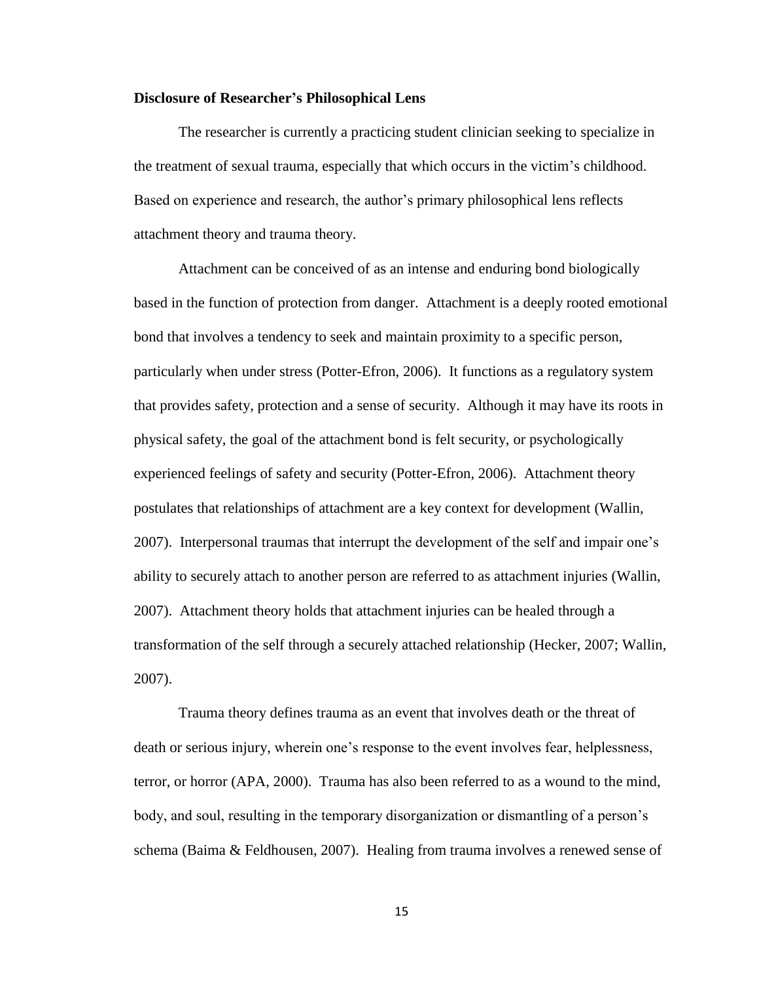#### <span id="page-20-0"></span>**Disclosure of Researcher's Philosophical Lens**

The researcher is currently a practicing student clinician seeking to specialize in the treatment of sexual trauma, especially that which occurs in the victim's childhood. Based on experience and research, the author's primary philosophical lens reflects attachment theory and trauma theory.

Attachment can be conceived of as an intense and enduring bond biologically based in the function of protection from danger. Attachment is a deeply rooted emotional bond that involves a tendency to seek and maintain proximity to a specific person, particularly when under stress (Potter-Efron, 2006). It functions as a regulatory system that provides safety, protection and a sense of security. Although it may have its roots in physical safety, the goal of the attachment bond is felt security, or psychologically experienced feelings of safety and security (Potter-Efron, 2006). Attachment theory postulates that relationships of attachment are a key context for development (Wallin, 2007). Interpersonal traumas that interrupt the development of the self and impair one's ability to securely attach to another person are referred to as attachment injuries (Wallin, 2007). Attachment theory holds that attachment injuries can be healed through a transformation of the self through a securely attached relationship (Hecker, 2007; Wallin, 2007).

Trauma theory defines trauma as an event that involves death or the threat of death or serious injury, wherein one's response to the event involves fear, helplessness, terror, or horror (APA, 2000). Trauma has also been referred to as a wound to the mind, body, and soul, resulting in the temporary disorganization or dismantling of a person's schema (Baima & Feldhousen, 2007). Healing from trauma involves a renewed sense of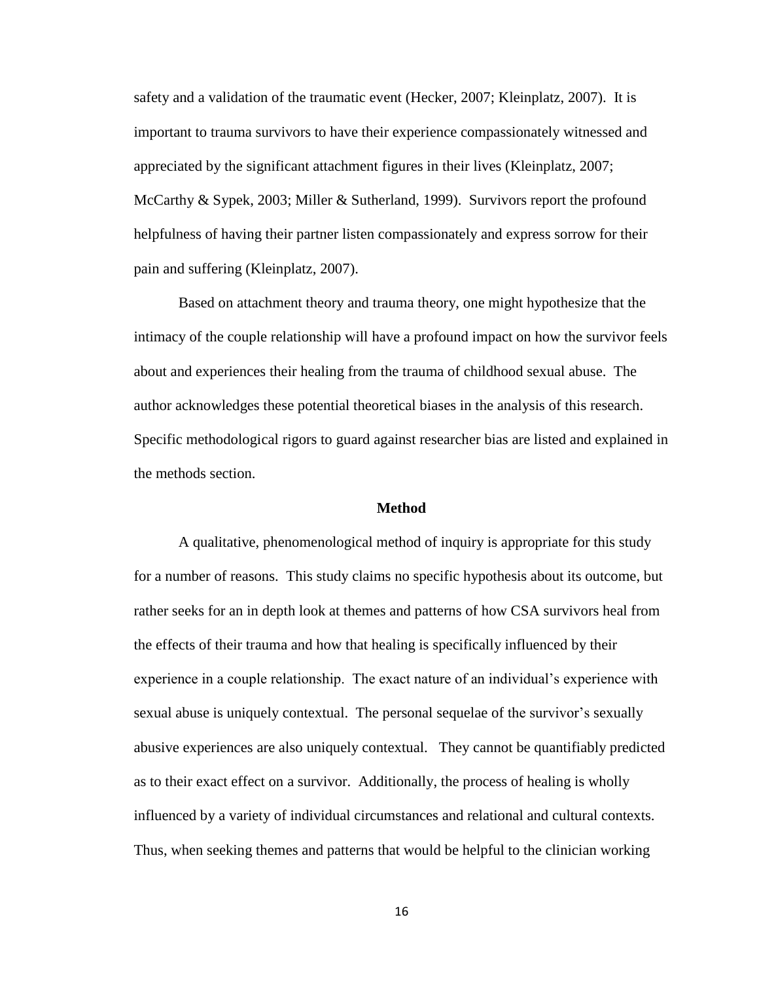safety and a validation of the traumatic event (Hecker, 2007; Kleinplatz, 2007). It is important to trauma survivors to have their experience compassionately witnessed and appreciated by the significant attachment figures in their lives (Kleinplatz, 2007; McCarthy & Sypek, 2003; Miller & Sutherland, 1999). Survivors report the profound helpfulness of having their partner listen compassionately and express sorrow for their pain and suffering (Kleinplatz, 2007).

Based on attachment theory and trauma theory, one might hypothesize that the intimacy of the couple relationship will have a profound impact on how the survivor feels about and experiences their healing from the trauma of childhood sexual abuse. The author acknowledges these potential theoretical biases in the analysis of this research. Specific methodological rigors to guard against researcher bias are listed and explained in the methods section.

#### **Method**

<span id="page-21-0"></span>A qualitative, phenomenological method of inquiry is appropriate for this study for a number of reasons. This study claims no specific hypothesis about its outcome, but rather seeks for an in depth look at themes and patterns of how CSA survivors heal from the effects of their trauma and how that healing is specifically influenced by their experience in a couple relationship. The exact nature of an individual's experience with sexual abuse is uniquely contextual. The personal sequelae of the survivor's sexually abusive experiences are also uniquely contextual. They cannot be quantifiably predicted as to their exact effect on a survivor. Additionally, the process of healing is wholly influenced by a variety of individual circumstances and relational and cultural contexts. Thus, when seeking themes and patterns that would be helpful to the clinician working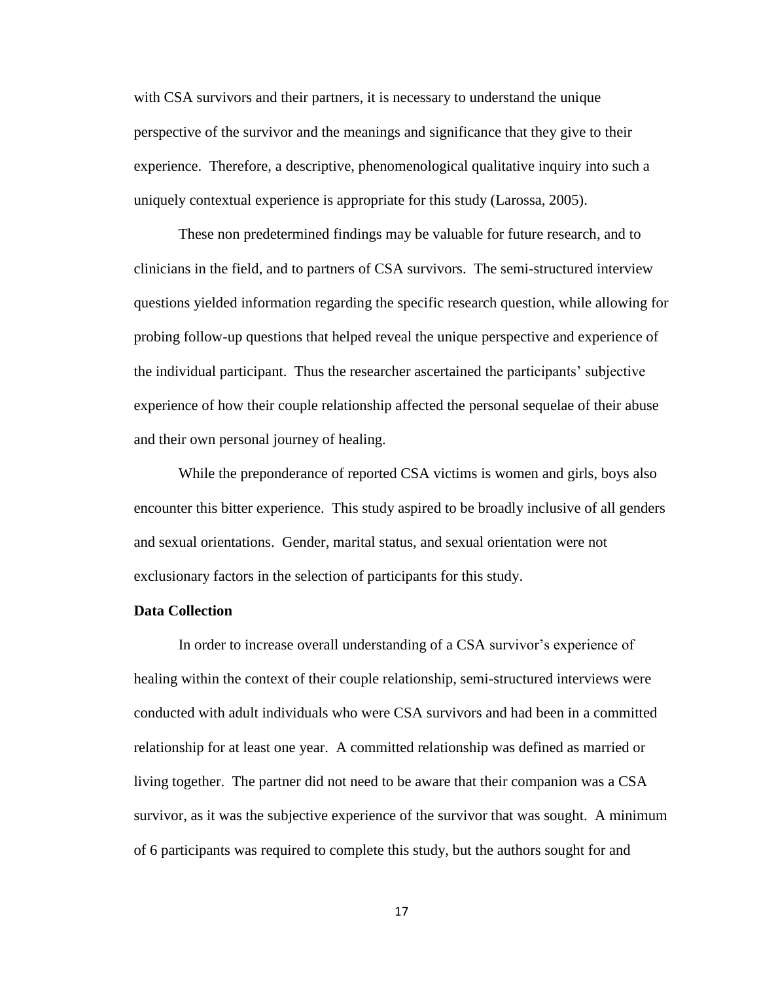with CSA survivors and their partners, it is necessary to understand the unique perspective of the survivor and the meanings and significance that they give to their experience. Therefore, a descriptive, phenomenological qualitative inquiry into such a uniquely contextual experience is appropriate for this study (Larossa, 2005).

These non predetermined findings may be valuable for future research, and to clinicians in the field, and to partners of CSA survivors. The semi-structured interview questions yielded information regarding the specific research question, while allowing for probing follow-up questions that helped reveal the unique perspective and experience of the individual participant. Thus the researcher ascertained the participants' subjective experience of how their couple relationship affected the personal sequelae of their abuse and their own personal journey of healing.

While the preponderance of reported CSA victims is women and girls, boys also encounter this bitter experience. This study aspired to be broadly inclusive of all genders and sexual orientations. Gender, marital status, and sexual orientation were not exclusionary factors in the selection of participants for this study.

#### <span id="page-22-0"></span>**Data Collection**

In order to increase overall understanding of a CSA survivor's experience of healing within the context of their couple relationship, semi-structured interviews were conducted with adult individuals who were CSA survivors and had been in a committed relationship for at least one year. A committed relationship was defined as married or living together. The partner did not need to be aware that their companion was a CSA survivor, as it was the subjective experience of the survivor that was sought. A minimum of 6 participants was required to complete this study, but the authors sought for and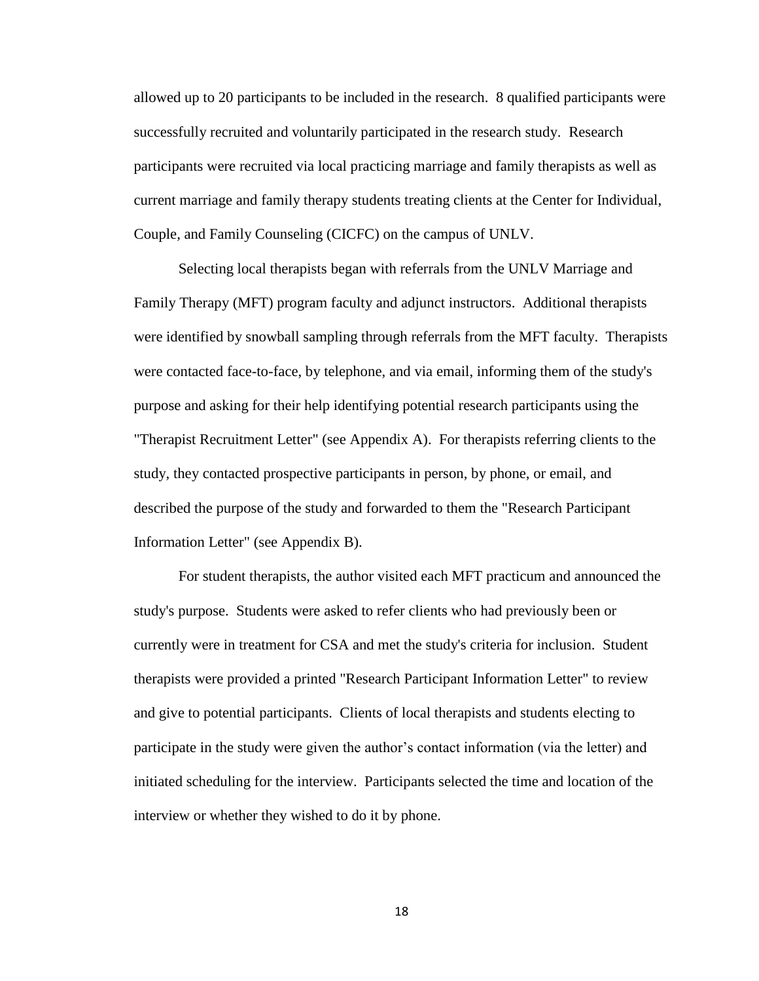allowed up to 20 participants to be included in the research. 8 qualified participants were successfully recruited and voluntarily participated in the research study. Research participants were recruited via local practicing marriage and family therapists as well as current marriage and family therapy students treating clients at the Center for Individual, Couple, and Family Counseling (CICFC) on the campus of UNLV.

Selecting local therapists began with referrals from the UNLV Marriage and Family Therapy (MFT) program faculty and adjunct instructors. Additional therapists were identified by snowball sampling through referrals from the MFT faculty. Therapists were contacted face-to-face, by telephone, and via email, informing them of the study's purpose and asking for their help identifying potential research participants using the "Therapist Recruitment Letter" (see Appendix A). For therapists referring clients to the study, they contacted prospective participants in person, by phone, or email, and described the purpose of the study and forwarded to them the "Research Participant Information Letter" (see Appendix B).

For student therapists, the author visited each MFT practicum and announced the study's purpose. Students were asked to refer clients who had previously been or currently were in treatment for CSA and met the study's criteria for inclusion. Student therapists were provided a printed "Research Participant Information Letter" to review and give to potential participants. Clients of local therapists and students electing to participate in the study were given the author's contact information (via the letter) and initiated scheduling for the interview. Participants selected the time and location of the interview or whether they wished to do it by phone.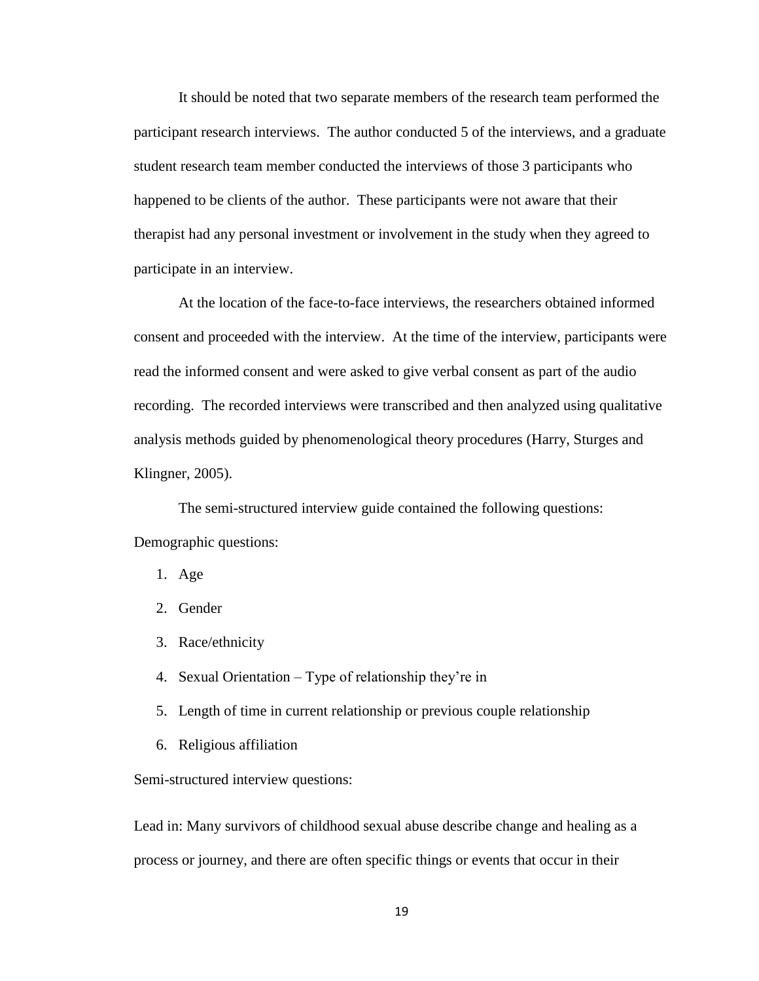It should be noted that two separate members of the research team performed the participant research interviews. The author conducted 5 of the interviews, and a graduate student research team member conducted the interviews of those 3 participants who happened to be clients of the author. These participants were not aware that their therapist had any personal investment or involvement in the study when they agreed to participate in an interview.

At the location of the face-to-face interviews, the researchers obtained informed consent and proceeded with the interview. At the time of the interview, participants were read the informed consent and were asked to give verbal consent as part of the audio recording. The recorded interviews were transcribed and then analyzed using qualitative analysis methods guided by phenomenological theory procedures (Harry, Sturges and Klingner, 2005).

The semi-structured interview guide contained the following questions: Demographic questions:

- 1. Age
- 2. Gender
- 3. Race/ethnicity
- 4. Sexual Orientation Type of relationship they're in
- 5. Length of time in current relationship or previous couple relationship
- 6. Religious affiliation

Semi-structured interview questions:

Lead in: Many survivors of childhood sexual abuse describe change and healing as a process or journey, and there are often specific things or events that occur in their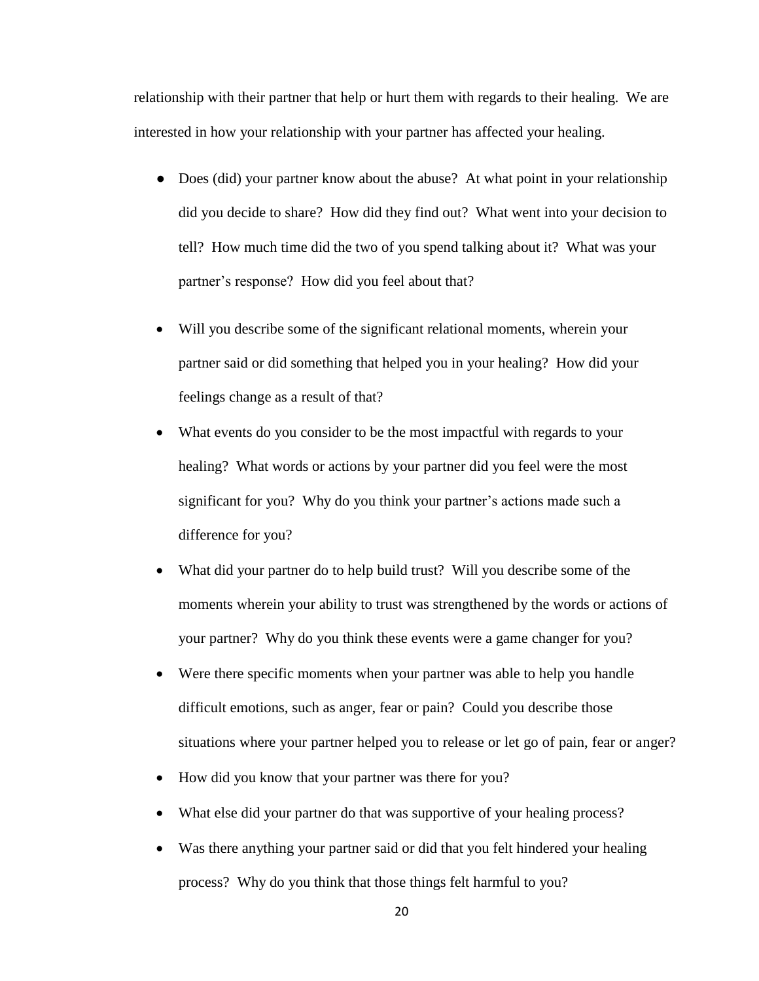relationship with their partner that help or hurt them with regards to their healing. We are interested in how your relationship with your partner has affected your healing.

- Does (did) your partner know about the abuse? At what point in your relationship did you decide to share? How did they find out? What went into your decision to tell? How much time did the two of you spend talking about it? What was your partner's response? How did you feel about that?
- Will you describe some of the significant relational moments, wherein your partner said or did something that helped you in your healing? How did your feelings change as a result of that?
- What events do you consider to be the most impactful with regards to your healing? What words or actions by your partner did you feel were the most significant for you? Why do you think your partner's actions made such a difference for you?
- What did your partner do to help build trust? Will you describe some of the moments wherein your ability to trust was strengthened by the words or actions of your partner? Why do you think these events were a game changer for you?
- Were there specific moments when your partner was able to help you handle difficult emotions, such as anger, fear or pain? Could you describe those situations where your partner helped you to release or let go of pain, fear or anger?
- How did you know that your partner was there for you?
- What else did your partner do that was supportive of your healing process?
- Was there anything your partner said or did that you felt hindered your healing process? Why do you think that those things felt harmful to you?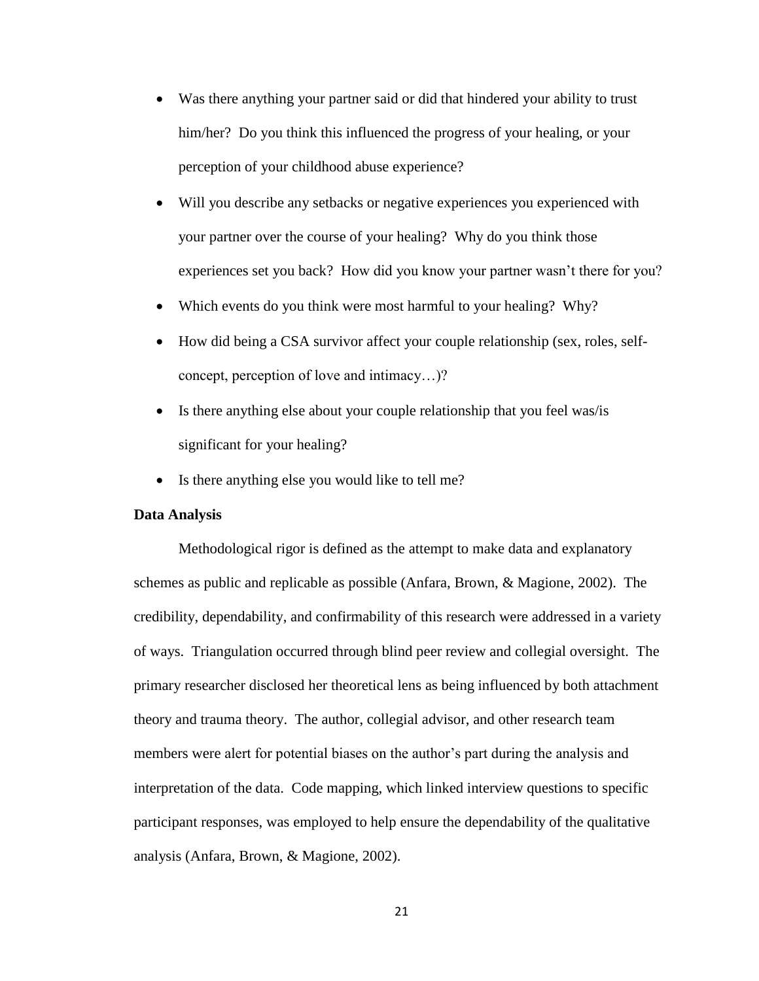- Was there anything your partner said or did that hindered your ability to trust him/her? Do you think this influenced the progress of your healing, or your perception of your childhood abuse experience?
- Will you describe any setbacks or negative experiences you experienced with your partner over the course of your healing? Why do you think those experiences set you back? How did you know your partner wasn't there for you?
- Which events do you think were most harmful to your healing? Why?
- How did being a CSA survivor affect your couple relationship (sex, roles, selfconcept, perception of love and intimacy…)?
- Is there anything else about your couple relationship that you feel was/is significant for your healing?
- Is there anything else you would like to tell me?

#### <span id="page-26-0"></span>**Data Analysis**

Methodological rigor is defined as the attempt to make data and explanatory schemes as public and replicable as possible (Anfara, Brown, & Magione, 2002). The credibility, dependability, and confirmability of this research were addressed in a variety of ways. Triangulation occurred through blind peer review and collegial oversight. The primary researcher disclosed her theoretical lens as being influenced by both attachment theory and trauma theory. The author, collegial advisor, and other research team members were alert for potential biases on the author's part during the analysis and interpretation of the data. Code mapping, which linked interview questions to specific participant responses, was employed to help ensure the dependability of the qualitative analysis (Anfara, Brown, & Magione, 2002).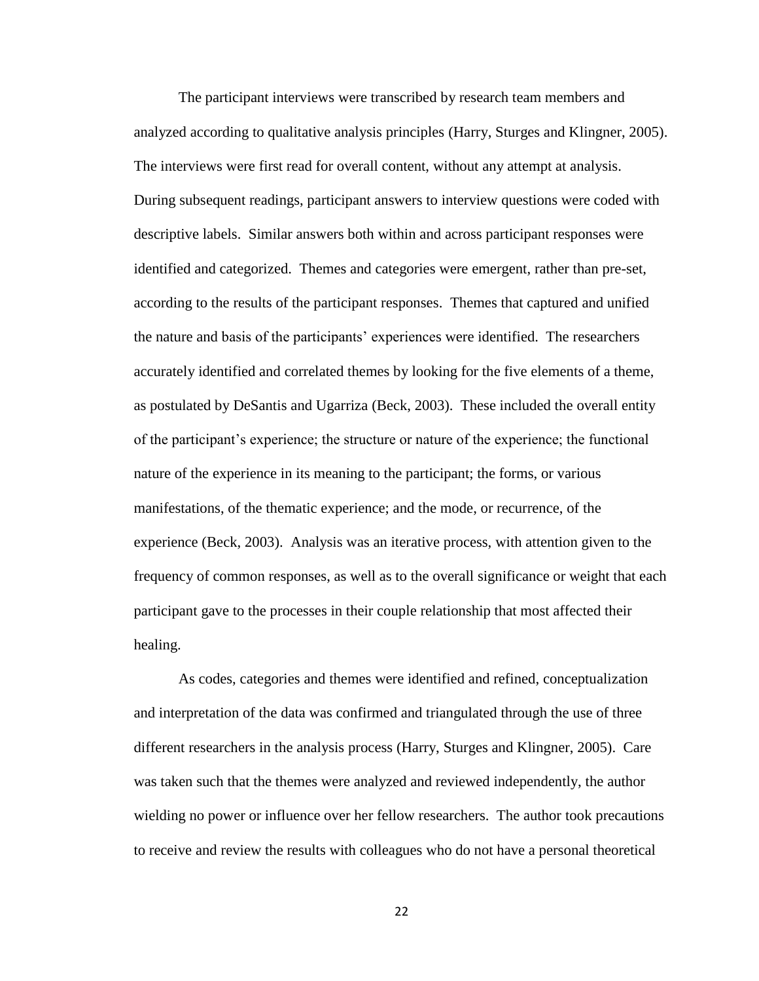The participant interviews were transcribed by research team members and analyzed according to qualitative analysis principles (Harry, Sturges and Klingner, 2005). The interviews were first read for overall content, without any attempt at analysis. During subsequent readings, participant answers to interview questions were coded with descriptive labels. Similar answers both within and across participant responses were identified and categorized. Themes and categories were emergent, rather than pre-set, according to the results of the participant responses. Themes that captured and unified the nature and basis of the participants' experiences were identified. The researchers accurately identified and correlated themes by looking for the five elements of a theme, as postulated by DeSantis and Ugarriza (Beck, 2003). These included the overall entity of the participant's experience; the structure or nature of the experience; the functional nature of the experience in its meaning to the participant; the forms, or various manifestations, of the thematic experience; and the mode, or recurrence, of the experience (Beck, 2003). Analysis was an iterative process, with attention given to the frequency of common responses, as well as to the overall significance or weight that each participant gave to the processes in their couple relationship that most affected their healing.

As codes, categories and themes were identified and refined, conceptualization and interpretation of the data was confirmed and triangulated through the use of three different researchers in the analysis process (Harry, Sturges and Klingner, 2005). Care was taken such that the themes were analyzed and reviewed independently, the author wielding no power or influence over her fellow researchers. The author took precautions to receive and review the results with colleagues who do not have a personal theoretical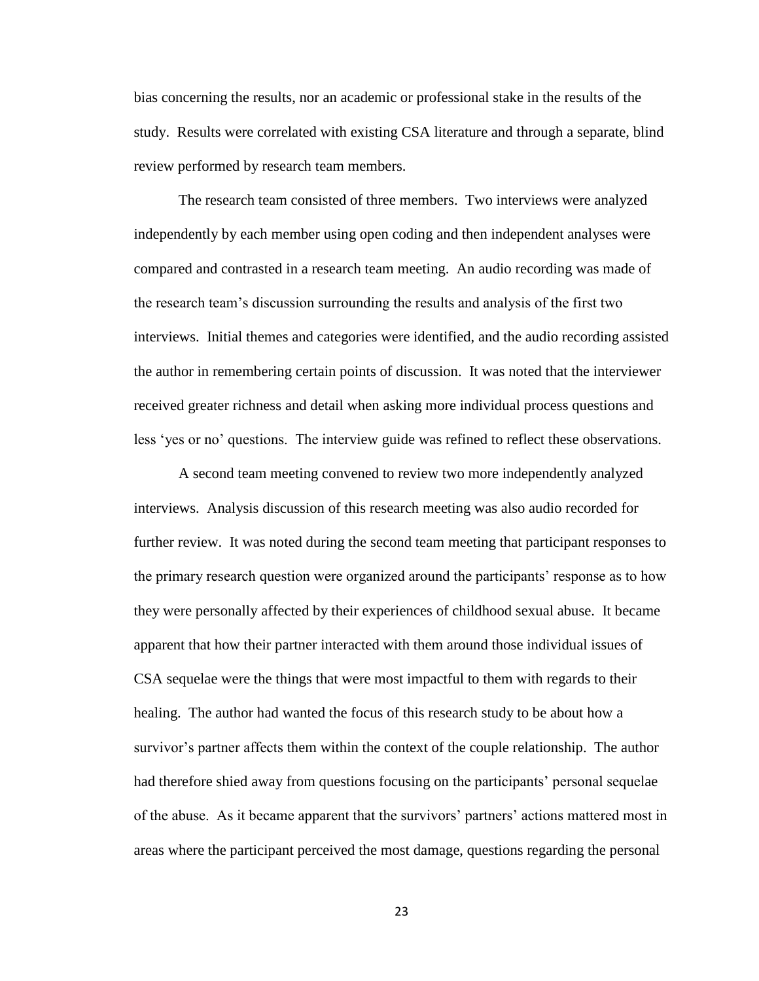bias concerning the results, nor an academic or professional stake in the results of the study. Results were correlated with existing CSA literature and through a separate, blind review performed by research team members.

The research team consisted of three members. Two interviews were analyzed independently by each member using open coding and then independent analyses were compared and contrasted in a research team meeting. An audio recording was made of the research team's discussion surrounding the results and analysis of the first two interviews. Initial themes and categories were identified, and the audio recording assisted the author in remembering certain points of discussion. It was noted that the interviewer received greater richness and detail when asking more individual process questions and less 'yes or no' questions. The interview guide was refined to reflect these observations.

A second team meeting convened to review two more independently analyzed interviews. Analysis discussion of this research meeting was also audio recorded for further review. It was noted during the second team meeting that participant responses to the primary research question were organized around the participants' response as to how they were personally affected by their experiences of childhood sexual abuse. It became apparent that how their partner interacted with them around those individual issues of CSA sequelae were the things that were most impactful to them with regards to their healing. The author had wanted the focus of this research study to be about how a survivor's partner affects them within the context of the couple relationship. The author had therefore shied away from questions focusing on the participants' personal sequelae of the abuse. As it became apparent that the survivors' partners' actions mattered most in areas where the participant perceived the most damage, questions regarding the personal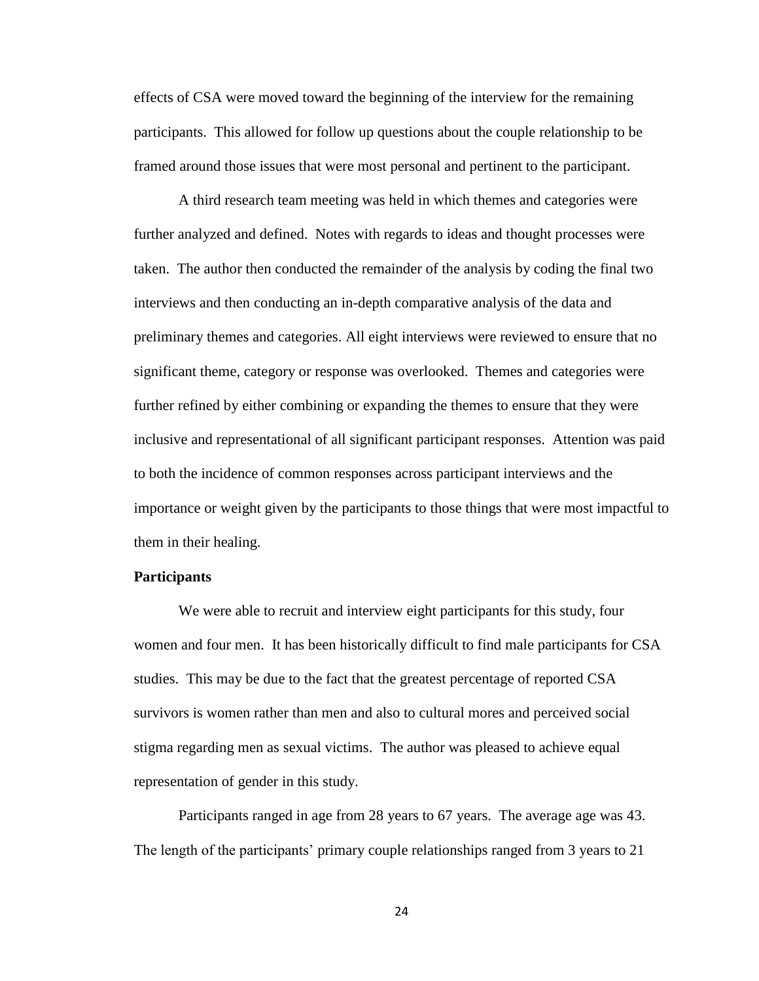effects of CSA were moved toward the beginning of the interview for the remaining participants. This allowed for follow up questions about the couple relationship to be framed around those issues that were most personal and pertinent to the participant.

A third research team meeting was held in which themes and categories were further analyzed and defined. Notes with regards to ideas and thought processes were taken. The author then conducted the remainder of the analysis by coding the final two interviews and then conducting an in-depth comparative analysis of the data and preliminary themes and categories. All eight interviews were reviewed to ensure that no significant theme, category or response was overlooked. Themes and categories were further refined by either combining or expanding the themes to ensure that they were inclusive and representational of all significant participant responses. Attention was paid to both the incidence of common responses across participant interviews and the importance or weight given by the participants to those things that were most impactful to them in their healing.

#### <span id="page-29-0"></span>**Participants**

We were able to recruit and interview eight participants for this study, four women and four men. It has been historically difficult to find male participants for CSA studies. This may be due to the fact that the greatest percentage of reported CSA survivors is women rather than men and also to cultural mores and perceived social stigma regarding men as sexual victims. The author was pleased to achieve equal representation of gender in this study.

Participants ranged in age from 28 years to 67 years. The average age was 43. The length of the participants' primary couple relationships ranged from 3 years to 21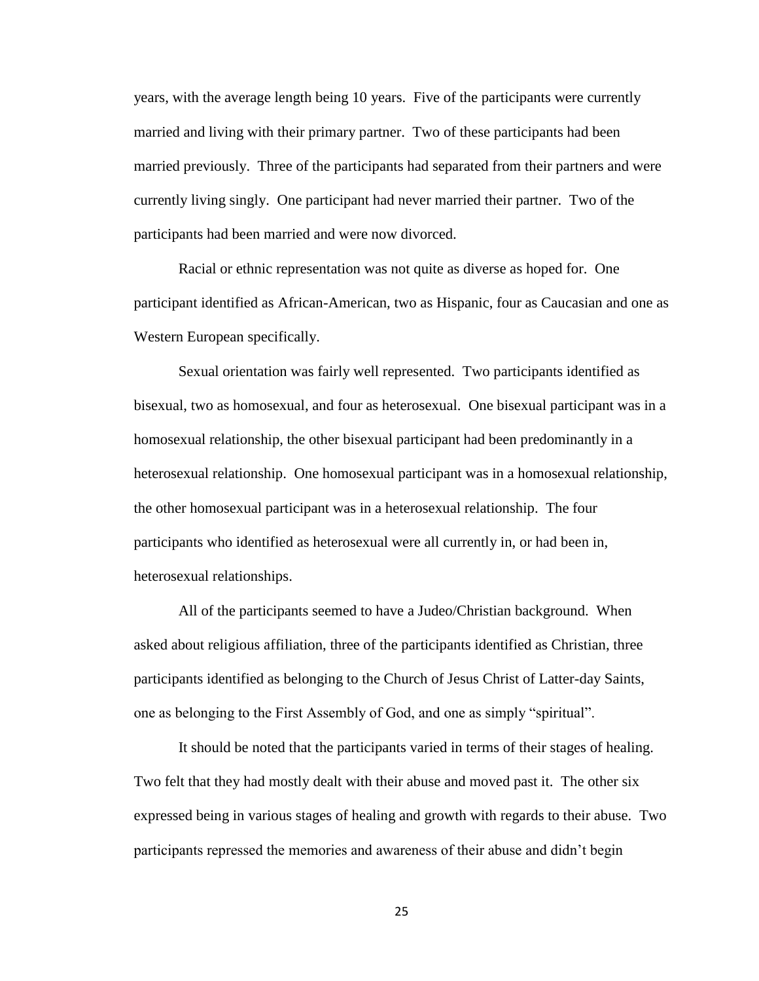years, with the average length being 10 years. Five of the participants were currently married and living with their primary partner. Two of these participants had been married previously. Three of the participants had separated from their partners and were currently living singly. One participant had never married their partner. Two of the participants had been married and were now divorced.

Racial or ethnic representation was not quite as diverse as hoped for. One participant identified as African-American, two as Hispanic, four as Caucasian and one as Western European specifically.

Sexual orientation was fairly well represented. Two participants identified as bisexual, two as homosexual, and four as heterosexual. One bisexual participant was in a homosexual relationship, the other bisexual participant had been predominantly in a heterosexual relationship. One homosexual participant was in a homosexual relationship, the other homosexual participant was in a heterosexual relationship. The four participants who identified as heterosexual were all currently in, or had been in, heterosexual relationships.

All of the participants seemed to have a Judeo/Christian background. When asked about religious affiliation, three of the participants identified as Christian, three participants identified as belonging to the Church of Jesus Christ of Latter-day Saints, one as belonging to the First Assembly of God, and one as simply "spiritual".

It should be noted that the participants varied in terms of their stages of healing. Two felt that they had mostly dealt with their abuse and moved past it. The other six expressed being in various stages of healing and growth with regards to their abuse. Two participants repressed the memories and awareness of their abuse and didn't begin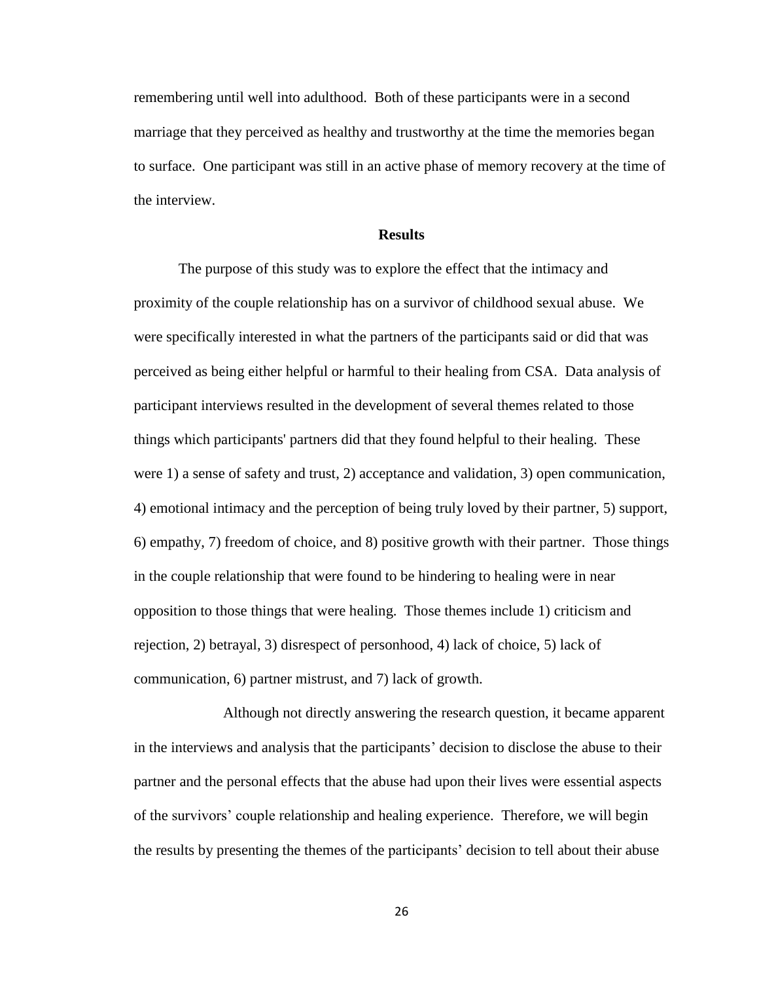remembering until well into adulthood. Both of these participants were in a second marriage that they perceived as healthy and trustworthy at the time the memories began to surface. One participant was still in an active phase of memory recovery at the time of the interview.

#### **Results**

<span id="page-31-0"></span>The purpose of this study was to explore the effect that the intimacy and proximity of the couple relationship has on a survivor of childhood sexual abuse. We were specifically interested in what the partners of the participants said or did that was perceived as being either helpful or harmful to their healing from CSA. Data analysis of participant interviews resulted in the development of several themes related to those things which participants' partners did that they found helpful to their healing. These were 1) a sense of safety and trust, 2) acceptance and validation, 3) open communication, 4) emotional intimacy and the perception of being truly loved by their partner, 5) support, 6) empathy, 7) freedom of choice, and 8) positive growth with their partner. Those things in the couple relationship that were found to be hindering to healing were in near opposition to those things that were healing. Those themes include 1) criticism and rejection, 2) betrayal, 3) disrespect of personhood, 4) lack of choice, 5) lack of communication, 6) partner mistrust, and 7) lack of growth.

Although not directly answering the research question, it became apparent in the interviews and analysis that the participants' decision to disclose the abuse to their partner and the personal effects that the abuse had upon their lives were essential aspects of the survivors' couple relationship and healing experience. Therefore, we will begin the results by presenting the themes of the participants' decision to tell about their abuse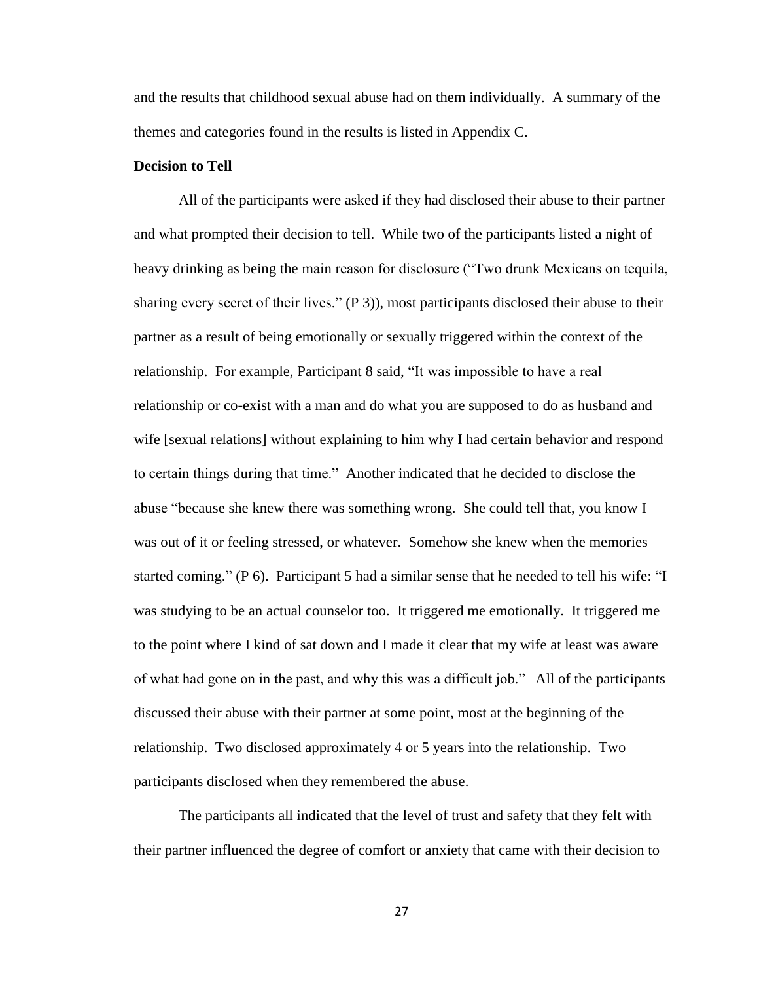and the results that childhood sexual abuse had on them individually. A summary of the themes and categories found in the results is listed in Appendix C.

#### <span id="page-32-0"></span>**Decision to Tell**

All of the participants were asked if they had disclosed their abuse to their partner and what prompted their decision to tell. While two of the participants listed a night of heavy drinking as being the main reason for disclosure ("Two drunk Mexicans on tequila, sharing every secret of their lives." (P 3)), most participants disclosed their abuse to their partner as a result of being emotionally or sexually triggered within the context of the relationship. For example, Participant 8 said, "It was impossible to have a real relationship or co-exist with a man and do what you are supposed to do as husband and wife [sexual relations] without explaining to him why I had certain behavior and respond to certain things during that time." Another indicated that he decided to disclose the abuse "because she knew there was something wrong. She could tell that, you know I was out of it or feeling stressed, or whatever. Somehow she knew when the memories started coming." (P 6). Participant 5 had a similar sense that he needed to tell his wife: "I was studying to be an actual counselor too. It triggered me emotionally. It triggered me to the point where I kind of sat down and I made it clear that my wife at least was aware of what had gone on in the past, and why this was a difficult job." All of the participants discussed their abuse with their partner at some point, most at the beginning of the relationship. Two disclosed approximately 4 or 5 years into the relationship. Two participants disclosed when they remembered the abuse.

The participants all indicated that the level of trust and safety that they felt with their partner influenced the degree of comfort or anxiety that came with their decision to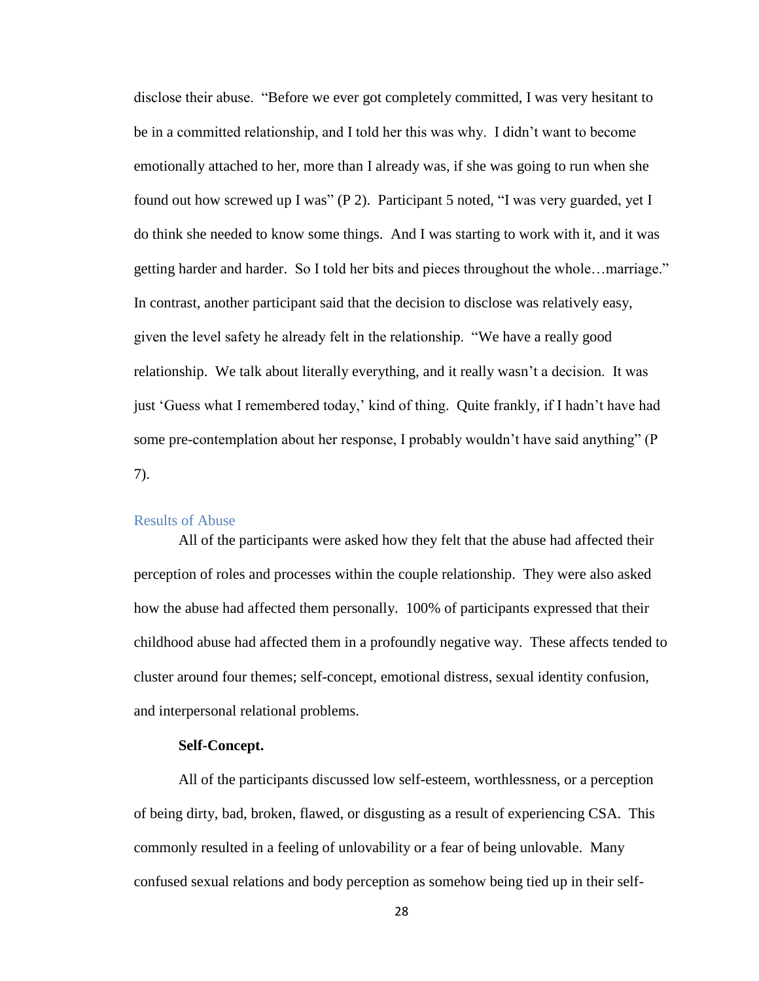disclose their abuse. "Before we ever got completely committed, I was very hesitant to be in a committed relationship, and I told her this was why. I didn't want to become emotionally attached to her, more than I already was, if she was going to run when she found out how screwed up I was" (P 2). Participant 5 noted, "I was very guarded, yet I do think she needed to know some things. And I was starting to work with it, and it was getting harder and harder. So I told her bits and pieces throughout the whole…marriage." In contrast, another participant said that the decision to disclose was relatively easy, given the level safety he already felt in the relationship. "We have a really good relationship. We talk about literally everything, and it really wasn't a decision. It was just 'Guess what I remembered today,' kind of thing. Quite frankly, if I hadn't have had some pre-contemplation about her response, I probably wouldn't have said anything" (P 7).

## <span id="page-33-0"></span>Results of Abuse

All of the participants were asked how they felt that the abuse had affected their perception of roles and processes within the couple relationship. They were also asked how the abuse had affected them personally. 100% of participants expressed that their childhood abuse had affected them in a profoundly negative way. These affects tended to cluster around four themes; self-concept, emotional distress, sexual identity confusion, and interpersonal relational problems.

#### **Self-Concept.**

<span id="page-33-1"></span>All of the participants discussed low self-esteem, worthlessness, or a perception of being dirty, bad, broken, flawed, or disgusting as a result of experiencing CSA. This commonly resulted in a feeling of unlovability or a fear of being unlovable. Many confused sexual relations and body perception as somehow being tied up in their self-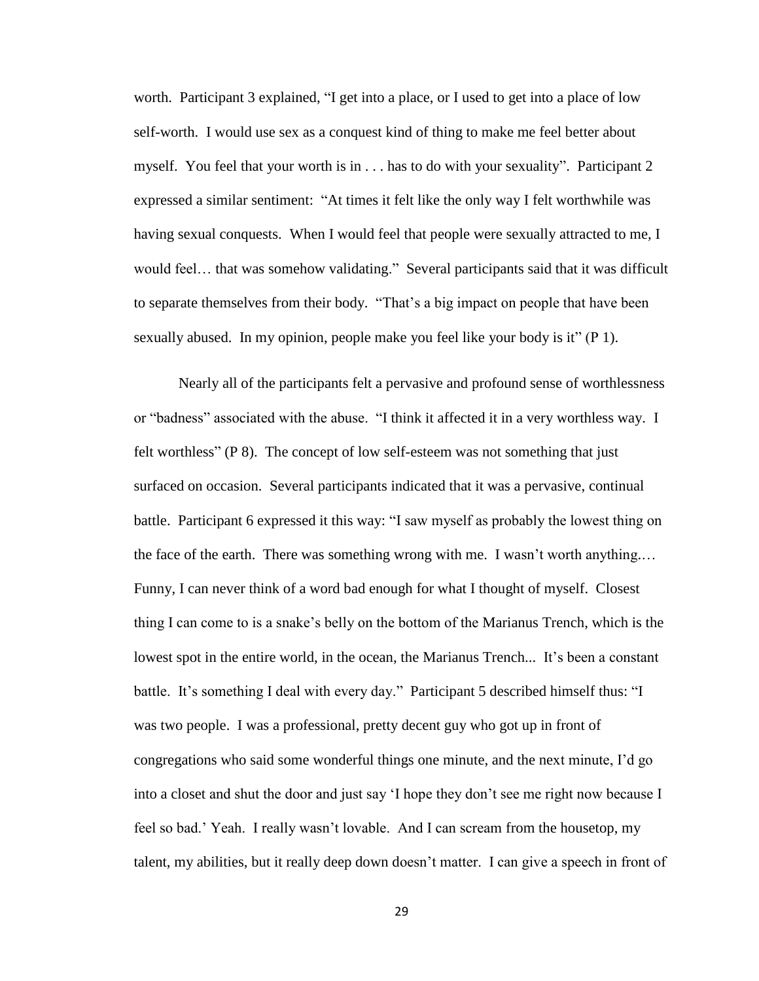worth. Participant 3 explained, "I get into a place, or I used to get into a place of low self-worth. I would use sex as a conquest kind of thing to make me feel better about myself. You feel that your worth is in . . . has to do with your sexuality". Participant 2 expressed a similar sentiment: "At times it felt like the only way I felt worthwhile was having sexual conquests. When I would feel that people were sexually attracted to me, I would feel… that was somehow validating." Several participants said that it was difficult to separate themselves from their body. "That's a big impact on people that have been sexually abused. In my opinion, people make you feel like your body is it" (P 1).

Nearly all of the participants felt a pervasive and profound sense of worthlessness or "badness" associated with the abuse. "I think it affected it in a very worthless way. I felt worthless" (P 8). The concept of low self-esteem was not something that just surfaced on occasion. Several participants indicated that it was a pervasive, continual battle. Participant 6 expressed it this way: "I saw myself as probably the lowest thing on the face of the earth. There was something wrong with me. I wasn't worth anything.… Funny, I can never think of a word bad enough for what I thought of myself. Closest thing I can come to is a snake's belly on the bottom of the Marianus Trench, which is the lowest spot in the entire world, in the ocean, the Marianus Trench... It's been a constant battle. It's something I deal with every day." Participant 5 described himself thus: "I was two people. I was a professional, pretty decent guy who got up in front of congregations who said some wonderful things one minute, and the next minute, I'd go into a closet and shut the door and just say 'I hope they don't see me right now because I feel so bad.' Yeah. I really wasn't lovable. And I can scream from the housetop, my talent, my abilities, but it really deep down doesn't matter. I can give a speech in front of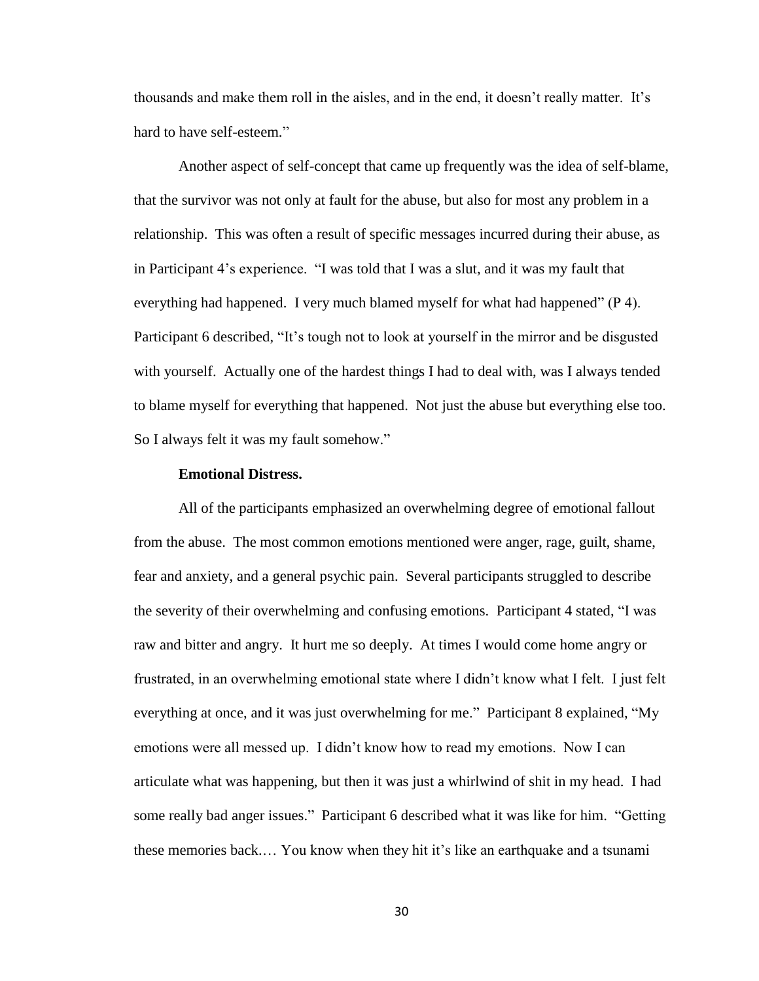thousands and make them roll in the aisles, and in the end, it doesn't really matter. It's hard to have self-esteem."

Another aspect of self-concept that came up frequently was the idea of self-blame, that the survivor was not only at fault for the abuse, but also for most any problem in a relationship. This was often a result of specific messages incurred during their abuse, as in Participant 4's experience. "I was told that I was a slut, and it was my fault that everything had happened. I very much blamed myself for what had happened" (P 4). Participant 6 described, "It's tough not to look at yourself in the mirror and be disgusted with yourself. Actually one of the hardest things I had to deal with, was I always tended to blame myself for everything that happened. Not just the abuse but everything else too. So I always felt it was my fault somehow."

#### **Emotional Distress.**

<span id="page-35-0"></span>All of the participants emphasized an overwhelming degree of emotional fallout from the abuse. The most common emotions mentioned were anger, rage, guilt, shame, fear and anxiety, and a general psychic pain. Several participants struggled to describe the severity of their overwhelming and confusing emotions. Participant 4 stated, "I was raw and bitter and angry. It hurt me so deeply. At times I would come home angry or frustrated, in an overwhelming emotional state where I didn't know what I felt. I just felt everything at once, and it was just overwhelming for me." Participant 8 explained, "My emotions were all messed up. I didn't know how to read my emotions. Now I can articulate what was happening, but then it was just a whirlwind of shit in my head. I had some really bad anger issues." Participant 6 described what it was like for him. "Getting these memories back.… You know when they hit it's like an earthquake and a tsunami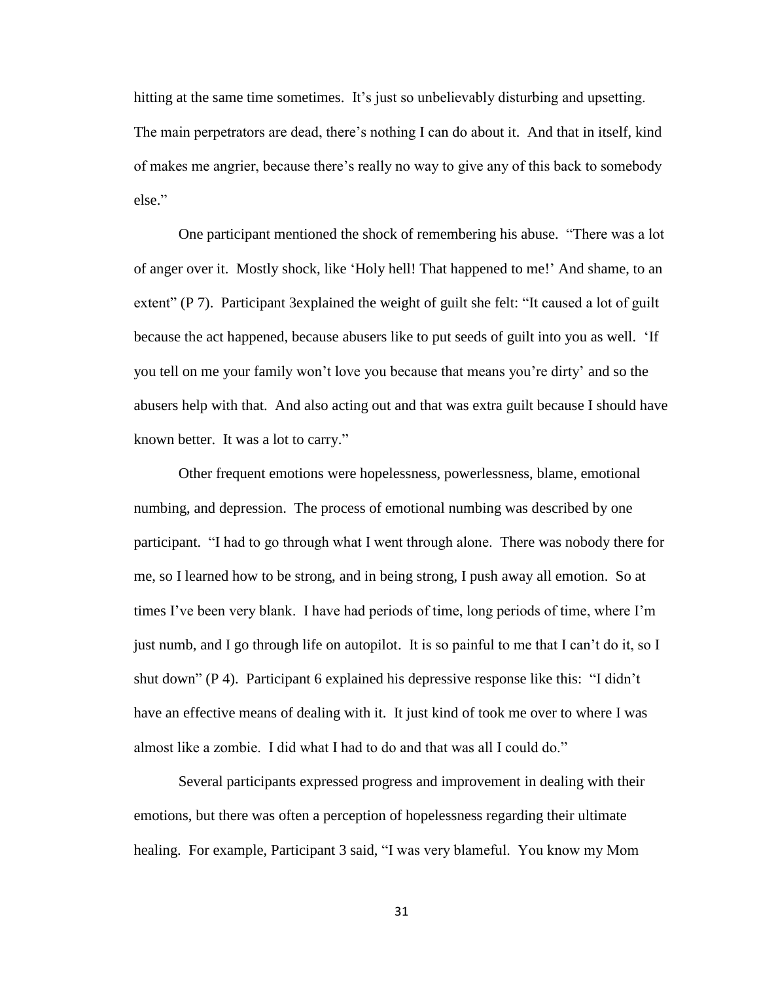hitting at the same time sometimes. It's just so unbelievably disturbing and upsetting. The main perpetrators are dead, there's nothing I can do about it. And that in itself, kind of makes me angrier, because there's really no way to give any of this back to somebody else."

One participant mentioned the shock of remembering his abuse. "There was a lot of anger over it. Mostly shock, like 'Holy hell! That happened to me!' And shame, to an extent" (P 7). Participant 3explained the weight of guilt she felt: "It caused a lot of guilt because the act happened, because abusers like to put seeds of guilt into you as well. 'If you tell on me your family won't love you because that means you're dirty' and so the abusers help with that. And also acting out and that was extra guilt because I should have known better. It was a lot to carry."

Other frequent emotions were hopelessness, powerlessness, blame, emotional numbing, and depression. The process of emotional numbing was described by one participant. "I had to go through what I went through alone. There was nobody there for me, so I learned how to be strong, and in being strong, I push away all emotion. So at times I've been very blank. I have had periods of time, long periods of time, where I'm just numb, and I go through life on autopilot. It is so painful to me that I can't do it, so I shut down" (P 4). Participant 6 explained his depressive response like this: "I didn't have an effective means of dealing with it. It just kind of took me over to where I was almost like a zombie. I did what I had to do and that was all I could do."

Several participants expressed progress and improvement in dealing with their emotions, but there was often a perception of hopelessness regarding their ultimate healing. For example, Participant 3 said, "I was very blameful. You know my Mom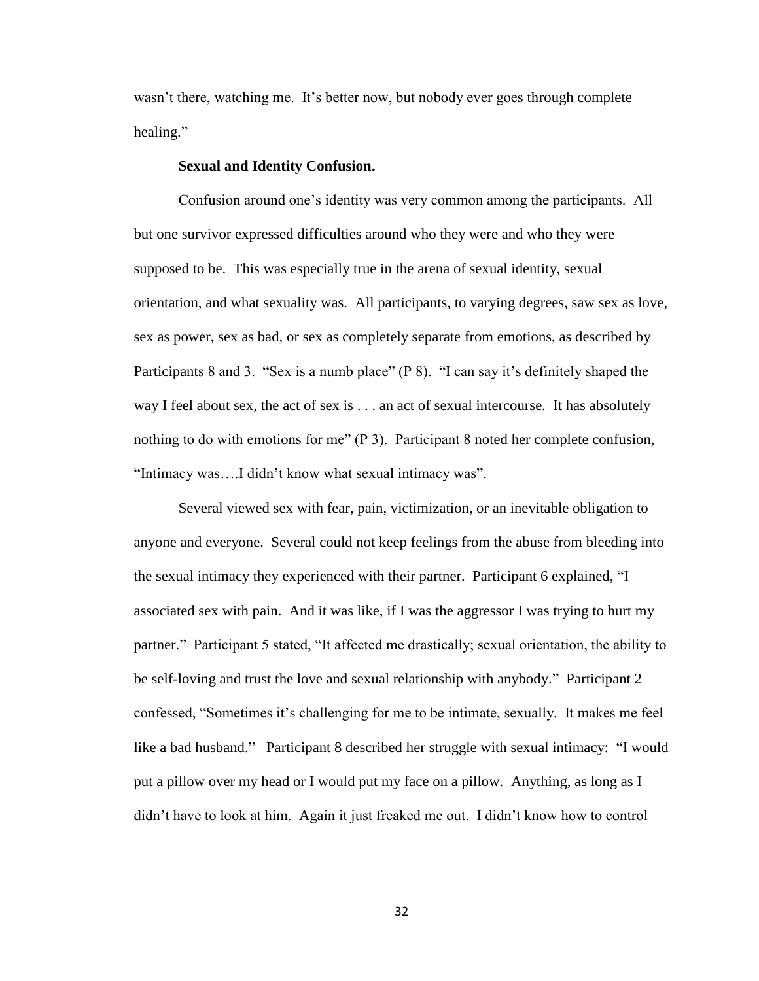wasn't there, watching me. It's better now, but nobody ever goes through complete healing."

#### **Sexual and Identity Confusion.**

Confusion around one's identity was very common among the participants. All but one survivor expressed difficulties around who they were and who they were supposed to be. This was especially true in the arena of sexual identity, sexual orientation, and what sexuality was. All participants, to varying degrees, saw sex as love, sex as power, sex as bad, or sex as completely separate from emotions, as described by Participants 8 and 3. "Sex is a numb place" (P 8). "I can say it's definitely shaped the way I feel about sex, the act of sex is . . . an act of sexual intercourse. It has absolutely nothing to do with emotions for me" (P 3). Participant 8 noted her complete confusion, "Intimacy was….I didn't know what sexual intimacy was".

Several viewed sex with fear, pain, victimization, or an inevitable obligation to anyone and everyone. Several could not keep feelings from the abuse from bleeding into the sexual intimacy they experienced with their partner. Participant 6 explained, "I associated sex with pain. And it was like, if I was the aggressor I was trying to hurt my partner." Participant 5 stated, "It affected me drastically; sexual orientation, the ability to be self-loving and trust the love and sexual relationship with anybody." Participant 2 confessed, "Sometimes it's challenging for me to be intimate, sexually. It makes me feel like a bad husband." Participant 8 described her struggle with sexual intimacy: "I would put a pillow over my head or I would put my face on a pillow. Anything, as long as I didn't have to look at him. Again it just freaked me out. I didn't know how to control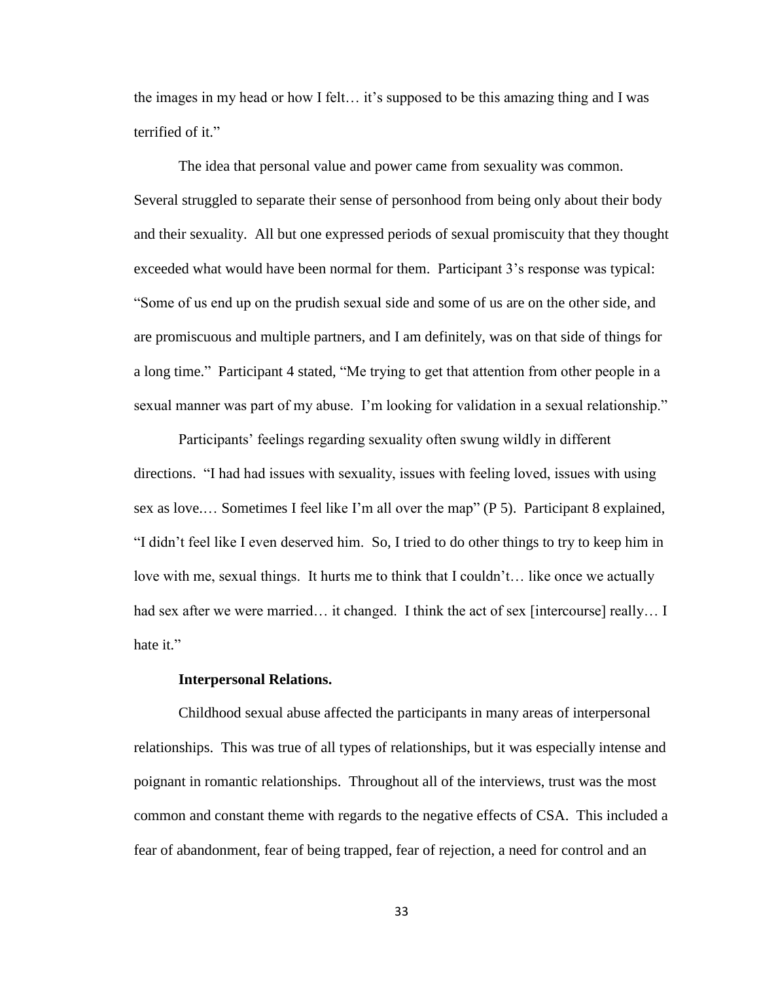the images in my head or how I felt… it's supposed to be this amazing thing and I was terrified of it."

The idea that personal value and power came from sexuality was common. Several struggled to separate their sense of personhood from being only about their body and their sexuality. All but one expressed periods of sexual promiscuity that they thought exceeded what would have been normal for them. Participant 3's response was typical: "Some of us end up on the prudish sexual side and some of us are on the other side, and are promiscuous and multiple partners, and I am definitely, was on that side of things for a long time." Participant 4 stated, "Me trying to get that attention from other people in a sexual manner was part of my abuse. I'm looking for validation in a sexual relationship."

Participants' feelings regarding sexuality often swung wildly in different directions. "I had had issues with sexuality, issues with feeling loved, issues with using sex as love.… Sometimes I feel like I'm all over the map" (P 5). Participant 8 explained, "I didn't feel like I even deserved him. So, I tried to do other things to try to keep him in love with me, sexual things. It hurts me to think that I couldn't... like once we actually had sex after we were married... it changed. I think the act of sex [intercourse] really... I hate it."

#### **Interpersonal Relations.**

Childhood sexual abuse affected the participants in many areas of interpersonal relationships. This was true of all types of relationships, but it was especially intense and poignant in romantic relationships. Throughout all of the interviews, trust was the most common and constant theme with regards to the negative effects of CSA. This included a fear of abandonment, fear of being trapped, fear of rejection, a need for control and an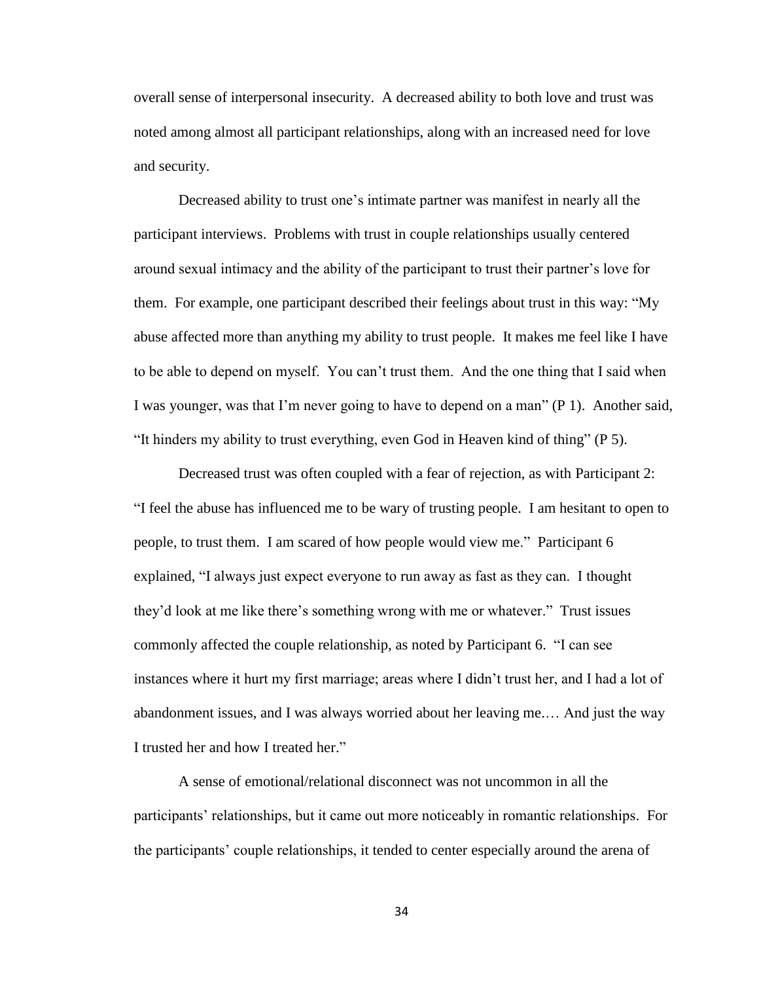overall sense of interpersonal insecurity. A decreased ability to both love and trust was noted among almost all participant relationships, along with an increased need for love and security.

Decreased ability to trust one's intimate partner was manifest in nearly all the participant interviews. Problems with trust in couple relationships usually centered around sexual intimacy and the ability of the participant to trust their partner's love for them. For example, one participant described their feelings about trust in this way: "My abuse affected more than anything my ability to trust people. It makes me feel like I have to be able to depend on myself. You can't trust them. And the one thing that I said when I was younger, was that I'm never going to have to depend on a man" (P 1). Another said, "It hinders my ability to trust everything, even God in Heaven kind of thing" (P 5).

Decreased trust was often coupled with a fear of rejection, as with Participant 2: "I feel the abuse has influenced me to be wary of trusting people. I am hesitant to open to people, to trust them. I am scared of how people would view me." Participant 6 explained, "I always just expect everyone to run away as fast as they can. I thought they'd look at me like there's something wrong with me or whatever." Trust issues commonly affected the couple relationship, as noted by Participant 6. "I can see instances where it hurt my first marriage; areas where I didn't trust her, and I had a lot of abandonment issues, and I was always worried about her leaving me.… And just the way I trusted her and how I treated her."

A sense of emotional/relational disconnect was not uncommon in all the participants' relationships, but it came out more noticeably in romantic relationships. For the participants' couple relationships, it tended to center especially around the arena of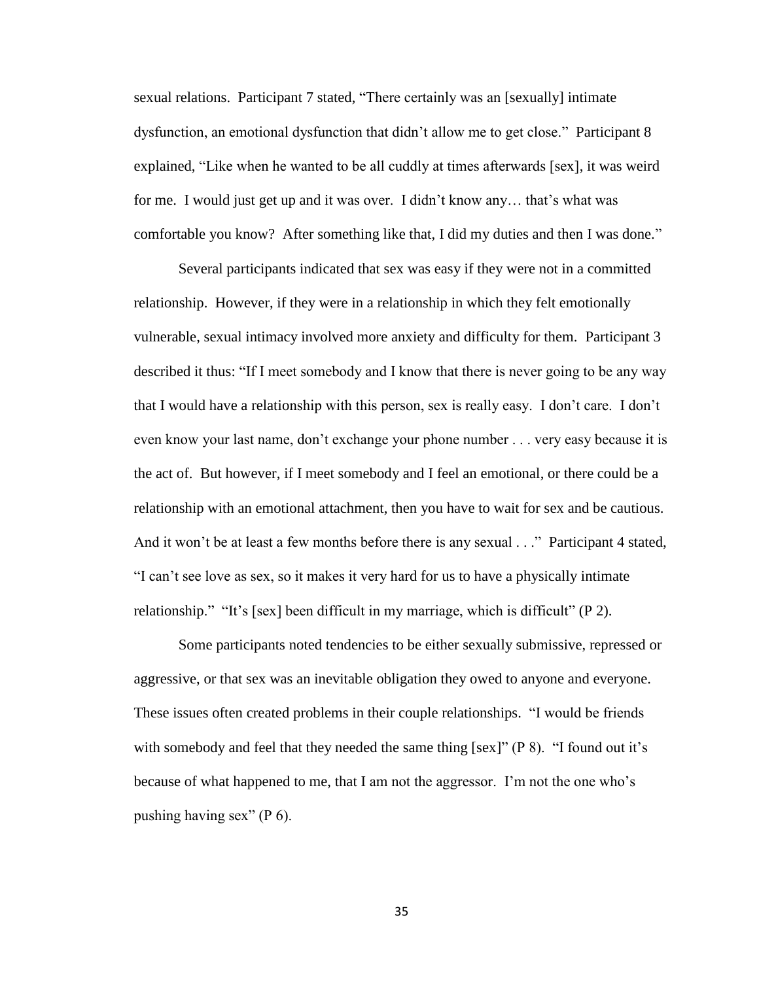sexual relations. Participant 7 stated, "There certainly was an [sexually] intimate dysfunction, an emotional dysfunction that didn't allow me to get close." Participant 8 explained, "Like when he wanted to be all cuddly at times afterwards [sex], it was weird for me. I would just get up and it was over. I didn't know any… that's what was comfortable you know? After something like that, I did my duties and then I was done."

Several participants indicated that sex was easy if they were not in a committed relationship. However, if they were in a relationship in which they felt emotionally vulnerable, sexual intimacy involved more anxiety and difficulty for them. Participant 3 described it thus: "If I meet somebody and I know that there is never going to be any way that I would have a relationship with this person, sex is really easy. I don't care. I don't even know your last name, don't exchange your phone number . . . very easy because it is the act of. But however, if I meet somebody and I feel an emotional, or there could be a relationship with an emotional attachment, then you have to wait for sex and be cautious. And it won't be at least a few months before there is any sexual . . ." Participant 4 stated, "I can't see love as sex, so it makes it very hard for us to have a physically intimate relationship." "It's [sex] been difficult in my marriage, which is difficult" (P 2).

Some participants noted tendencies to be either sexually submissive, repressed or aggressive, or that sex was an inevitable obligation they owed to anyone and everyone. These issues often created problems in their couple relationships. "I would be friends with somebody and feel that they needed the same thing [sex]" (P 8). "I found out it's because of what happened to me, that I am not the aggressor. I'm not the one who's pushing having sex" (P 6).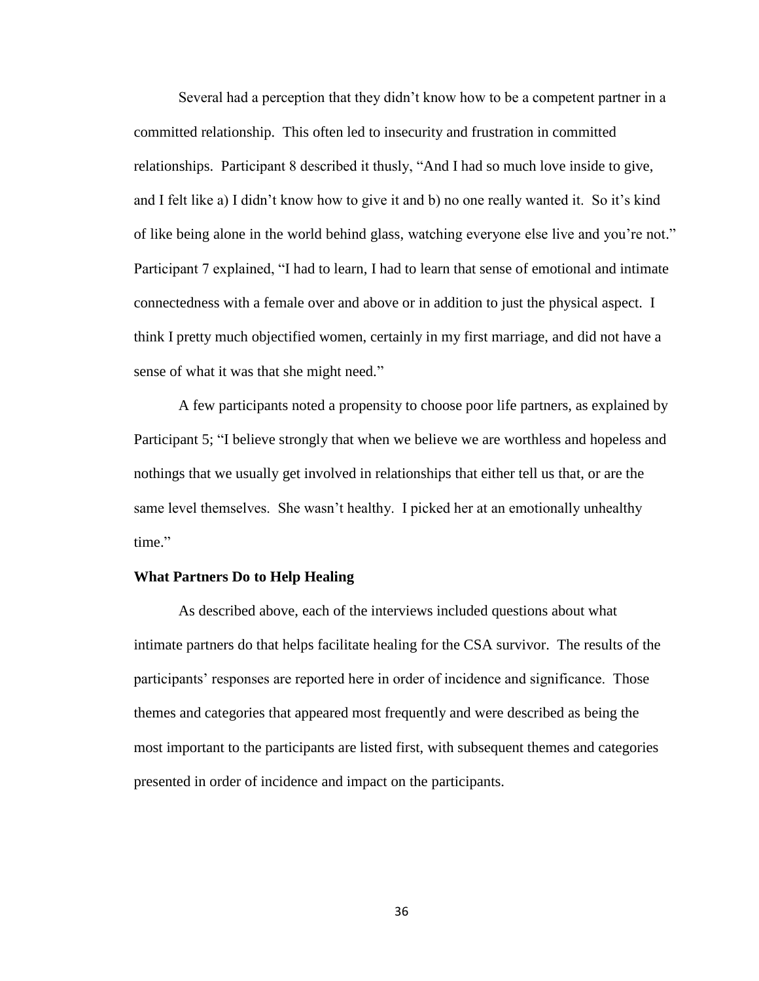Several had a perception that they didn't know how to be a competent partner in a committed relationship. This often led to insecurity and frustration in committed relationships. Participant 8 described it thusly, "And I had so much love inside to give, and I felt like a) I didn't know how to give it and b) no one really wanted it. So it's kind of like being alone in the world behind glass, watching everyone else live and you're not." Participant 7 explained, "I had to learn, I had to learn that sense of emotional and intimate connectedness with a female over and above or in addition to just the physical aspect. I think I pretty much objectified women, certainly in my first marriage, and did not have a sense of what it was that she might need."

A few participants noted a propensity to choose poor life partners, as explained by Participant 5; "I believe strongly that when we believe we are worthless and hopeless and nothings that we usually get involved in relationships that either tell us that, or are the same level themselves. She wasn't healthy. I picked her at an emotionally unhealthy time."

# **What Partners Do to Help Healing**

As described above, each of the interviews included questions about what intimate partners do that helps facilitate healing for the CSA survivor. The results of the participants' responses are reported here in order of incidence and significance. Those themes and categories that appeared most frequently and were described as being the most important to the participants are listed first, with subsequent themes and categories presented in order of incidence and impact on the participants.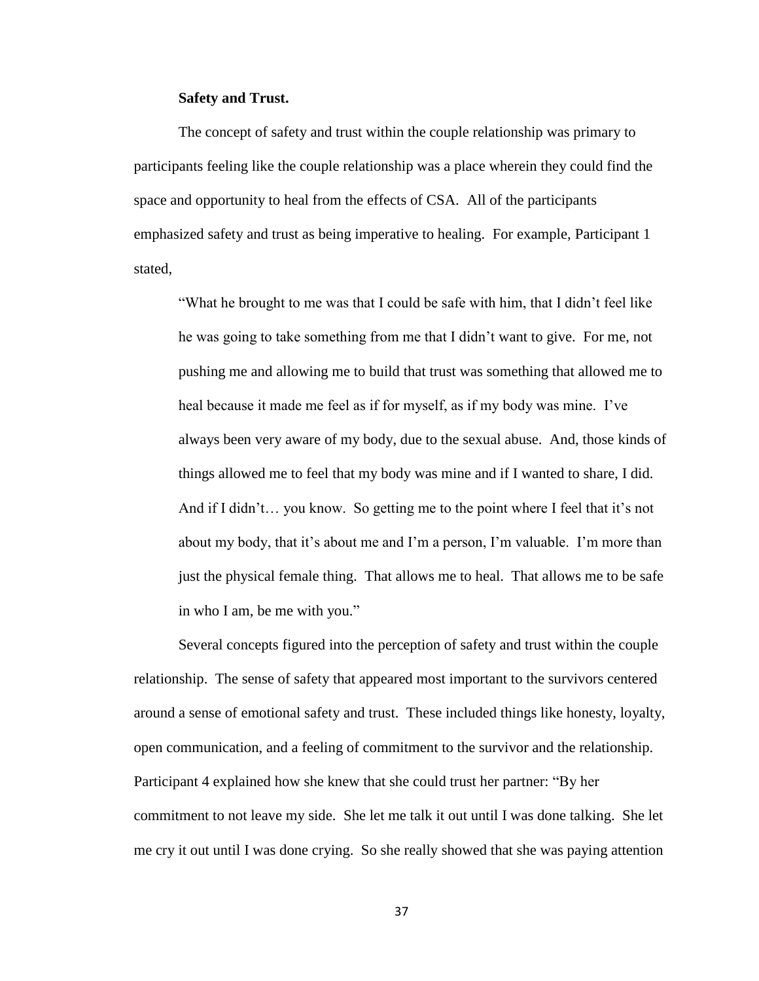# **Safety and Trust.**

The concept of safety and trust within the couple relationship was primary to participants feeling like the couple relationship was a place wherein they could find the space and opportunity to heal from the effects of CSA. All of the participants emphasized safety and trust as being imperative to healing. For example, Participant 1 stated,

"What he brought to me was that I could be safe with him, that I didn't feel like he was going to take something from me that I didn't want to give. For me, not pushing me and allowing me to build that trust was something that allowed me to heal because it made me feel as if for myself, as if my body was mine. I've always been very aware of my body, due to the sexual abuse. And, those kinds of things allowed me to feel that my body was mine and if I wanted to share, I did. And if I didn't… you know. So getting me to the point where I feel that it's not about my body, that it's about me and I'm a person, I'm valuable. I'm more than just the physical female thing. That allows me to heal. That allows me to be safe in who I am, be me with you."

Several concepts figured into the perception of safety and trust within the couple relationship. The sense of safety that appeared most important to the survivors centered around a sense of emotional safety and trust. These included things like honesty, loyalty, open communication, and a feeling of commitment to the survivor and the relationship. Participant 4 explained how she knew that she could trust her partner: "By her commitment to not leave my side. She let me talk it out until I was done talking. She let me cry it out until I was done crying. So she really showed that she was paying attention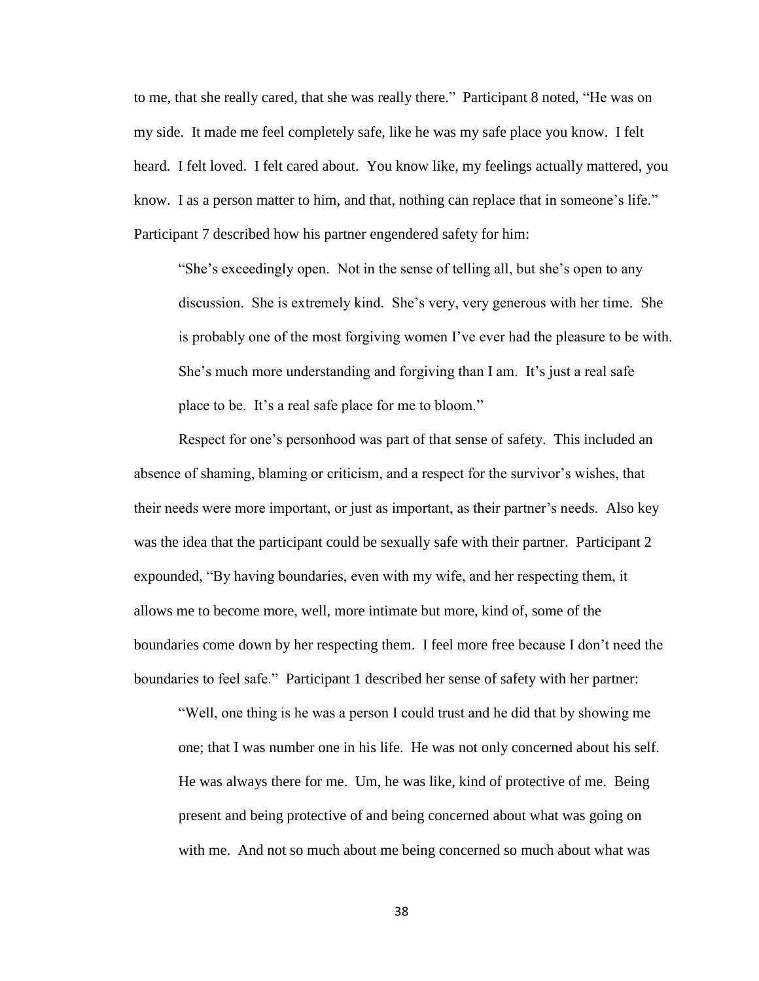to me, that she really cared, that she was really there." Participant 8 noted, "He was on my side. It made me feel completely safe, like he was my safe place you know. I felt heard. I felt loved. I felt cared about. You know like, my feelings actually mattered, you know. I as a person matter to him, and that, nothing can replace that in someone's life." Participant 7 described how his partner engendered safety for him:

"She's exceedingly open. Not in the sense of telling all, but she's open to any discussion. She is extremely kind. She's very, very generous with her time. She is probably one of the most forgiving women I've ever had the pleasure to be with. She's much more understanding and forgiving than I am. It's just a real safe place to be. It's a real safe place for me to bloom."

Respect for one's personhood was part of that sense of safety. This included an absence of shaming, blaming or criticism, and a respect for the survivor's wishes, that their needs were more important, or just as important, as their partner's needs. Also key was the idea that the participant could be sexually safe with their partner. Participant 2 expounded, "By having boundaries, even with my wife, and her respecting them, it allows me to become more, well, more intimate but more, kind of, some of the boundaries come down by her respecting them. I feel more free because I don't need the boundaries to feel safe." Participant 1 described her sense of safety with her partner:

"Well, one thing is he was a person I could trust and he did that by showing me one; that I was number one in his life. He was not only concerned about his self. He was always there for me. Um, he was like, kind of protective of me. Being present and being protective of and being concerned about what was going on with me. And not so much about me being concerned so much about what was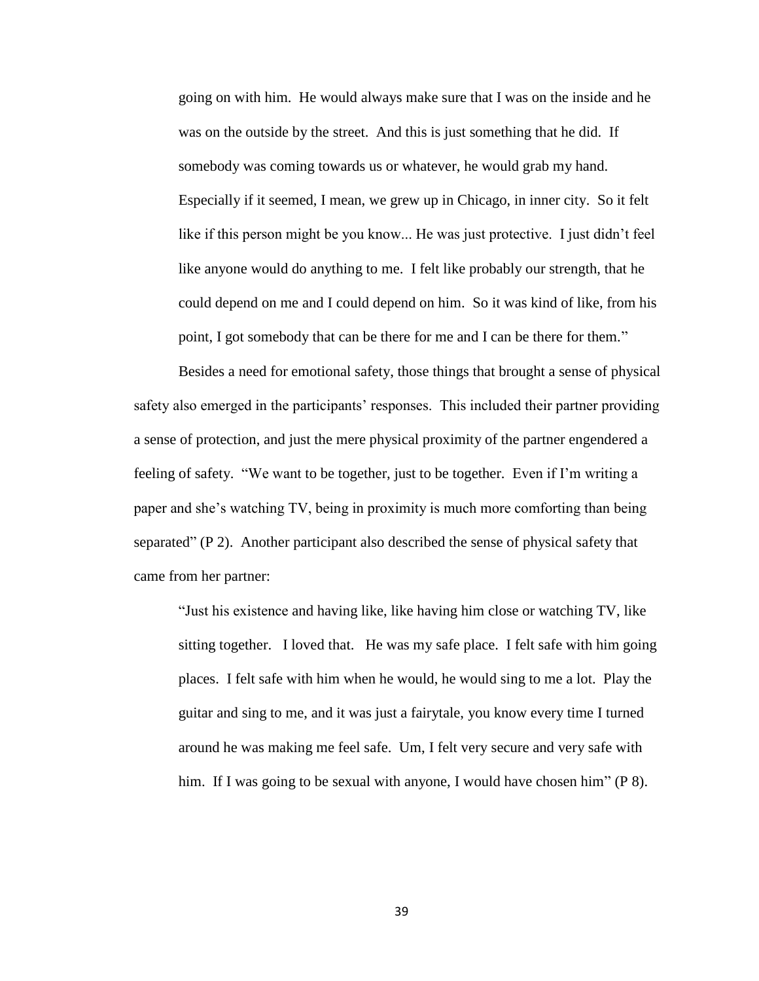going on with him. He would always make sure that I was on the inside and he was on the outside by the street. And this is just something that he did. If somebody was coming towards us or whatever, he would grab my hand. Especially if it seemed, I mean, we grew up in Chicago, in inner city. So it felt like if this person might be you know... He was just protective. I just didn't feel like anyone would do anything to me. I felt like probably our strength, that he could depend on me and I could depend on him. So it was kind of like, from his point, I got somebody that can be there for me and I can be there for them."

Besides a need for emotional safety, those things that brought a sense of physical safety also emerged in the participants' responses. This included their partner providing a sense of protection, and just the mere physical proximity of the partner engendered a feeling of safety. "We want to be together, just to be together. Even if I'm writing a paper and she's watching TV, being in proximity is much more comforting than being separated" (P 2). Another participant also described the sense of physical safety that came from her partner:

"Just his existence and having like, like having him close or watching TV, like sitting together. I loved that. He was my safe place. I felt safe with him going places. I felt safe with him when he would, he would sing to me a lot. Play the guitar and sing to me, and it was just a fairytale, you know every time I turned around he was making me feel safe. Um, I felt very secure and very safe with him. If I was going to be sexual with anyone, I would have chosen him" (P 8).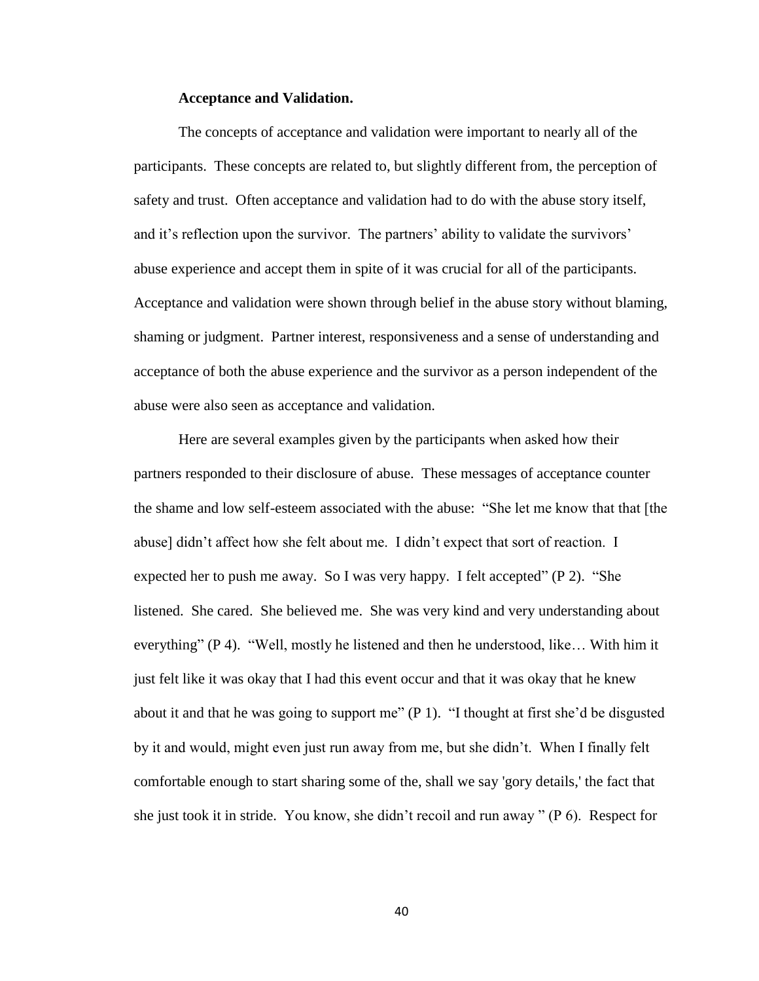#### **Acceptance and Validation.**

The concepts of acceptance and validation were important to nearly all of the participants. These concepts are related to, but slightly different from, the perception of safety and trust. Often acceptance and validation had to do with the abuse story itself, and it's reflection upon the survivor. The partners' ability to validate the survivors' abuse experience and accept them in spite of it was crucial for all of the participants. Acceptance and validation were shown through belief in the abuse story without blaming, shaming or judgment. Partner interest, responsiveness and a sense of understanding and acceptance of both the abuse experience and the survivor as a person independent of the abuse were also seen as acceptance and validation.

Here are several examples given by the participants when asked how their partners responded to their disclosure of abuse. These messages of acceptance counter the shame and low self-esteem associated with the abuse: "She let me know that that [the abuse] didn't affect how she felt about me. I didn't expect that sort of reaction. I expected her to push me away. So I was very happy. I felt accepted" (P 2). "She listened. She cared. She believed me. She was very kind and very understanding about everything" (P 4). "Well, mostly he listened and then he understood, like… With him it just felt like it was okay that I had this event occur and that it was okay that he knew about it and that he was going to support me" (P 1). "I thought at first she'd be disgusted by it and would, might even just run away from me, but she didn't. When I finally felt comfortable enough to start sharing some of the, shall we say 'gory details,' the fact that she just took it in stride. You know, she didn't recoil and run away "  $(P_0)$ . Respect for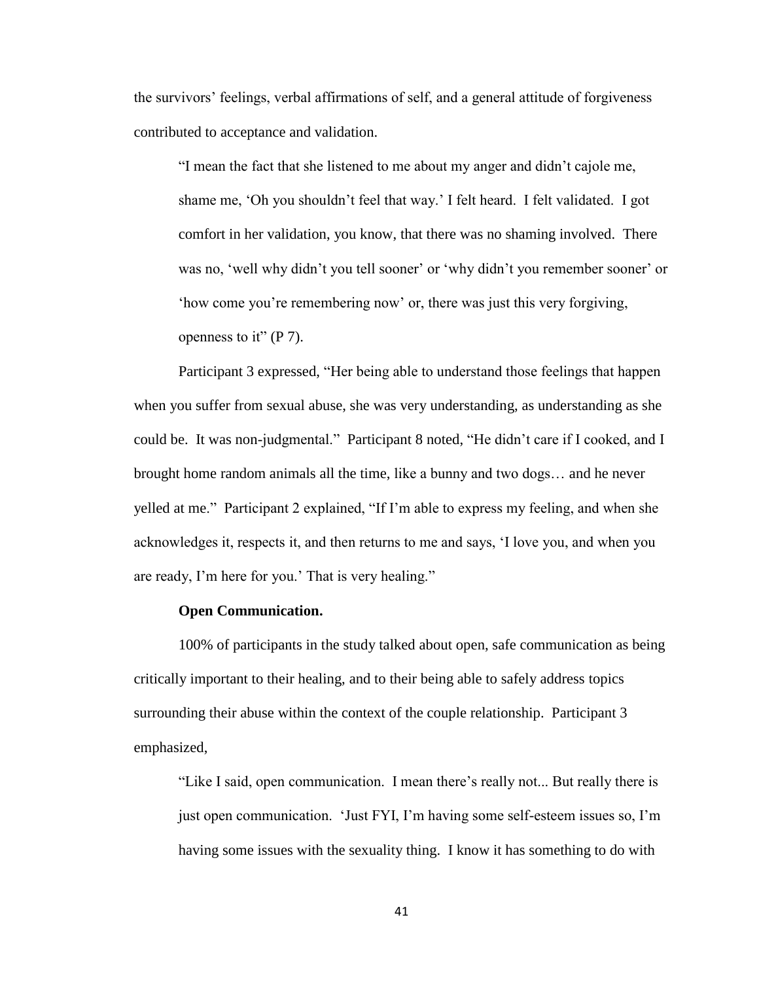the survivors' feelings, verbal affirmations of self, and a general attitude of forgiveness contributed to acceptance and validation.

"I mean the fact that she listened to me about my anger and didn't cajole me, shame me, 'Oh you shouldn't feel that way.' I felt heard. I felt validated. I got comfort in her validation, you know, that there was no shaming involved. There was no, 'well why didn't you tell sooner' or 'why didn't you remember sooner' or 'how come you're remembering now' or, there was just this very forgiving, openness to it"  $(P 7)$ .

Participant 3 expressed, "Her being able to understand those feelings that happen when you suffer from sexual abuse, she was very understanding, as understanding as she could be. It was non-judgmental." Participant 8 noted, "He didn't care if I cooked, and I brought home random animals all the time, like a bunny and two dogs… and he never yelled at me." Participant 2 explained, "If I'm able to express my feeling, and when she acknowledges it, respects it, and then returns to me and says, 'I love you, and when you are ready, I'm here for you.' That is very healing."

# **Open Communication.**

100% of participants in the study talked about open, safe communication as being critically important to their healing, and to their being able to safely address topics surrounding their abuse within the context of the couple relationship. Participant 3 emphasized,

"Like I said, open communication. I mean there's really not... But really there is just open communication. 'Just FYI, I'm having some self-esteem issues so, I'm having some issues with the sexuality thing. I know it has something to do with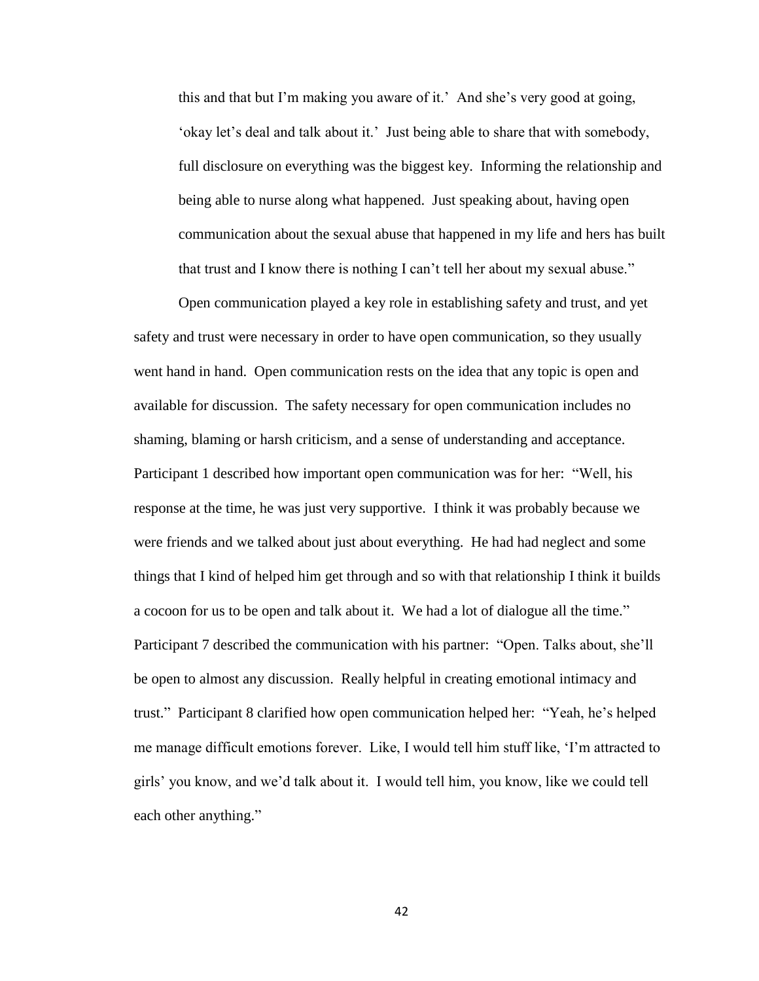this and that but I'm making you aware of it.' And she's very good at going, 'okay let's deal and talk about it.' Just being able to share that with somebody, full disclosure on everything was the biggest key. Informing the relationship and being able to nurse along what happened. Just speaking about, having open communication about the sexual abuse that happened in my life and hers has built that trust and I know there is nothing I can't tell her about my sexual abuse."

Open communication played a key role in establishing safety and trust, and yet safety and trust were necessary in order to have open communication, so they usually went hand in hand. Open communication rests on the idea that any topic is open and available for discussion. The safety necessary for open communication includes no shaming, blaming or harsh criticism, and a sense of understanding and acceptance. Participant 1 described how important open communication was for her: "Well, his response at the time, he was just very supportive. I think it was probably because we were friends and we talked about just about everything. He had had neglect and some things that I kind of helped him get through and so with that relationship I think it builds a cocoon for us to be open and talk about it. We had a lot of dialogue all the time." Participant 7 described the communication with his partner: "Open. Talks about, she'll be open to almost any discussion. Really helpful in creating emotional intimacy and trust." Participant 8 clarified how open communication helped her: "Yeah, he's helped me manage difficult emotions forever. Like, I would tell him stuff like, 'I'm attracted to girls' you know, and we'd talk about it. I would tell him, you know, like we could tell each other anything."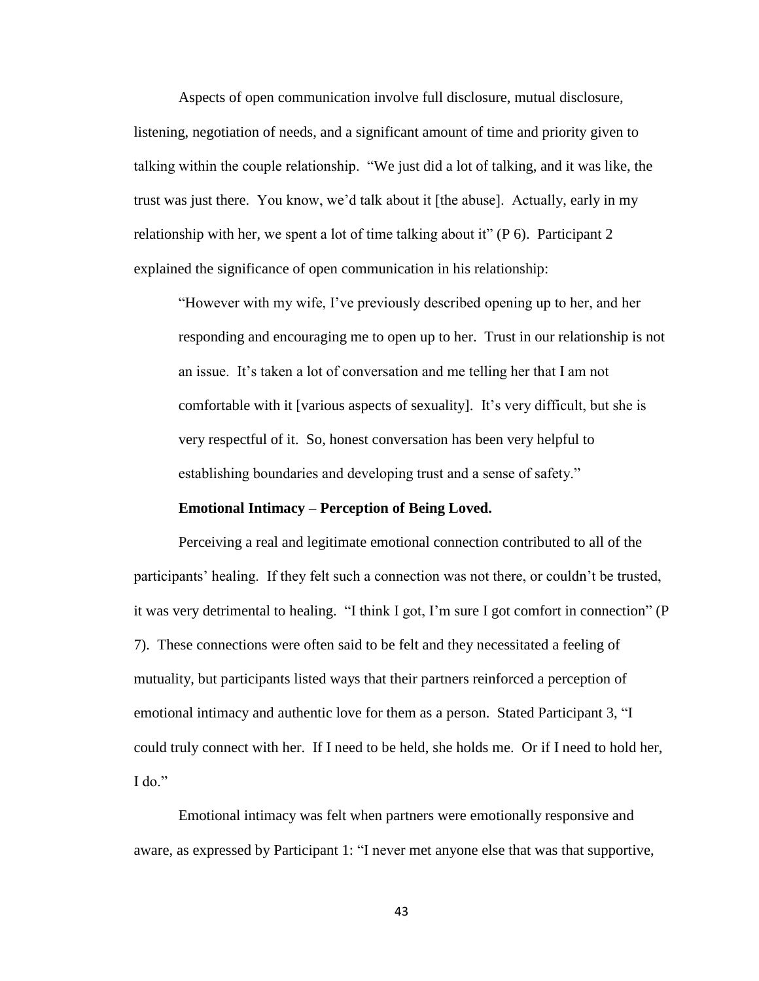Aspects of open communication involve full disclosure, mutual disclosure, listening, negotiation of needs, and a significant amount of time and priority given to talking within the couple relationship. "We just did a lot of talking, and it was like, the trust was just there. You know, we'd talk about it [the abuse]. Actually, early in my relationship with her, we spent a lot of time talking about it" (P 6). Participant 2 explained the significance of open communication in his relationship:

"However with my wife, I've previously described opening up to her, and her responding and encouraging me to open up to her. Trust in our relationship is not an issue. It's taken a lot of conversation and me telling her that I am not comfortable with it [various aspects of sexuality]. It's very difficult, but she is very respectful of it. So, honest conversation has been very helpful to establishing boundaries and developing trust and a sense of safety."

#### **Emotional Intimacy – Perception of Being Loved.**

Perceiving a real and legitimate emotional connection contributed to all of the participants' healing. If they felt such a connection was not there, or couldn't be trusted, it was very detrimental to healing. "I think I got, I'm sure I got comfort in connection" (P 7). These connections were often said to be felt and they necessitated a feeling of mutuality, but participants listed ways that their partners reinforced a perception of emotional intimacy and authentic love for them as a person. Stated Participant 3, "I could truly connect with her. If I need to be held, she holds me. Or if I need to hold her, I do."

Emotional intimacy was felt when partners were emotionally responsive and aware, as expressed by Participant 1: "I never met anyone else that was that supportive,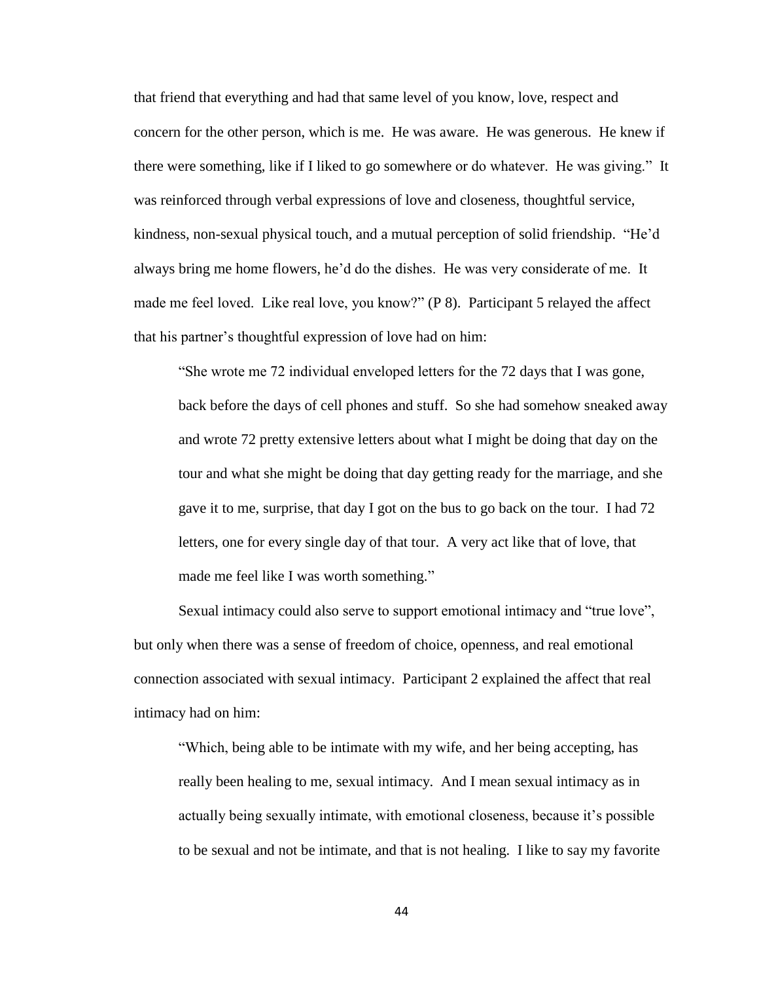that friend that everything and had that same level of you know, love, respect and concern for the other person, which is me. He was aware. He was generous. He knew if there were something, like if I liked to go somewhere or do whatever. He was giving." It was reinforced through verbal expressions of love and closeness, thoughtful service, kindness, non-sexual physical touch, and a mutual perception of solid friendship. "He'd always bring me home flowers, he'd do the dishes. He was very considerate of me. It made me feel loved. Like real love, you know?" (P 8). Participant 5 relayed the affect that his partner's thoughtful expression of love had on him:

"She wrote me 72 individual enveloped letters for the 72 days that I was gone, back before the days of cell phones and stuff. So she had somehow sneaked away and wrote 72 pretty extensive letters about what I might be doing that day on the tour and what she might be doing that day getting ready for the marriage, and she gave it to me, surprise, that day I got on the bus to go back on the tour. I had 72 letters, one for every single day of that tour. A very act like that of love, that made me feel like I was worth something."

Sexual intimacy could also serve to support emotional intimacy and "true love", but only when there was a sense of freedom of choice, openness, and real emotional connection associated with sexual intimacy. Participant 2 explained the affect that real intimacy had on him:

"Which, being able to be intimate with my wife, and her being accepting, has really been healing to me, sexual intimacy. And I mean sexual intimacy as in actually being sexually intimate, with emotional closeness, because it's possible to be sexual and not be intimate, and that is not healing. I like to say my favorite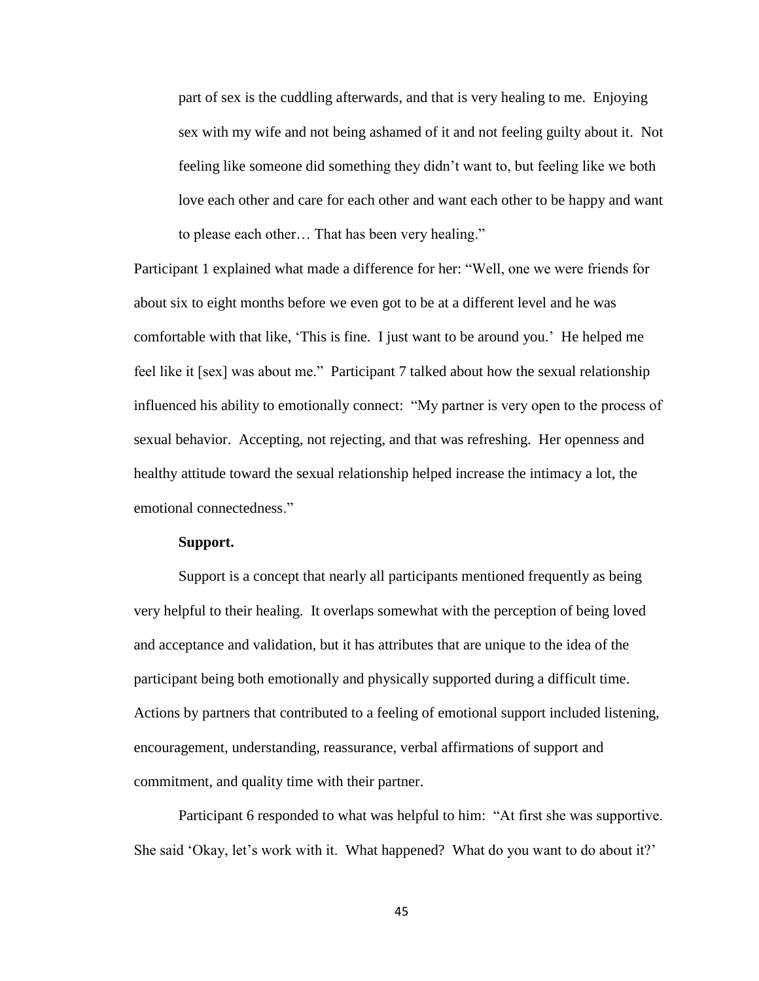part of sex is the cuddling afterwards, and that is very healing to me. Enjoying sex with my wife and not being ashamed of it and not feeling guilty about it. Not feeling like someone did something they didn't want to, but feeling like we both love each other and care for each other and want each other to be happy and want to please each other… That has been very healing."

Participant 1 explained what made a difference for her: "Well, one we were friends for about six to eight months before we even got to be at a different level and he was comfortable with that like, 'This is fine. I just want to be around you.' He helped me feel like it [sex] was about me." Participant 7 talked about how the sexual relationship influenced his ability to emotionally connect: "My partner is very open to the process of sexual behavior. Accepting, not rejecting, and that was refreshing. Her openness and healthy attitude toward the sexual relationship helped increase the intimacy a lot, the emotional connectedness."

### **Support.**

Support is a concept that nearly all participants mentioned frequently as being very helpful to their healing. It overlaps somewhat with the perception of being loved and acceptance and validation, but it has attributes that are unique to the idea of the participant being both emotionally and physically supported during a difficult time. Actions by partners that contributed to a feeling of emotional support included listening, encouragement, understanding, reassurance, verbal affirmations of support and commitment, and quality time with their partner.

Participant 6 responded to what was helpful to him: "At first she was supportive. She said 'Okay, let's work with it. What happened? What do you want to do about it?'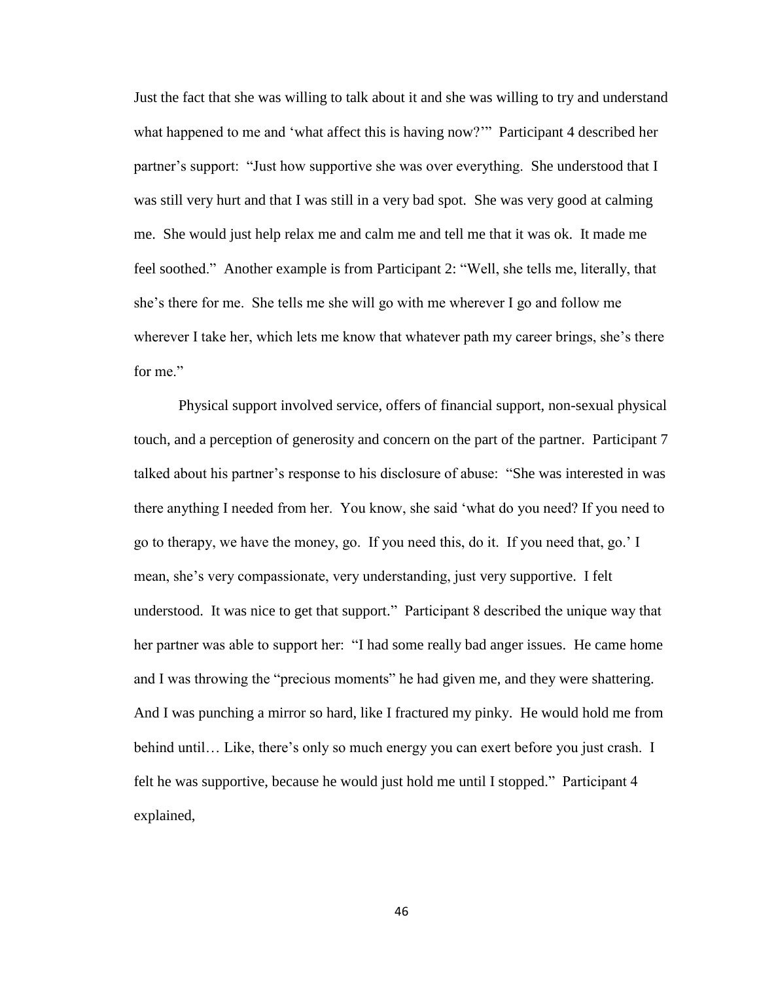Just the fact that she was willing to talk about it and she was willing to try and understand what happened to me and 'what affect this is having now?'" Participant 4 described her partner's support: "Just how supportive she was over everything. She understood that I was still very hurt and that I was still in a very bad spot. She was very good at calming me. She would just help relax me and calm me and tell me that it was ok. It made me feel soothed." Another example is from Participant 2: "Well, she tells me, literally, that she's there for me. She tells me she will go with me wherever I go and follow me wherever I take her, which lets me know that whatever path my career brings, she's there for me"

Physical support involved service, offers of financial support, non-sexual physical touch, and a perception of generosity and concern on the part of the partner. Participant 7 talked about his partner's response to his disclosure of abuse: "She was interested in was there anything I needed from her. You know, she said 'what do you need? If you need to go to therapy, we have the money, go. If you need this, do it. If you need that, go.' I mean, she's very compassionate, very understanding, just very supportive. I felt understood. It was nice to get that support." Participant 8 described the unique way that her partner was able to support her: "I had some really bad anger issues. He came home and I was throwing the "precious moments" he had given me, and they were shattering. And I was punching a mirror so hard, like I fractured my pinky. He would hold me from behind until… Like, there's only so much energy you can exert before you just crash. I felt he was supportive, because he would just hold me until I stopped." Participant 4 explained,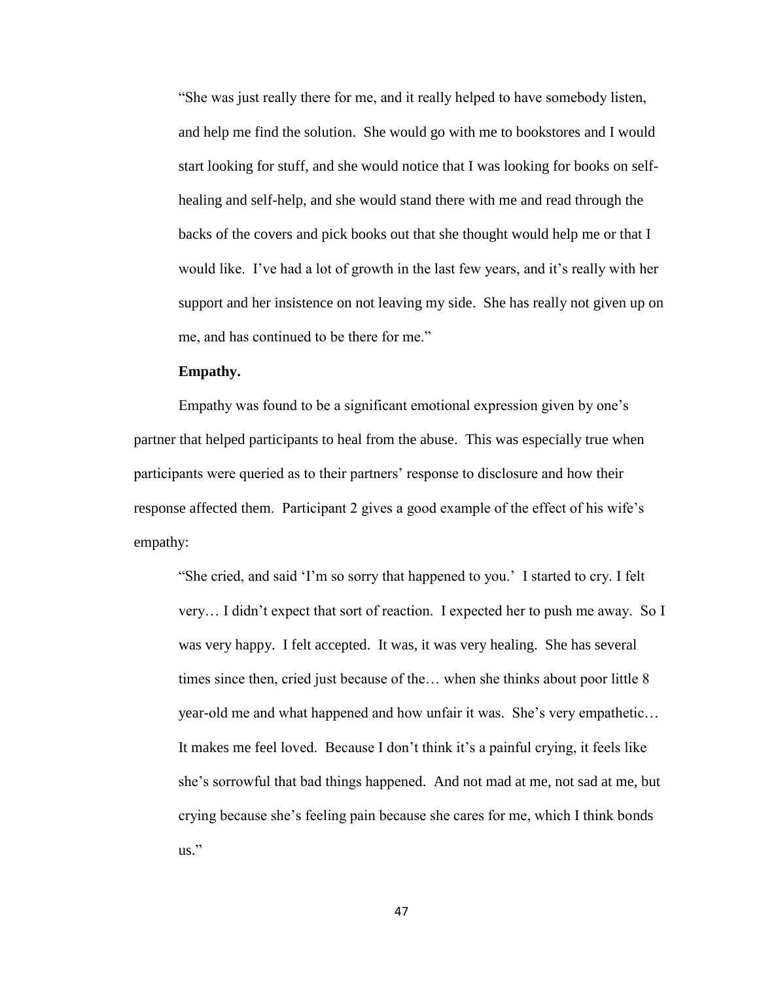"She was just really there for me, and it really helped to have somebody listen, and help me find the solution. She would go with me to bookstores and I would start looking for stuff, and she would notice that I was looking for books on selfhealing and self-help, and she would stand there with me and read through the backs of the covers and pick books out that she thought would help me or that I would like. I've had a lot of growth in the last few years, and it's really with her support and her insistence on not leaving my side. She has really not given up on me, and has continued to be there for me."

# **Empathy.**

Empathy was found to be a significant emotional expression given by one's partner that helped participants to heal from the abuse. This was especially true when participants were queried as to their partners' response to disclosure and how their response affected them. Participant 2 gives a good example of the effect of his wife's empathy:

"She cried, and said 'I'm so sorry that happened to you.' I started to cry. I felt very… I didn't expect that sort of reaction. I expected her to push me away. So I was very happy. I felt accepted. It was, it was very healing. She has several times since then, cried just because of the… when she thinks about poor little 8 year-old me and what happened and how unfair it was. She's very empathetic… It makes me feel loved. Because I don't think it's a painful crying, it feels like she's sorrowful that bad things happened. And not mad at me, not sad at me, but crying because she's feeling pain because she cares for me, which I think bonds us."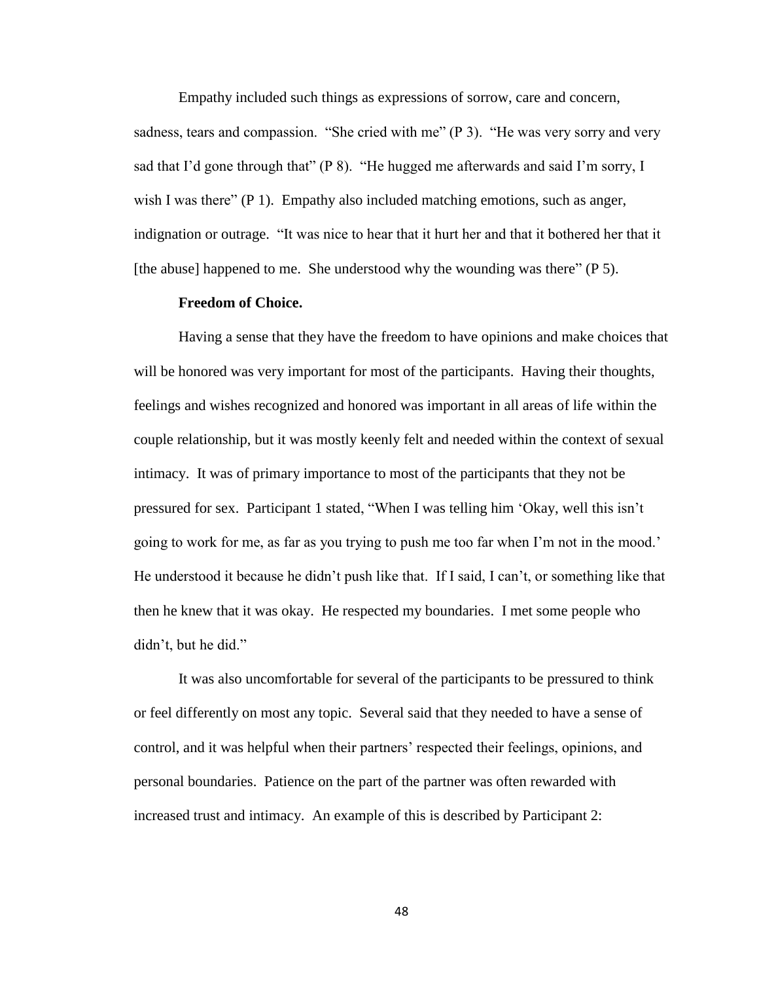Empathy included such things as expressions of sorrow, care and concern, sadness, tears and compassion. "She cried with me" (P 3). "He was very sorry and very sad that I'd gone through that" (P 8). "He hugged me afterwards and said I'm sorry, I wish I was there" (P 1). Empathy also included matching emotions, such as anger, indignation or outrage. "It was nice to hear that it hurt her and that it bothered her that it [the abuse] happened to me. She understood why the wounding was there" (P 5).

#### **Freedom of Choice.**

Having a sense that they have the freedom to have opinions and make choices that will be honored was very important for most of the participants. Having their thoughts, feelings and wishes recognized and honored was important in all areas of life within the couple relationship, but it was mostly keenly felt and needed within the context of sexual intimacy. It was of primary importance to most of the participants that they not be pressured for sex. Participant 1 stated, "When I was telling him 'Okay, well this isn't going to work for me, as far as you trying to push me too far when I'm not in the mood.' He understood it because he didn't push like that. If I said, I can't, or something like that then he knew that it was okay. He respected my boundaries. I met some people who didn't, but he did."

It was also uncomfortable for several of the participants to be pressured to think or feel differently on most any topic. Several said that they needed to have a sense of control, and it was helpful when their partners' respected their feelings, opinions, and personal boundaries. Patience on the part of the partner was often rewarded with increased trust and intimacy. An example of this is described by Participant 2: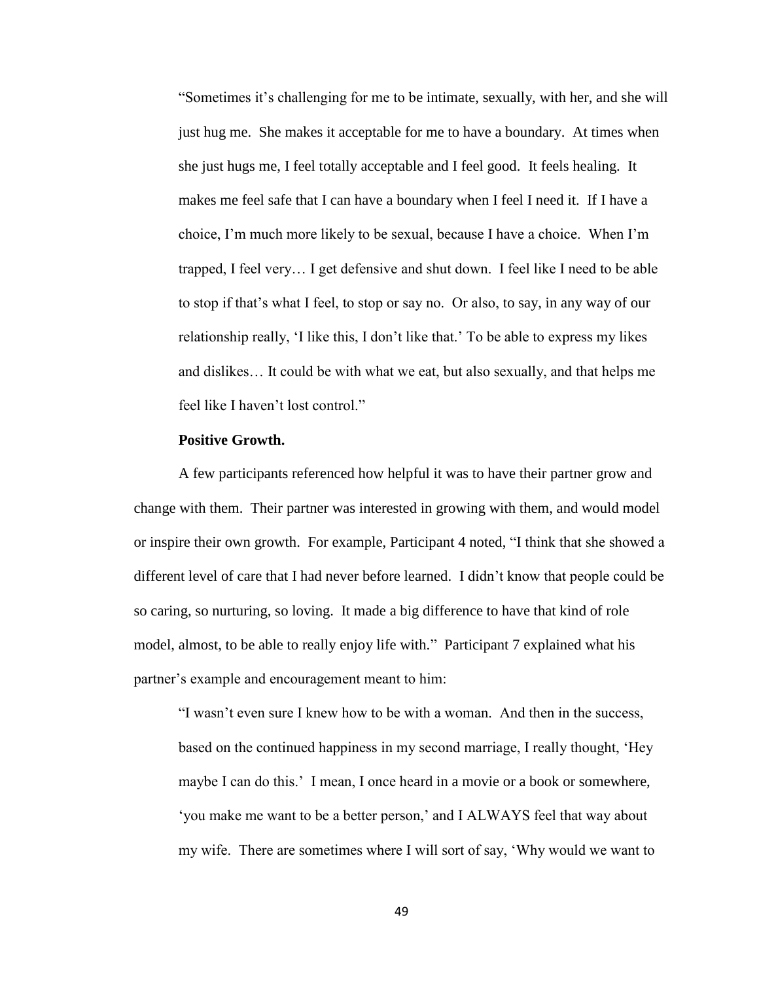"Sometimes it's challenging for me to be intimate, sexually, with her, and she will just hug me. She makes it acceptable for me to have a boundary. At times when she just hugs me, I feel totally acceptable and I feel good. It feels healing. It makes me feel safe that I can have a boundary when I feel I need it. If I have a choice, I'm much more likely to be sexual, because I have a choice. When I'm trapped, I feel very… I get defensive and shut down. I feel like I need to be able to stop if that's what I feel, to stop or say no. Or also, to say, in any way of our relationship really, 'I like this, I don't like that.' To be able to express my likes and dislikes… It could be with what we eat, but also sexually, and that helps me feel like I haven't lost control."

#### **Positive Growth.**

A few participants referenced how helpful it was to have their partner grow and change with them. Their partner was interested in growing with them, and would model or inspire their own growth. For example, Participant 4 noted, "I think that she showed a different level of care that I had never before learned. I didn't know that people could be so caring, so nurturing, so loving. It made a big difference to have that kind of role model, almost, to be able to really enjoy life with." Participant 7 explained what his partner's example and encouragement meant to him:

"I wasn't even sure I knew how to be with a woman. And then in the success, based on the continued happiness in my second marriage, I really thought, 'Hey maybe I can do this.' I mean, I once heard in a movie or a book or somewhere, 'you make me want to be a better person,' and I ALWAYS feel that way about my wife. There are sometimes where I will sort of say, 'Why would we want to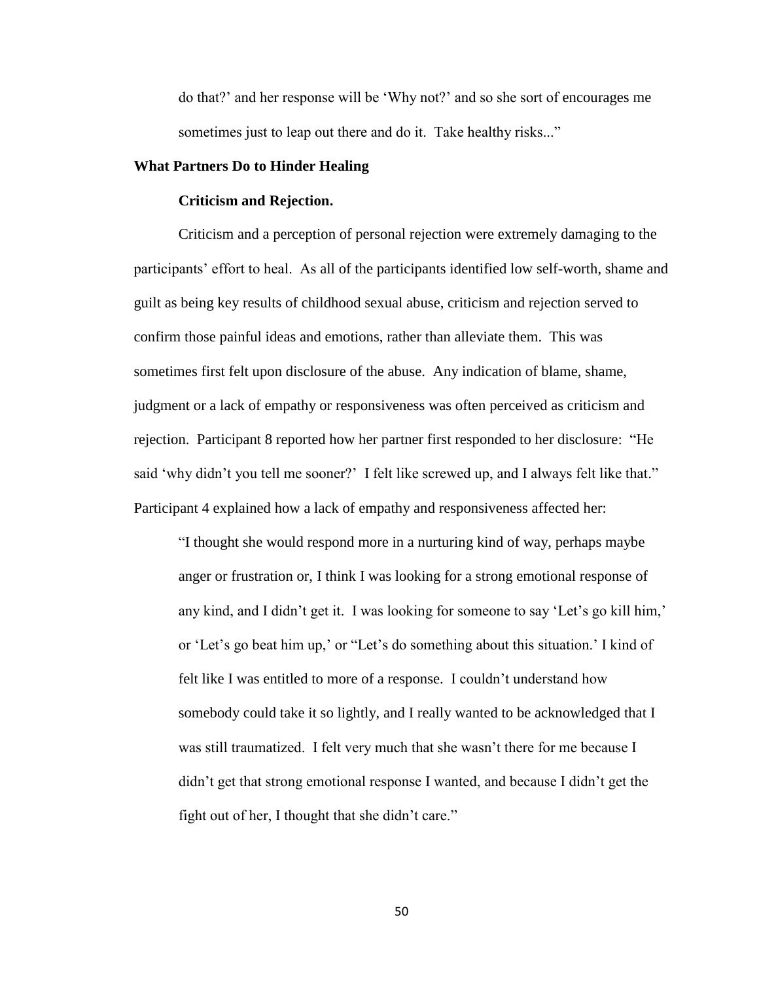do that?' and her response will be 'Why not?' and so she sort of encourages me sometimes just to leap out there and do it. Take healthy risks..."

# **What Partners Do to Hinder Healing**

# **Criticism and Rejection.**

Criticism and a perception of personal rejection were extremely damaging to the participants' effort to heal. As all of the participants identified low self-worth, shame and guilt as being key results of childhood sexual abuse, criticism and rejection served to confirm those painful ideas and emotions, rather than alleviate them. This was sometimes first felt upon disclosure of the abuse. Any indication of blame, shame, judgment or a lack of empathy or responsiveness was often perceived as criticism and rejection. Participant 8 reported how her partner first responded to her disclosure: "He said 'why didn't you tell me sooner?' I felt like screwed up, and I always felt like that." Participant 4 explained how a lack of empathy and responsiveness affected her:

"I thought she would respond more in a nurturing kind of way, perhaps maybe anger or frustration or, I think I was looking for a strong emotional response of any kind, and I didn't get it. I was looking for someone to say 'Let's go kill him,' or 'Let's go beat him up,' or "Let's do something about this situation.' I kind of felt like I was entitled to more of a response. I couldn't understand how somebody could take it so lightly, and I really wanted to be acknowledged that I was still traumatized. I felt very much that she wasn't there for me because I didn't get that strong emotional response I wanted, and because I didn't get the fight out of her, I thought that she didn't care."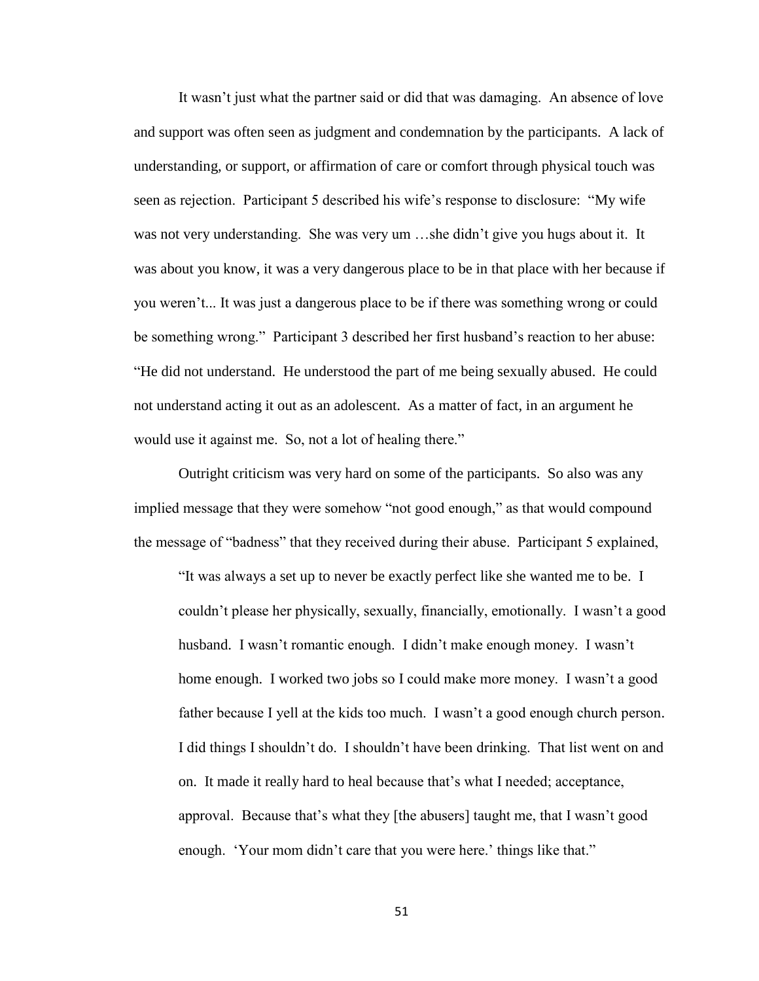It wasn't just what the partner said or did that was damaging. An absence of love and support was often seen as judgment and condemnation by the participants. A lack of understanding, or support, or affirmation of care or comfort through physical touch was seen as rejection. Participant 5 described his wife's response to disclosure: "My wife was not very understanding. She was very um …she didn't give you hugs about it. It was about you know, it was a very dangerous place to be in that place with her because if you weren't... It was just a dangerous place to be if there was something wrong or could be something wrong." Participant 3 described her first husband's reaction to her abuse: "He did not understand. He understood the part of me being sexually abused. He could not understand acting it out as an adolescent. As a matter of fact, in an argument he would use it against me. So, not a lot of healing there."

Outright criticism was very hard on some of the participants. So also was any implied message that they were somehow "not good enough," as that would compound the message of "badness" that they received during their abuse. Participant 5 explained,

"It was always a set up to never be exactly perfect like she wanted me to be. I couldn't please her physically, sexually, financially, emotionally. I wasn't a good husband. I wasn't romantic enough. I didn't make enough money. I wasn't home enough. I worked two jobs so I could make more money. I wasn't a good father because I yell at the kids too much. I wasn't a good enough church person. I did things I shouldn't do. I shouldn't have been drinking. That list went on and on. It made it really hard to heal because that's what I needed; acceptance, approval. Because that's what they [the abusers] taught me, that I wasn't good enough. 'Your mom didn't care that you were here.' things like that."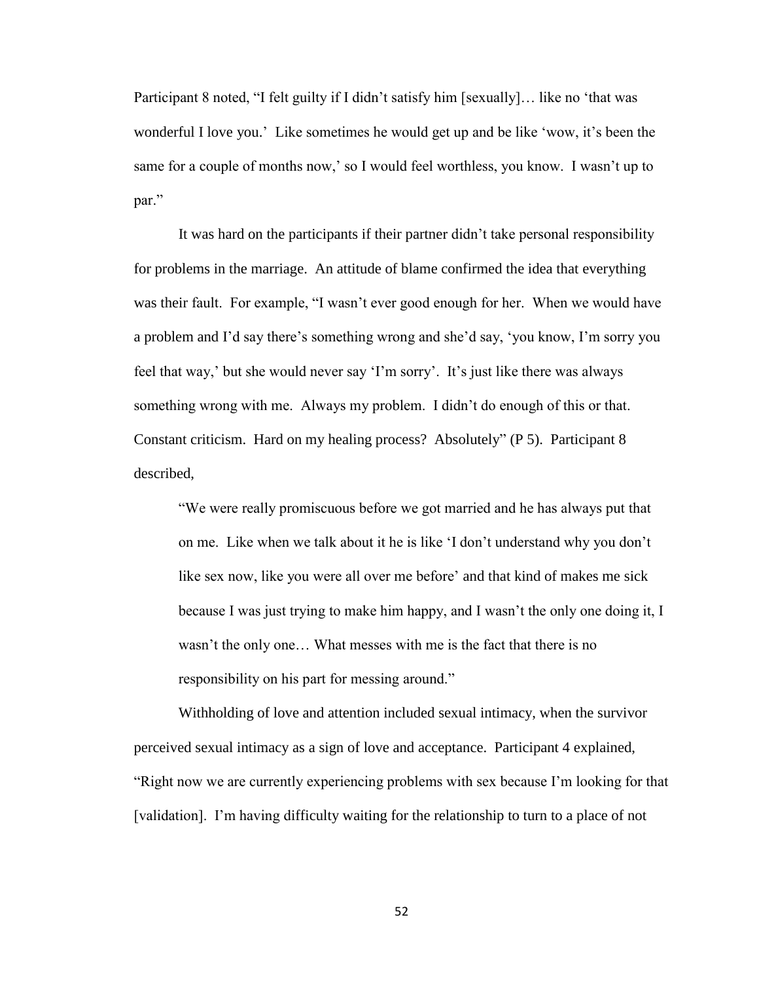Participant 8 noted, "I felt guilty if I didn't satisfy him [sexually]... like no 'that was wonderful I love you.' Like sometimes he would get up and be like 'wow, it's been the same for a couple of months now,' so I would feel worthless, you know. I wasn't up to par."

It was hard on the participants if their partner didn't take personal responsibility for problems in the marriage. An attitude of blame confirmed the idea that everything was their fault. For example, "I wasn't ever good enough for her. When we would have a problem and I'd say there's something wrong and she'd say, 'you know, I'm sorry you feel that way,' but she would never say 'I'm sorry'. It's just like there was always something wrong with me. Always my problem. I didn't do enough of this or that. Constant criticism. Hard on my healing process? Absolutely" (P 5). Participant 8 described,

"We were really promiscuous before we got married and he has always put that on me. Like when we talk about it he is like 'I don't understand why you don't like sex now, like you were all over me before' and that kind of makes me sick because I was just trying to make him happy, and I wasn't the only one doing it, I wasn't the only one… What messes with me is the fact that there is no responsibility on his part for messing around."

Withholding of love and attention included sexual intimacy, when the survivor perceived sexual intimacy as a sign of love and acceptance. Participant 4 explained, "Right now we are currently experiencing problems with sex because I'm looking for that [validation]. I'm having difficulty waiting for the relationship to turn to a place of not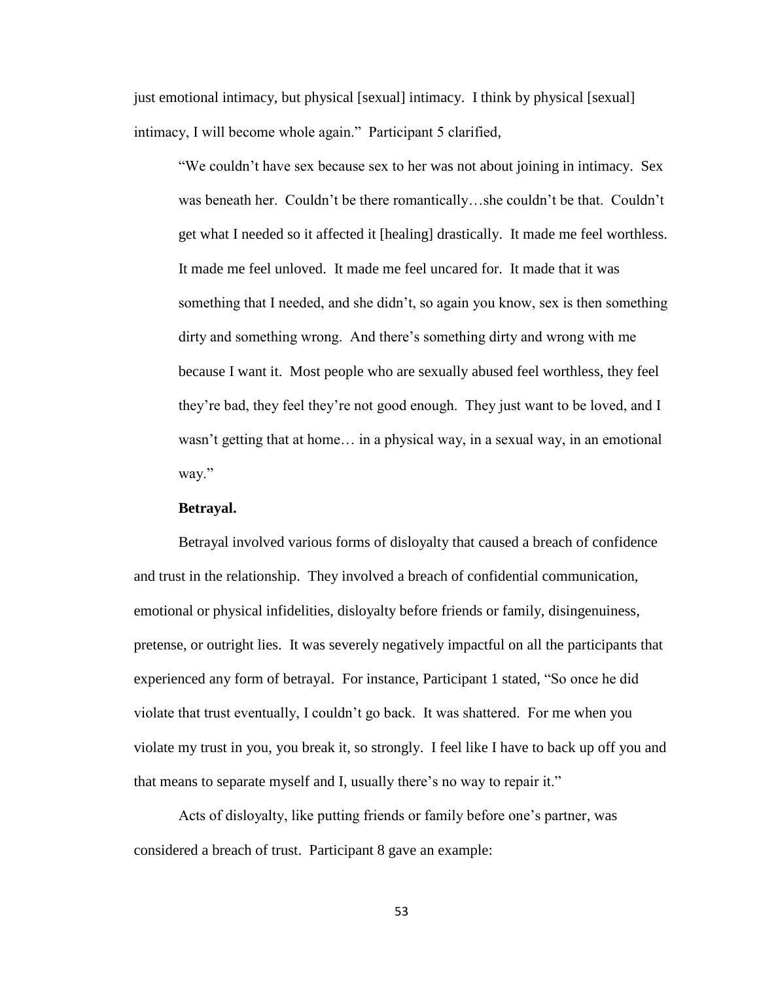just emotional intimacy, but physical [sexual] intimacy. I think by physical [sexual] intimacy, I will become whole again." Participant 5 clarified,

"We couldn't have sex because sex to her was not about joining in intimacy. Sex was beneath her. Couldn't be there romantically…she couldn't be that. Couldn't get what I needed so it affected it [healing] drastically. It made me feel worthless. It made me feel unloved. It made me feel uncared for. It made that it was something that I needed, and she didn't, so again you know, sex is then something dirty and something wrong. And there's something dirty and wrong with me because I want it. Most people who are sexually abused feel worthless, they feel they're bad, they feel they're not good enough. They just want to be loved, and I wasn't getting that at home… in a physical way, in a sexual way, in an emotional way."

# **Betrayal.**

Betrayal involved various forms of disloyalty that caused a breach of confidence and trust in the relationship. They involved a breach of confidential communication, emotional or physical infidelities, disloyalty before friends or family, disingenuiness, pretense, or outright lies. It was severely negatively impactful on all the participants that experienced any form of betrayal. For instance, Participant 1 stated, "So once he did violate that trust eventually, I couldn't go back. It was shattered. For me when you violate my trust in you, you break it, so strongly. I feel like I have to back up off you and that means to separate myself and I, usually there's no way to repair it."

Acts of disloyalty, like putting friends or family before one's partner, was considered a breach of trust. Participant 8 gave an example: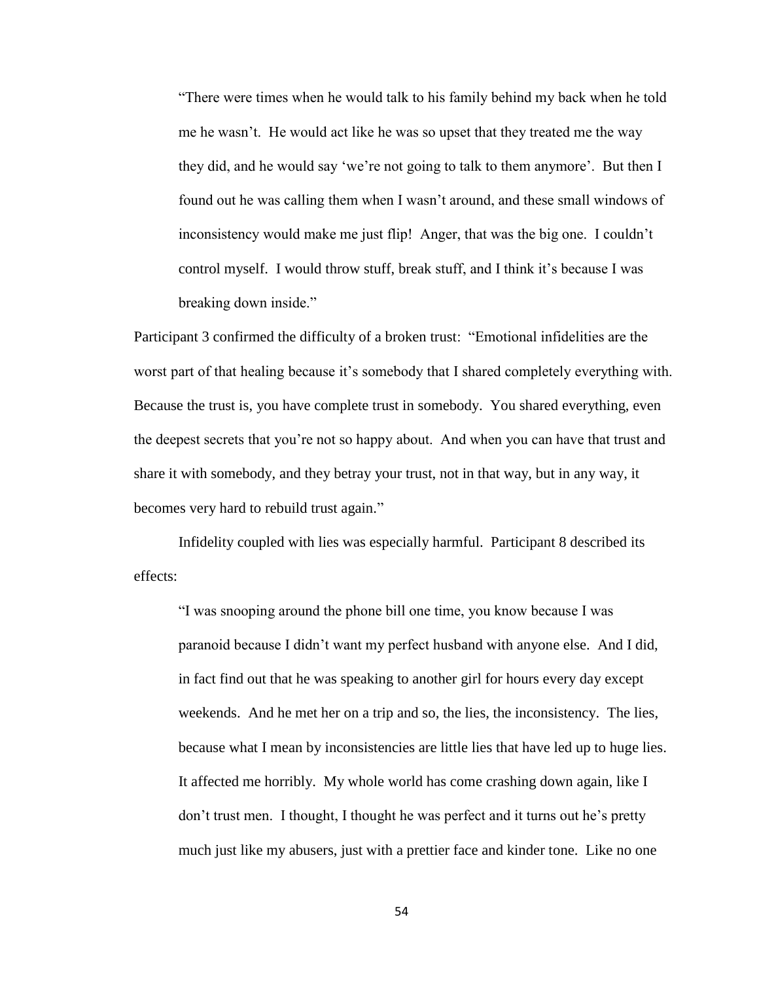"There were times when he would talk to his family behind my back when he told me he wasn't. He would act like he was so upset that they treated me the way they did, and he would say 'we're not going to talk to them anymore'. But then I found out he was calling them when I wasn't around, and these small windows of inconsistency would make me just flip! Anger, that was the big one. I couldn't control myself. I would throw stuff, break stuff, and I think it's because I was breaking down inside."

Participant 3 confirmed the difficulty of a broken trust: "Emotional infidelities are the worst part of that healing because it's somebody that I shared completely everything with. Because the trust is, you have complete trust in somebody. You shared everything, even the deepest secrets that you're not so happy about. And when you can have that trust and share it with somebody, and they betray your trust, not in that way, but in any way, it becomes very hard to rebuild trust again."

Infidelity coupled with lies was especially harmful. Participant 8 described its effects:

"I was snooping around the phone bill one time, you know because I was paranoid because I didn't want my perfect husband with anyone else. And I did, in fact find out that he was speaking to another girl for hours every day except weekends. And he met her on a trip and so, the lies, the inconsistency. The lies, because what I mean by inconsistencies are little lies that have led up to huge lies. It affected me horribly. My whole world has come crashing down again, like I don't trust men. I thought, I thought he was perfect and it turns out he's pretty much just like my abusers, just with a prettier face and kinder tone. Like no one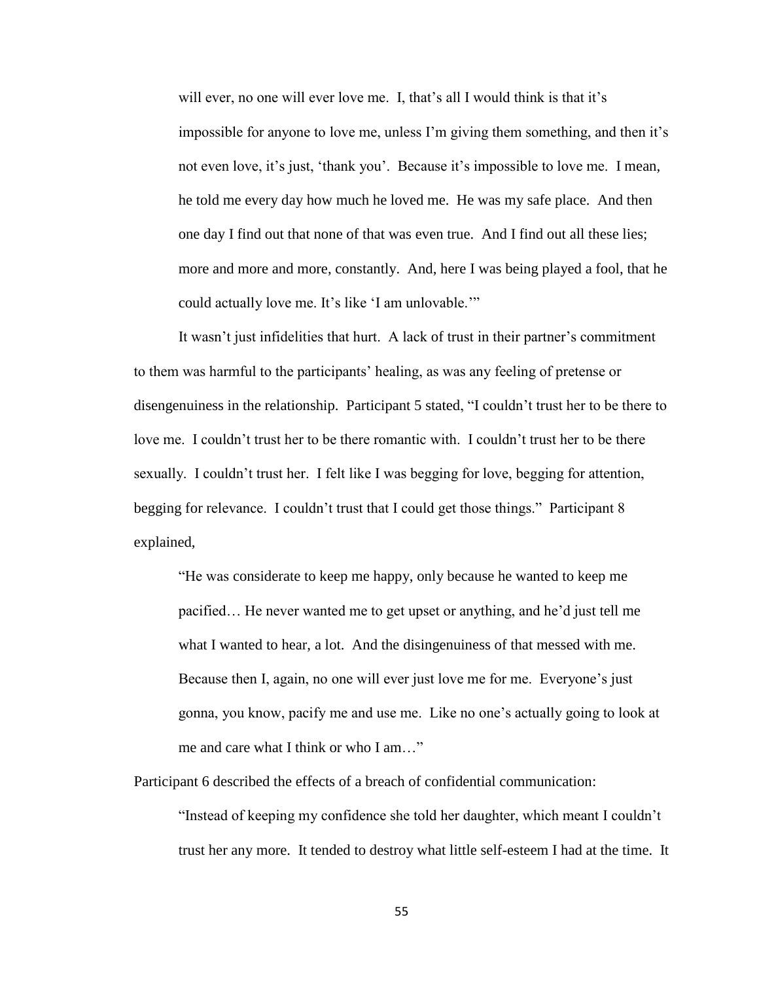will ever, no one will ever love me. I, that's all I would think is that it's impossible for anyone to love me, unless I'm giving them something, and then it's not even love, it's just, 'thank you'. Because it's impossible to love me. I mean, he told me every day how much he loved me. He was my safe place. And then one day I find out that none of that was even true. And I find out all these lies; more and more and more, constantly. And, here I was being played a fool, that he could actually love me. It's like 'I am unlovable.'"

It wasn't just infidelities that hurt. A lack of trust in their partner's commitment to them was harmful to the participants' healing, as was any feeling of pretense or disengenuiness in the relationship. Participant 5 stated, "I couldn't trust her to be there to love me. I couldn't trust her to be there romantic with. I couldn't trust her to be there sexually. I couldn't trust her. I felt like I was begging for love, begging for attention, begging for relevance. I couldn't trust that I could get those things." Participant 8 explained,

"He was considerate to keep me happy, only because he wanted to keep me pacified… He never wanted me to get upset or anything, and he'd just tell me what I wanted to hear, a lot. And the disingenuiness of that messed with me. Because then I, again, no one will ever just love me for me. Everyone's just gonna, you know, pacify me and use me. Like no one's actually going to look at me and care what I think or who I am…"

Participant 6 described the effects of a breach of confidential communication: "Instead of keeping my confidence she told her daughter, which meant I couldn't trust her any more. It tended to destroy what little self-esteem I had at the time. It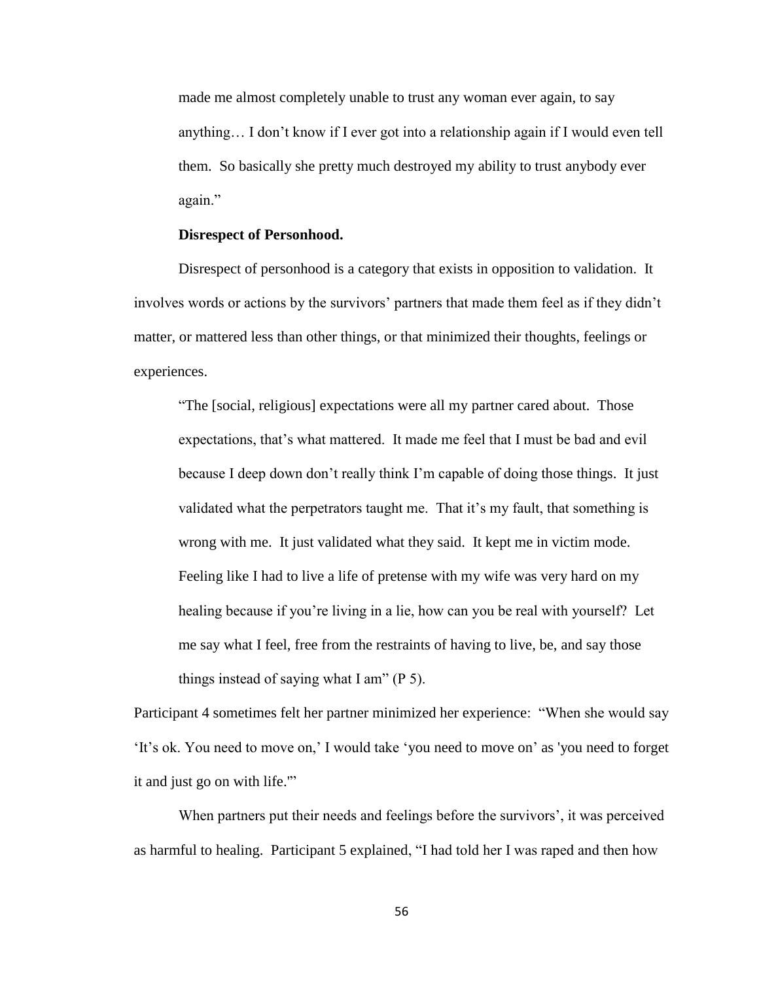made me almost completely unable to trust any woman ever again, to say anything… I don't know if I ever got into a relationship again if I would even tell them. So basically she pretty much destroyed my ability to trust anybody ever again."

## **Disrespect of Personhood.**

Disrespect of personhood is a category that exists in opposition to validation. It involves words or actions by the survivors' partners that made them feel as if they didn't matter, or mattered less than other things, or that minimized their thoughts, feelings or experiences.

"The [social, religious] expectations were all my partner cared about. Those expectations, that's what mattered. It made me feel that I must be bad and evil because I deep down don't really think I'm capable of doing those things. It just validated what the perpetrators taught me. That it's my fault, that something is wrong with me. It just validated what they said. It kept me in victim mode. Feeling like I had to live a life of pretense with my wife was very hard on my healing because if you're living in a lie, how can you be real with yourself? Let me say what I feel, free from the restraints of having to live, be, and say those things instead of saying what I am" (P 5).

Participant 4 sometimes felt her partner minimized her experience: "When she would say 'It's ok. You need to move on,' I would take 'you need to move on' as 'you need to forget it and just go on with life.'"

When partners put their needs and feelings before the survivors', it was perceived as harmful to healing. Participant 5 explained, "I had told her I was raped and then how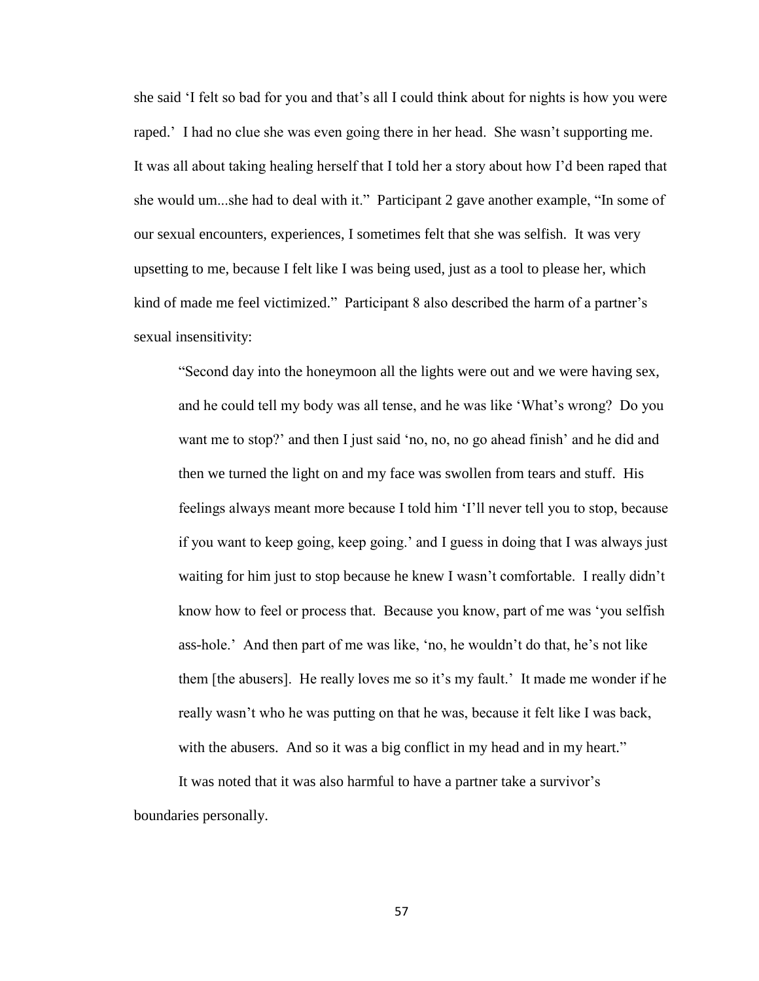she said 'I felt so bad for you and that's all I could think about for nights is how you were raped.' I had no clue she was even going there in her head. She wasn't supporting me. It was all about taking healing herself that I told her a story about how I'd been raped that she would um...she had to deal with it." Participant 2 gave another example, "In some of our sexual encounters, experiences, I sometimes felt that she was selfish. It was very upsetting to me, because I felt like I was being used, just as a tool to please her, which kind of made me feel victimized." Participant 8 also described the harm of a partner's sexual insensitivity:

"Second day into the honeymoon all the lights were out and we were having sex, and he could tell my body was all tense, and he was like 'What's wrong? Do you want me to stop?' and then I just said 'no, no, no go ahead finish' and he did and then we turned the light on and my face was swollen from tears and stuff. His feelings always meant more because I told him 'I'll never tell you to stop, because if you want to keep going, keep going.' and I guess in doing that I was always just waiting for him just to stop because he knew I wasn't comfortable. I really didn't know how to feel or process that. Because you know, part of me was 'you selfish ass-hole.' And then part of me was like, 'no, he wouldn't do that, he's not like them [the abusers]. He really loves me so it's my fault.' It made me wonder if he really wasn't who he was putting on that he was, because it felt like I was back, with the abusers. And so it was a big conflict in my head and in my heart."

It was noted that it was also harmful to have a partner take a survivor's boundaries personally.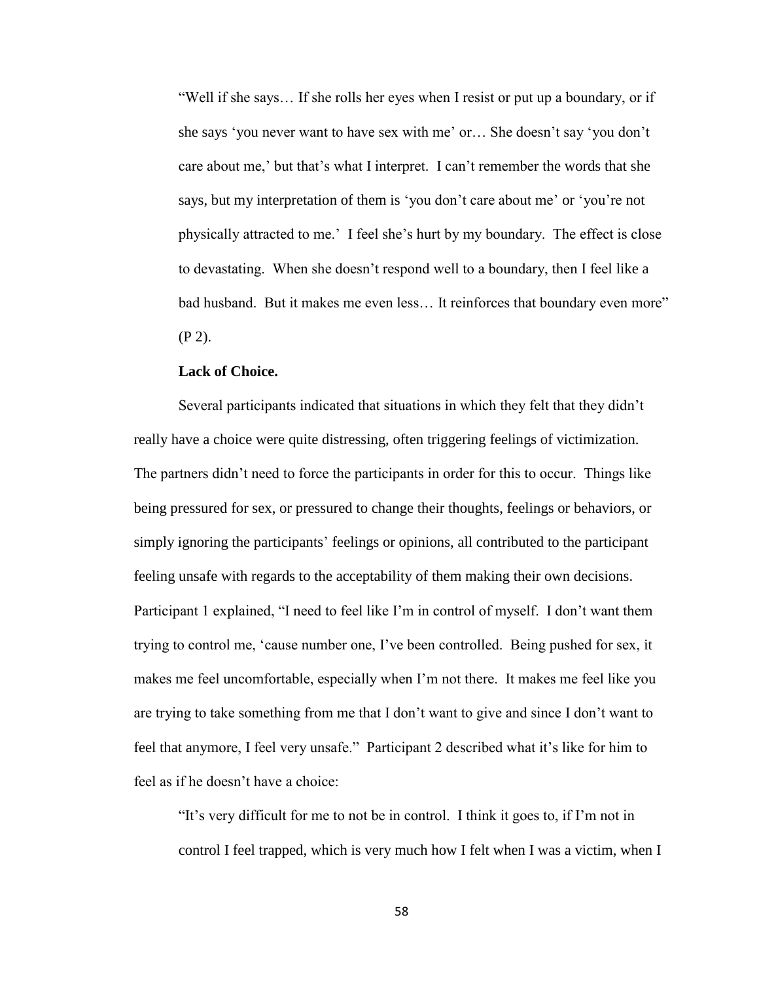"Well if she says… If she rolls her eyes when I resist or put up a boundary, or if she says 'you never want to have sex with me' or… She doesn't say 'you don't care about me,' but that's what I interpret. I can't remember the words that she says, but my interpretation of them is 'you don't care about me' or 'you're not physically attracted to me.' I feel she's hurt by my boundary. The effect is close to devastating. When she doesn't respond well to a boundary, then I feel like a bad husband. But it makes me even less... It reinforces that boundary even more" (P 2).

## **Lack of Choice.**

Several participants indicated that situations in which they felt that they didn't really have a choice were quite distressing, often triggering feelings of victimization. The partners didn't need to force the participants in order for this to occur. Things like being pressured for sex, or pressured to change their thoughts, feelings or behaviors, or simply ignoring the participants' feelings or opinions, all contributed to the participant feeling unsafe with regards to the acceptability of them making their own decisions. Participant 1 explained, "I need to feel like I'm in control of myself. I don't want them trying to control me, 'cause number one, I've been controlled. Being pushed for sex, it makes me feel uncomfortable, especially when I'm not there. It makes me feel like you are trying to take something from me that I don't want to give and since I don't want to feel that anymore, I feel very unsafe." Participant 2 described what it's like for him to feel as if he doesn't have a choice:

"It's very difficult for me to not be in control. I think it goes to, if I'm not in control I feel trapped, which is very much how I felt when I was a victim, when I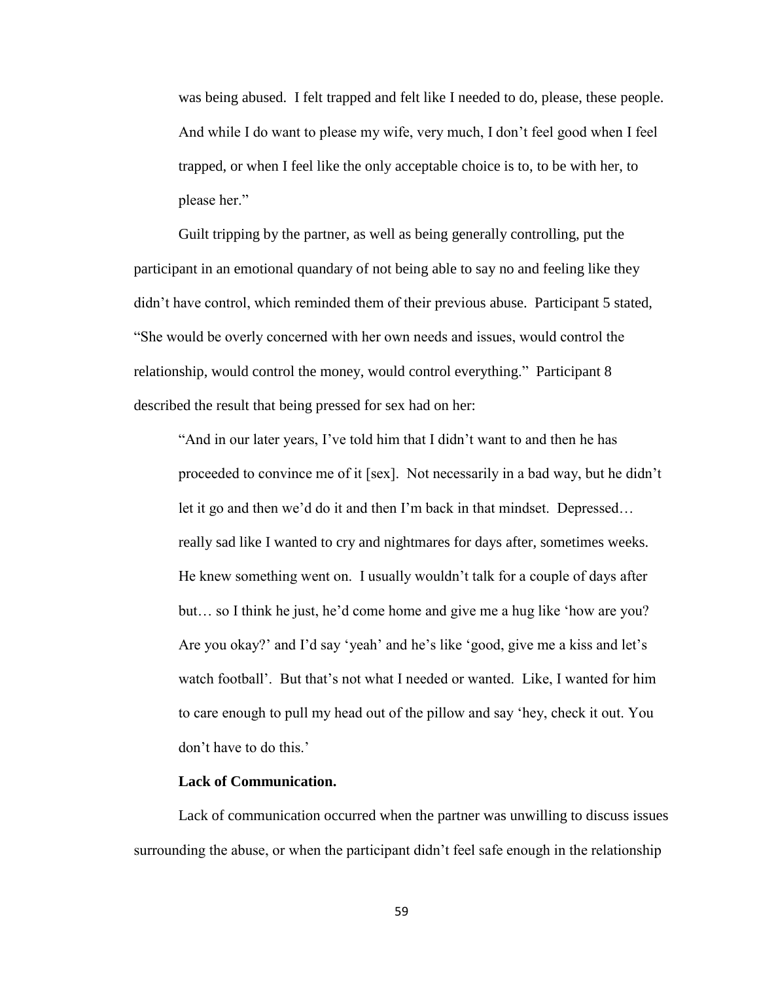was being abused. I felt trapped and felt like I needed to do, please, these people. And while I do want to please my wife, very much, I don't feel good when I feel trapped, or when I feel like the only acceptable choice is to, to be with her, to please her."

Guilt tripping by the partner, as well as being generally controlling, put the participant in an emotional quandary of not being able to say no and feeling like they didn't have control, which reminded them of their previous abuse. Participant 5 stated, "She would be overly concerned with her own needs and issues, would control the relationship, would control the money, would control everything." Participant 8 described the result that being pressed for sex had on her:

"And in our later years, I've told him that I didn't want to and then he has proceeded to convince me of it [sex]. Not necessarily in a bad way, but he didn't let it go and then we'd do it and then I'm back in that mindset. Depressed… really sad like I wanted to cry and nightmares for days after, sometimes weeks. He knew something went on. I usually wouldn't talk for a couple of days after but… so I think he just, he'd come home and give me a hug like 'how are you? Are you okay?' and I'd say 'yeah' and he's like 'good, give me a kiss and let's watch football'. But that's not what I needed or wanted. Like, I wanted for him to care enough to pull my head out of the pillow and say 'hey, check it out. You don't have to do this.'

#### **Lack of Communication.**

Lack of communication occurred when the partner was unwilling to discuss issues surrounding the abuse, or when the participant didn't feel safe enough in the relationship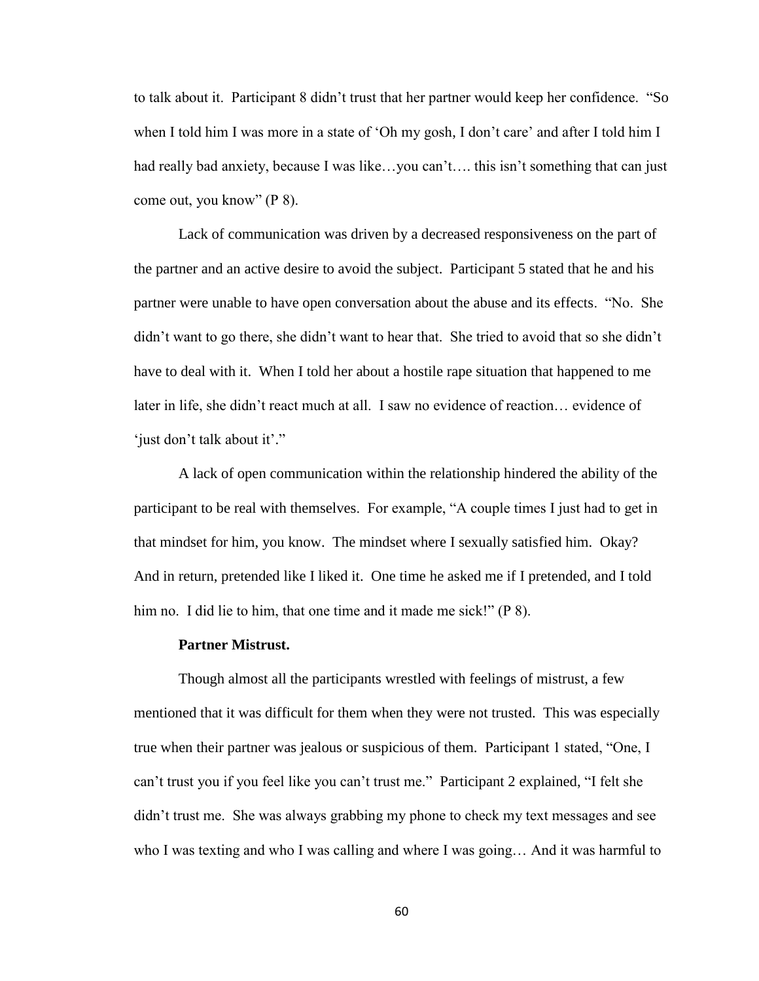to talk about it. Participant 8 didn't trust that her partner would keep her confidence. "So when I told him I was more in a state of 'Oh my gosh, I don't care' and after I told him I had really bad anxiety, because I was like…you can't…. this isn't something that can just come out, you know" (P 8).

Lack of communication was driven by a decreased responsiveness on the part of the partner and an active desire to avoid the subject. Participant 5 stated that he and his partner were unable to have open conversation about the abuse and its effects. "No. She didn't want to go there, she didn't want to hear that. She tried to avoid that so she didn't have to deal with it. When I told her about a hostile rape situation that happened to me later in life, she didn't react much at all. I saw no evidence of reaction… evidence of 'just don't talk about it'."

A lack of open communication within the relationship hindered the ability of the participant to be real with themselves. For example, "A couple times I just had to get in that mindset for him, you know. The mindset where I sexually satisfied him. Okay? And in return, pretended like I liked it. One time he asked me if I pretended, and I told him no. I did lie to him, that one time and it made me sick!" (P 8).

#### **Partner Mistrust.**

Though almost all the participants wrestled with feelings of mistrust, a few mentioned that it was difficult for them when they were not trusted. This was especially true when their partner was jealous or suspicious of them. Participant 1 stated, "One, I can't trust you if you feel like you can't trust me." Participant 2 explained, "I felt she didn't trust me. She was always grabbing my phone to check my text messages and see who I was texting and who I was calling and where I was going… And it was harmful to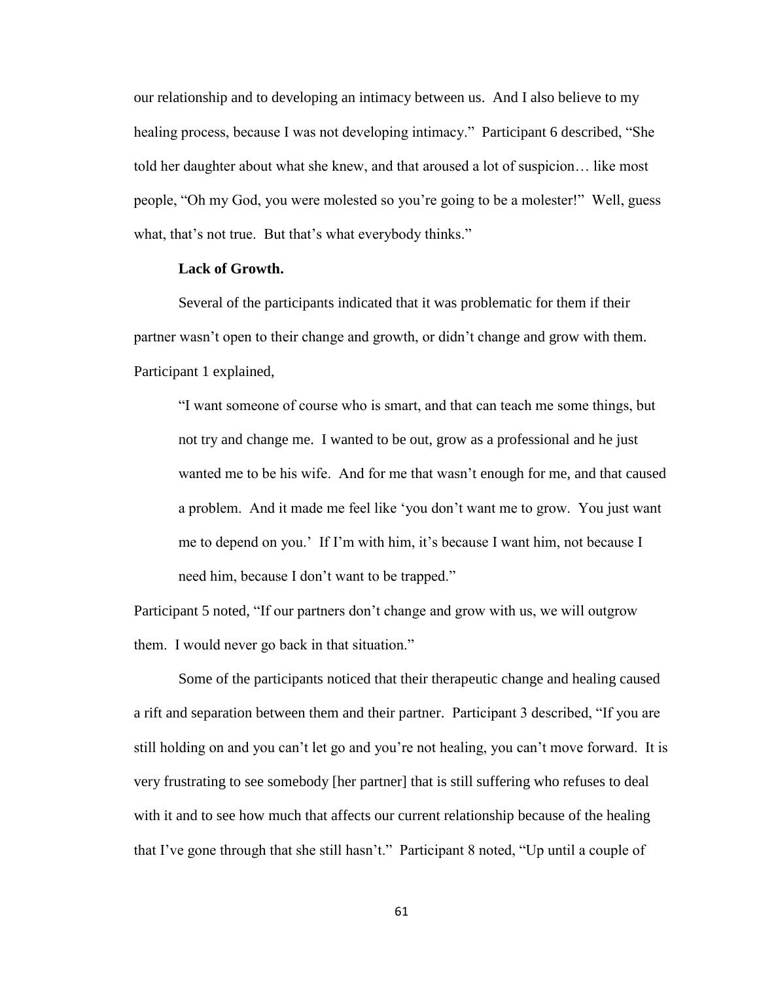our relationship and to developing an intimacy between us. And I also believe to my healing process, because I was not developing intimacy." Participant 6 described, "She told her daughter about what she knew, and that aroused a lot of suspicion… like most people, "Oh my God, you were molested so you're going to be a molester!" Well, guess what, that's not true. But that's what everybody thinks."

# **Lack of Growth.**

Several of the participants indicated that it was problematic for them if their partner wasn't open to their change and growth, or didn't change and grow with them. Participant 1 explained,

"I want someone of course who is smart, and that can teach me some things, but not try and change me. I wanted to be out, grow as a professional and he just wanted me to be his wife. And for me that wasn't enough for me, and that caused a problem. And it made me feel like 'you don't want me to grow. You just want me to depend on you.' If I'm with him, it's because I want him, not because I need him, because I don't want to be trapped."

Participant 5 noted, "If our partners don't change and grow with us, we will outgrow them. I would never go back in that situation."

Some of the participants noticed that their therapeutic change and healing caused a rift and separation between them and their partner. Participant 3 described, "If you are still holding on and you can't let go and you're not healing, you can't move forward. It is very frustrating to see somebody [her partner] that is still suffering who refuses to deal with it and to see how much that affects our current relationship because of the healing that I've gone through that she still hasn't." Participant 8 noted, "Up until a couple of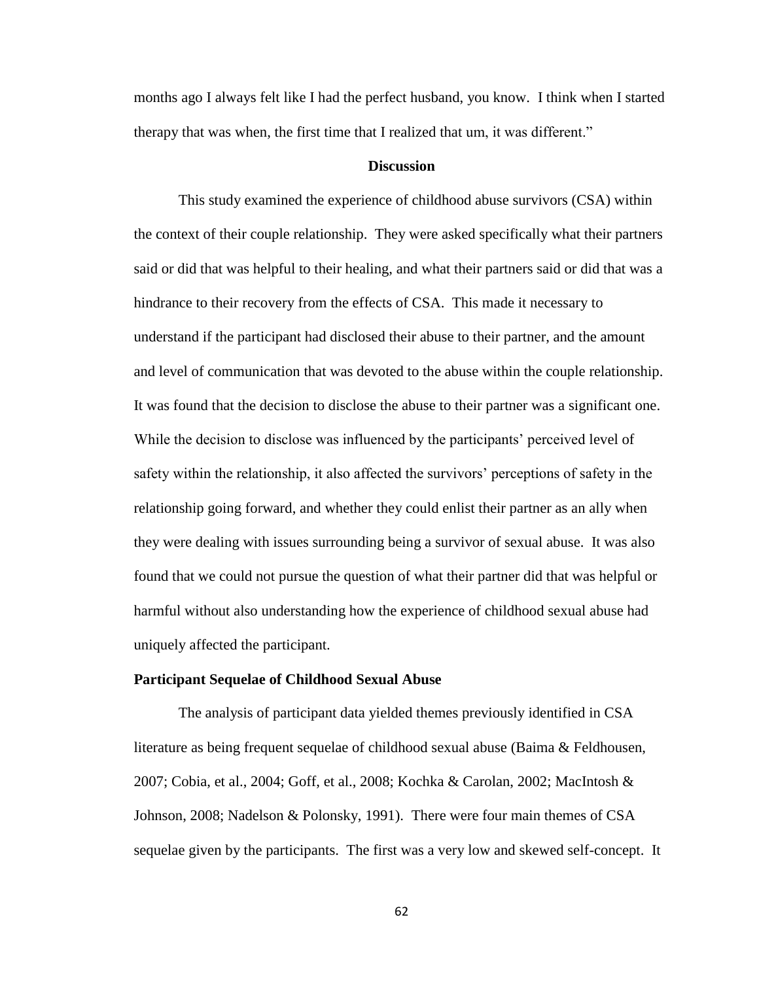months ago I always felt like I had the perfect husband, you know. I think when I started therapy that was when, the first time that I realized that um, it was different."

# **Discussion**

This study examined the experience of childhood abuse survivors (CSA) within the context of their couple relationship. They were asked specifically what their partners said or did that was helpful to their healing, and what their partners said or did that was a hindrance to their recovery from the effects of CSA. This made it necessary to understand if the participant had disclosed their abuse to their partner, and the amount and level of communication that was devoted to the abuse within the couple relationship. It was found that the decision to disclose the abuse to their partner was a significant one. While the decision to disclose was influenced by the participants' perceived level of safety within the relationship, it also affected the survivors' perceptions of safety in the relationship going forward, and whether they could enlist their partner as an ally when they were dealing with issues surrounding being a survivor of sexual abuse. It was also found that we could not pursue the question of what their partner did that was helpful or harmful without also understanding how the experience of childhood sexual abuse had uniquely affected the participant.

#### **Participant Sequelae of Childhood Sexual Abuse**

The analysis of participant data yielded themes previously identified in CSA literature as being frequent sequelae of childhood sexual abuse (Baima & Feldhousen, 2007; Cobia, et al., 2004; Goff, et al., 2008; Kochka & Carolan, 2002; MacIntosh & Johnson, 2008; Nadelson & Polonsky, 1991). There were four main themes of CSA sequelae given by the participants. The first was a very low and skewed self-concept. It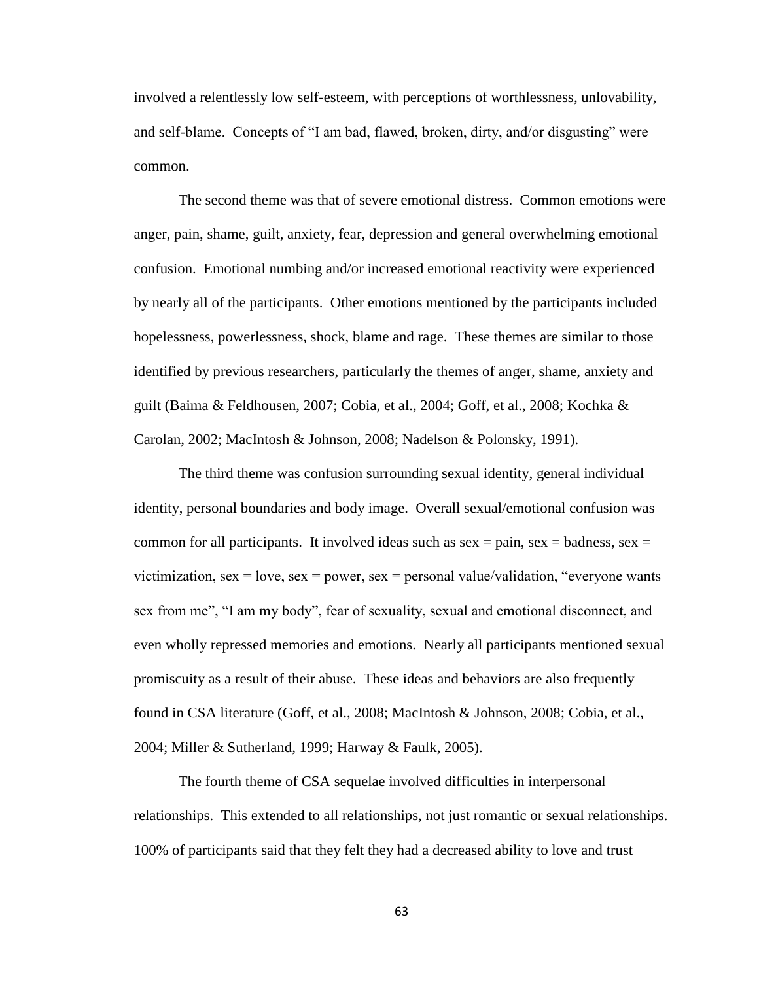involved a relentlessly low self-esteem, with perceptions of worthlessness, unlovability, and self-blame. Concepts of "I am bad, flawed, broken, dirty, and/or disgusting" were common.

The second theme was that of severe emotional distress. Common emotions were anger, pain, shame, guilt, anxiety, fear, depression and general overwhelming emotional confusion. Emotional numbing and/or increased emotional reactivity were experienced by nearly all of the participants. Other emotions mentioned by the participants included hopelessness, powerlessness, shock, blame and rage. These themes are similar to those identified by previous researchers, particularly the themes of anger, shame, anxiety and guilt (Baima & Feldhousen, 2007; Cobia, et al., 2004; Goff, et al., 2008; Kochka & Carolan, 2002; MacIntosh & Johnson, 2008; Nadelson & Polonsky, 1991).

The third theme was confusion surrounding sexual identity, general individual identity, personal boundaries and body image. Overall sexual/emotional confusion was common for all participants. It involved ideas such as sex  $=$  pain, sex  $=$  badness, sex  $=$ victimization,  $sex = love$ ,  $sex = power$ ,  $sex = personal value/validation$ , "everyone wants" sex from me", "I am my body", fear of sexuality, sexual and emotional disconnect, and even wholly repressed memories and emotions. Nearly all participants mentioned sexual promiscuity as a result of their abuse. These ideas and behaviors are also frequently found in CSA literature (Goff, et al., 2008; MacIntosh & Johnson, 2008; Cobia, et al., 2004; Miller & Sutherland, 1999; Harway & Faulk, 2005).

The fourth theme of CSA sequelae involved difficulties in interpersonal relationships. This extended to all relationships, not just romantic or sexual relationships. 100% of participants said that they felt they had a decreased ability to love and trust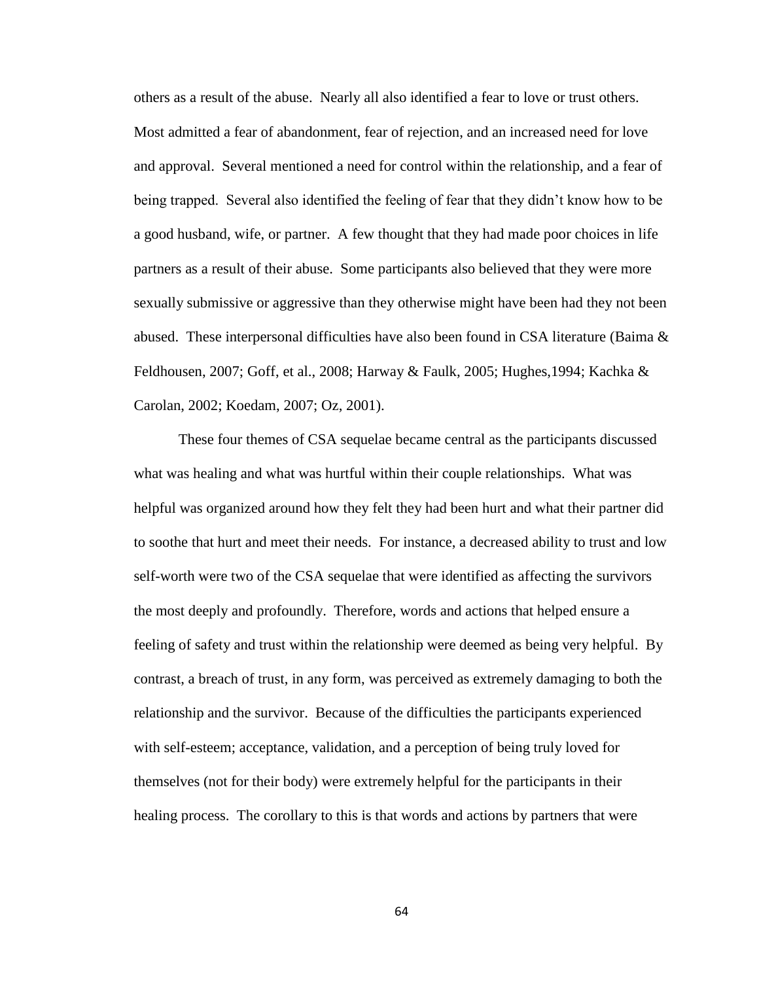others as a result of the abuse. Nearly all also identified a fear to love or trust others. Most admitted a fear of abandonment, fear of rejection, and an increased need for love and approval. Several mentioned a need for control within the relationship, and a fear of being trapped. Several also identified the feeling of fear that they didn't know how to be a good husband, wife, or partner. A few thought that they had made poor choices in life partners as a result of their abuse. Some participants also believed that they were more sexually submissive or aggressive than they otherwise might have been had they not been abused. These interpersonal difficulties have also been found in CSA literature (Baima  $\&$ Feldhousen, 2007; Goff, et al., 2008; Harway & Faulk, 2005; Hughes,1994; Kachka & Carolan, 2002; Koedam, 2007; Oz, 2001).

These four themes of CSA sequelae became central as the participants discussed what was healing and what was hurtful within their couple relationships. What was helpful was organized around how they felt they had been hurt and what their partner did to soothe that hurt and meet their needs. For instance, a decreased ability to trust and low self-worth were two of the CSA sequelae that were identified as affecting the survivors the most deeply and profoundly. Therefore, words and actions that helped ensure a feeling of safety and trust within the relationship were deemed as being very helpful. By contrast, a breach of trust, in any form, was perceived as extremely damaging to both the relationship and the survivor. Because of the difficulties the participants experienced with self-esteem; acceptance, validation, and a perception of being truly loved for themselves (not for their body) were extremely helpful for the participants in their healing process. The corollary to this is that words and actions by partners that were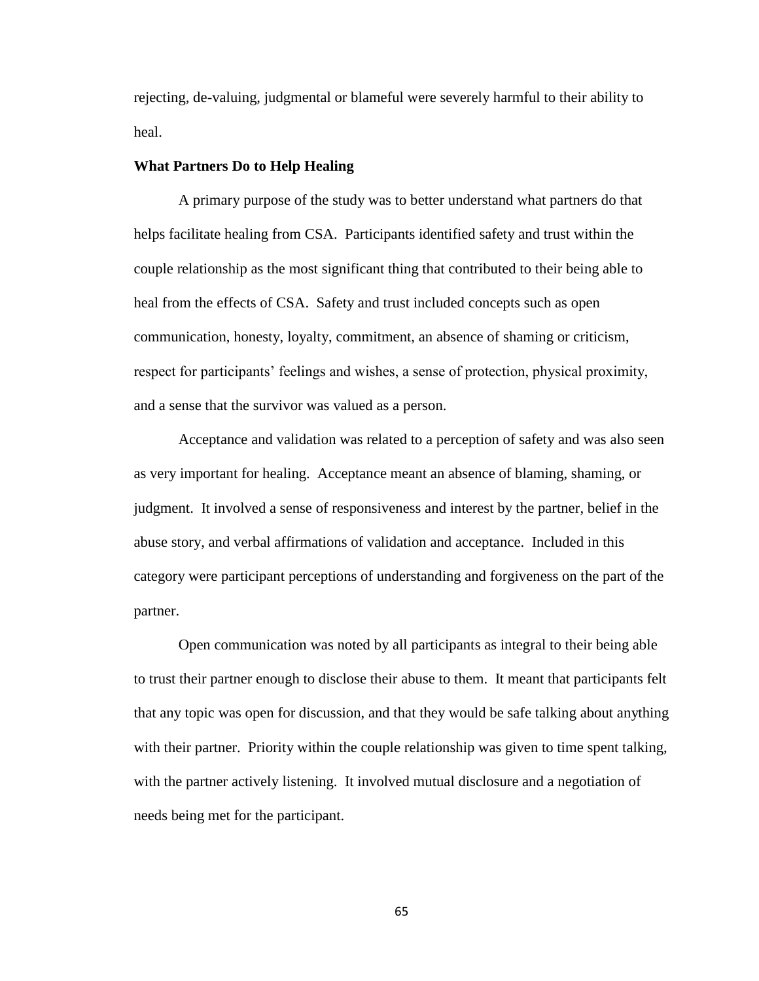rejecting, de-valuing, judgmental or blameful were severely harmful to their ability to heal.

# **What Partners Do to Help Healing**

A primary purpose of the study was to better understand what partners do that helps facilitate healing from CSA. Participants identified safety and trust within the couple relationship as the most significant thing that contributed to their being able to heal from the effects of CSA. Safety and trust included concepts such as open communication, honesty, loyalty, commitment, an absence of shaming or criticism, respect for participants' feelings and wishes, a sense of protection, physical proximity, and a sense that the survivor was valued as a person.

Acceptance and validation was related to a perception of safety and was also seen as very important for healing. Acceptance meant an absence of blaming, shaming, or judgment. It involved a sense of responsiveness and interest by the partner, belief in the abuse story, and verbal affirmations of validation and acceptance. Included in this category were participant perceptions of understanding and forgiveness on the part of the partner.

Open communication was noted by all participants as integral to their being able to trust their partner enough to disclose their abuse to them. It meant that participants felt that any topic was open for discussion, and that they would be safe talking about anything with their partner. Priority within the couple relationship was given to time spent talking, with the partner actively listening. It involved mutual disclosure and a negotiation of needs being met for the participant.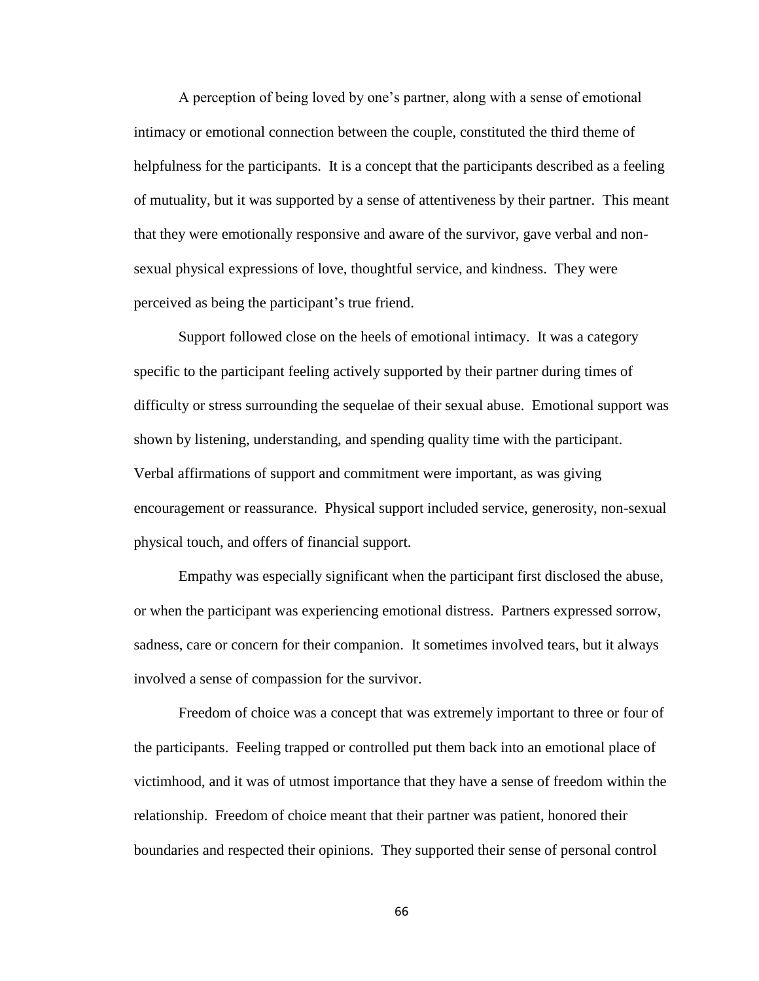A perception of being loved by one's partner, along with a sense of emotional intimacy or emotional connection between the couple, constituted the third theme of helpfulness for the participants. It is a concept that the participants described as a feeling of mutuality, but it was supported by a sense of attentiveness by their partner. This meant that they were emotionally responsive and aware of the survivor, gave verbal and nonsexual physical expressions of love, thoughtful service, and kindness. They were perceived as being the participant's true friend.

Support followed close on the heels of emotional intimacy. It was a category specific to the participant feeling actively supported by their partner during times of difficulty or stress surrounding the sequelae of their sexual abuse. Emotional support was shown by listening, understanding, and spending quality time with the participant. Verbal affirmations of support and commitment were important, as was giving encouragement or reassurance. Physical support included service, generosity, non-sexual physical touch, and offers of financial support.

Empathy was especially significant when the participant first disclosed the abuse, or when the participant was experiencing emotional distress. Partners expressed sorrow, sadness, care or concern for their companion. It sometimes involved tears, but it always involved a sense of compassion for the survivor.

Freedom of choice was a concept that was extremely important to three or four of the participants. Feeling trapped or controlled put them back into an emotional place of victimhood, and it was of utmost importance that they have a sense of freedom within the relationship. Freedom of choice meant that their partner was patient, honored their boundaries and respected their opinions. They supported their sense of personal control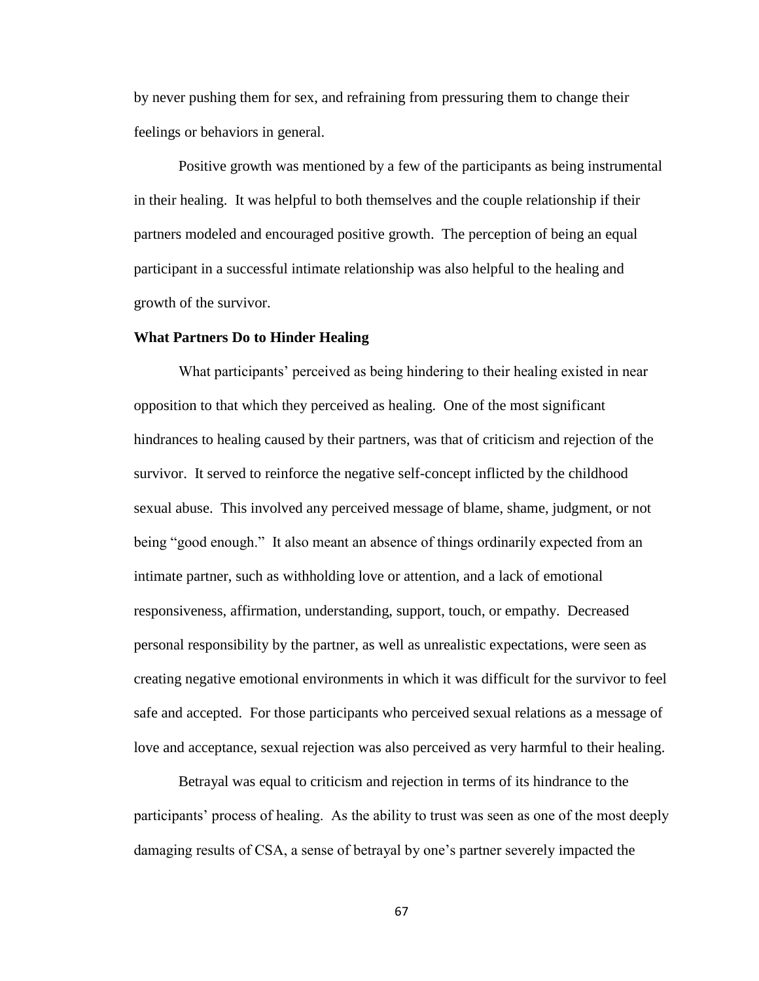by never pushing them for sex, and refraining from pressuring them to change their feelings or behaviors in general.

Positive growth was mentioned by a few of the participants as being instrumental in their healing. It was helpful to both themselves and the couple relationship if their partners modeled and encouraged positive growth. The perception of being an equal participant in a successful intimate relationship was also helpful to the healing and growth of the survivor.

#### **What Partners Do to Hinder Healing**

What participants' perceived as being hindering to their healing existed in near opposition to that which they perceived as healing. One of the most significant hindrances to healing caused by their partners, was that of criticism and rejection of the survivor. It served to reinforce the negative self-concept inflicted by the childhood sexual abuse. This involved any perceived message of blame, shame, judgment, or not being "good enough." It also meant an absence of things ordinarily expected from an intimate partner, such as withholding love or attention, and a lack of emotional responsiveness, affirmation, understanding, support, touch, or empathy. Decreased personal responsibility by the partner, as well as unrealistic expectations, were seen as creating negative emotional environments in which it was difficult for the survivor to feel safe and accepted. For those participants who perceived sexual relations as a message of love and acceptance, sexual rejection was also perceived as very harmful to their healing.

Betrayal was equal to criticism and rejection in terms of its hindrance to the participants' process of healing. As the ability to trust was seen as one of the most deeply damaging results of CSA, a sense of betrayal by one's partner severely impacted the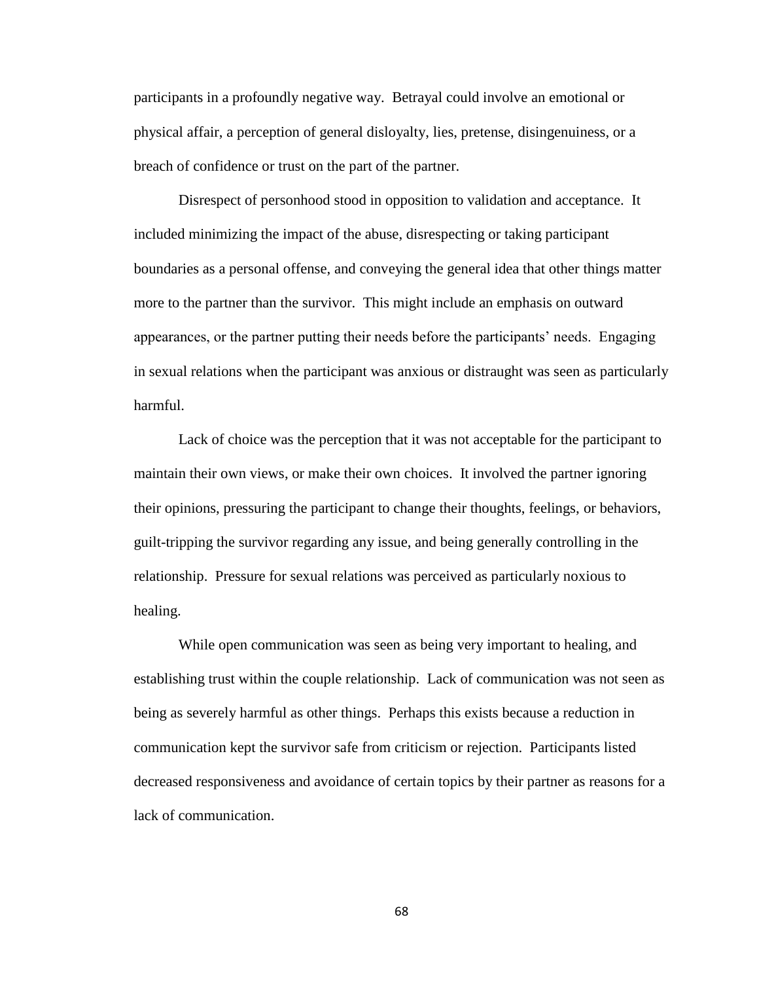participants in a profoundly negative way. Betrayal could involve an emotional or physical affair, a perception of general disloyalty, lies, pretense, disingenuiness, or a breach of confidence or trust on the part of the partner.

Disrespect of personhood stood in opposition to validation and acceptance. It included minimizing the impact of the abuse, disrespecting or taking participant boundaries as a personal offense, and conveying the general idea that other things matter more to the partner than the survivor. This might include an emphasis on outward appearances, or the partner putting their needs before the participants' needs. Engaging in sexual relations when the participant was anxious or distraught was seen as particularly harmful.

Lack of choice was the perception that it was not acceptable for the participant to maintain their own views, or make their own choices. It involved the partner ignoring their opinions, pressuring the participant to change their thoughts, feelings, or behaviors, guilt-tripping the survivor regarding any issue, and being generally controlling in the relationship. Pressure for sexual relations was perceived as particularly noxious to healing.

While open communication was seen as being very important to healing, and establishing trust within the couple relationship. Lack of communication was not seen as being as severely harmful as other things. Perhaps this exists because a reduction in communication kept the survivor safe from criticism or rejection. Participants listed decreased responsiveness and avoidance of certain topics by their partner as reasons for a lack of communication.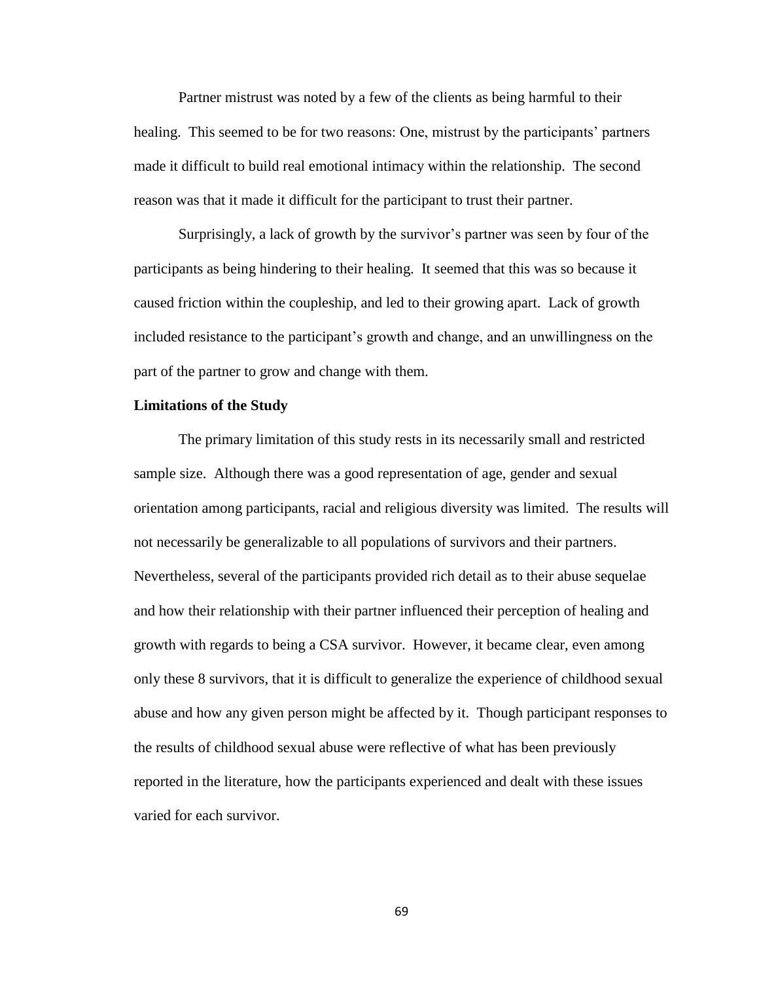Partner mistrust was noted by a few of the clients as being harmful to their healing. This seemed to be for two reasons: One, mistrust by the participants' partners made it difficult to build real emotional intimacy within the relationship. The second reason was that it made it difficult for the participant to trust their partner.

Surprisingly, a lack of growth by the survivor's partner was seen by four of the participants as being hindering to their healing. It seemed that this was so because it caused friction within the coupleship, and led to their growing apart. Lack of growth included resistance to the participant's growth and change, and an unwillingness on the part of the partner to grow and change with them.

### **Limitations of the Study**

The primary limitation of this study rests in its necessarily small and restricted sample size. Although there was a good representation of age, gender and sexual orientation among participants, racial and religious diversity was limited. The results will not necessarily be generalizable to all populations of survivors and their partners. Nevertheless, several of the participants provided rich detail as to their abuse sequelae and how their relationship with their partner influenced their perception of healing and growth with regards to being a CSA survivor. However, it became clear, even among only these 8 survivors, that it is difficult to generalize the experience of childhood sexual abuse and how any given person might be affected by it. Though participant responses to the results of childhood sexual abuse were reflective of what has been previously reported in the literature, how the participants experienced and dealt with these issues varied for each survivor.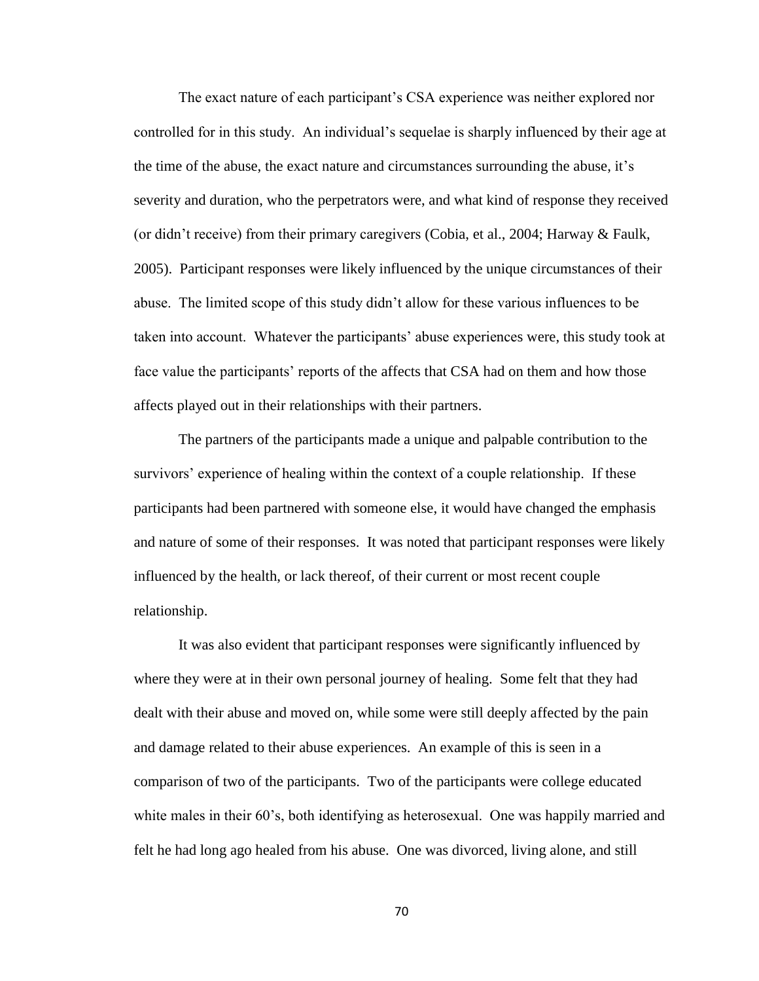The exact nature of each participant's CSA experience was neither explored nor controlled for in this study. An individual's sequelae is sharply influenced by their age at the time of the abuse, the exact nature and circumstances surrounding the abuse, it's severity and duration, who the perpetrators were, and what kind of response they received (or didn't receive) from their primary caregivers (Cobia, et al., 2004; Harway & Faulk, 2005). Participant responses were likely influenced by the unique circumstances of their abuse. The limited scope of this study didn't allow for these various influences to be taken into account. Whatever the participants' abuse experiences were, this study took at face value the participants' reports of the affects that CSA had on them and how those affects played out in their relationships with their partners.

The partners of the participants made a unique and palpable contribution to the survivors' experience of healing within the context of a couple relationship. If these participants had been partnered with someone else, it would have changed the emphasis and nature of some of their responses. It was noted that participant responses were likely influenced by the health, or lack thereof, of their current or most recent couple relationship.

It was also evident that participant responses were significantly influenced by where they were at in their own personal journey of healing. Some felt that they had dealt with their abuse and moved on, while some were still deeply affected by the pain and damage related to their abuse experiences. An example of this is seen in a comparison of two of the participants. Two of the participants were college educated white males in their 60's, both identifying as heterosexual. One was happily married and felt he had long ago healed from his abuse. One was divorced, living alone, and still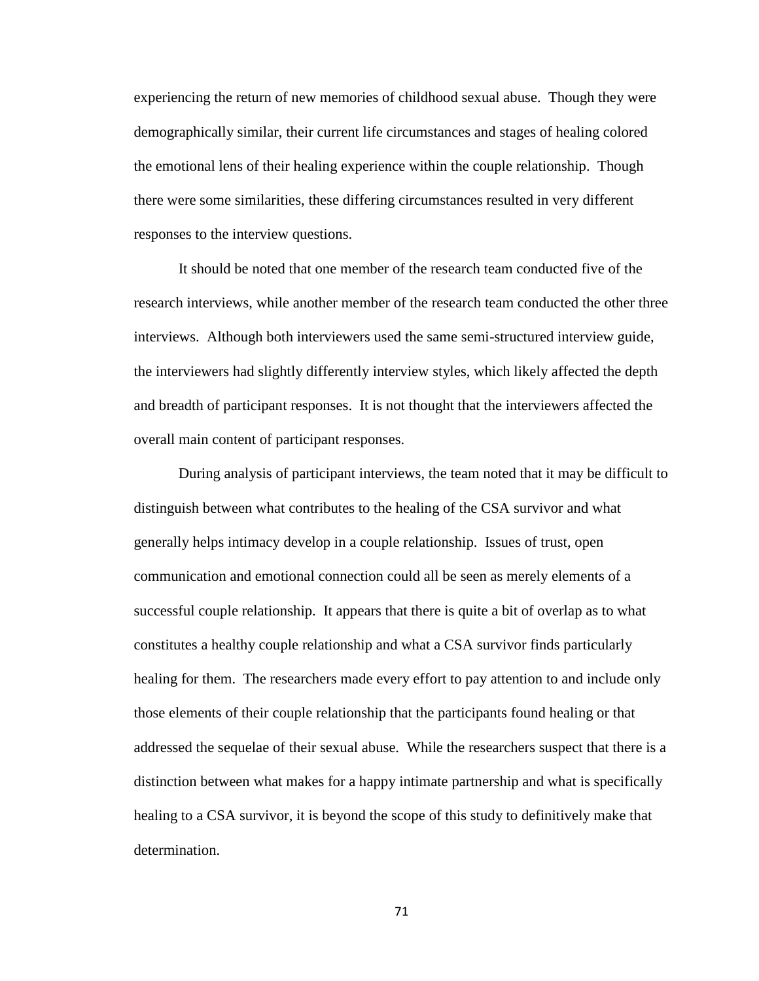experiencing the return of new memories of childhood sexual abuse. Though they were demographically similar, their current life circumstances and stages of healing colored the emotional lens of their healing experience within the couple relationship. Though there were some similarities, these differing circumstances resulted in very different responses to the interview questions.

It should be noted that one member of the research team conducted five of the research interviews, while another member of the research team conducted the other three interviews. Although both interviewers used the same semi-structured interview guide, the interviewers had slightly differently interview styles, which likely affected the depth and breadth of participant responses. It is not thought that the interviewers affected the overall main content of participant responses.

During analysis of participant interviews, the team noted that it may be difficult to distinguish between what contributes to the healing of the CSA survivor and what generally helps intimacy develop in a couple relationship. Issues of trust, open communication and emotional connection could all be seen as merely elements of a successful couple relationship. It appears that there is quite a bit of overlap as to what constitutes a healthy couple relationship and what a CSA survivor finds particularly healing for them. The researchers made every effort to pay attention to and include only those elements of their couple relationship that the participants found healing or that addressed the sequelae of their sexual abuse. While the researchers suspect that there is a distinction between what makes for a happy intimate partnership and what is specifically healing to a CSA survivor, it is beyond the scope of this study to definitively make that determination.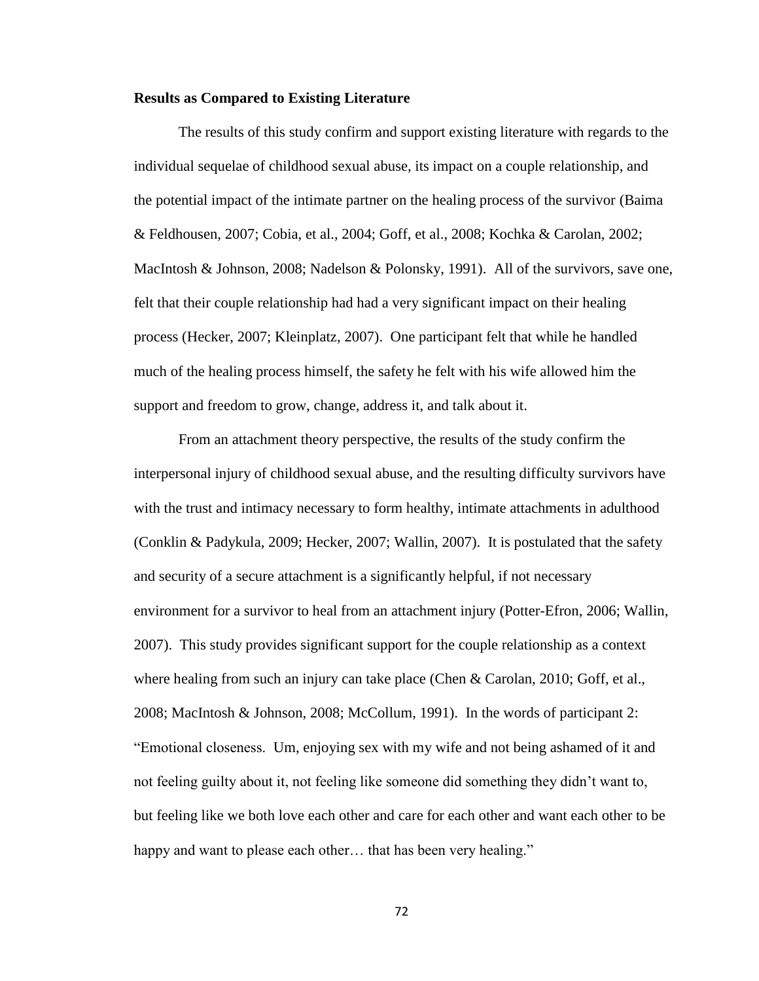### **Results as Compared to Existing Literature**

The results of this study confirm and support existing literature with regards to the individual sequelae of childhood sexual abuse, its impact on a couple relationship, and the potential impact of the intimate partner on the healing process of the survivor (Baima & Feldhousen, 2007; Cobia, et al., 2004; Goff, et al., 2008; Kochka & Carolan, 2002; MacIntosh & Johnson, 2008; Nadelson & Polonsky, 1991). All of the survivors, save one, felt that their couple relationship had had a very significant impact on their healing process (Hecker, 2007; Kleinplatz, 2007). One participant felt that while he handled much of the healing process himself, the safety he felt with his wife allowed him the support and freedom to grow, change, address it, and talk about it.

From an attachment theory perspective, the results of the study confirm the interpersonal injury of childhood sexual abuse, and the resulting difficulty survivors have with the trust and intimacy necessary to form healthy, intimate attachments in adulthood (Conklin & Padykula, 2009; Hecker, 2007; Wallin, 2007). It is postulated that the safety and security of a secure attachment is a significantly helpful, if not necessary environment for a survivor to heal from an attachment injury (Potter-Efron, 2006; Wallin, 2007). This study provides significant support for the couple relationship as a context where healing from such an injury can take place (Chen & Carolan, 2010; Goff, et al., 2008; MacIntosh & Johnson, 2008; McCollum, 1991). In the words of participant 2: "Emotional closeness. Um, enjoying sex with my wife and not being ashamed of it and not feeling guilty about it, not feeling like someone did something they didn't want to, but feeling like we both love each other and care for each other and want each other to be happy and want to please each other... that has been very healing."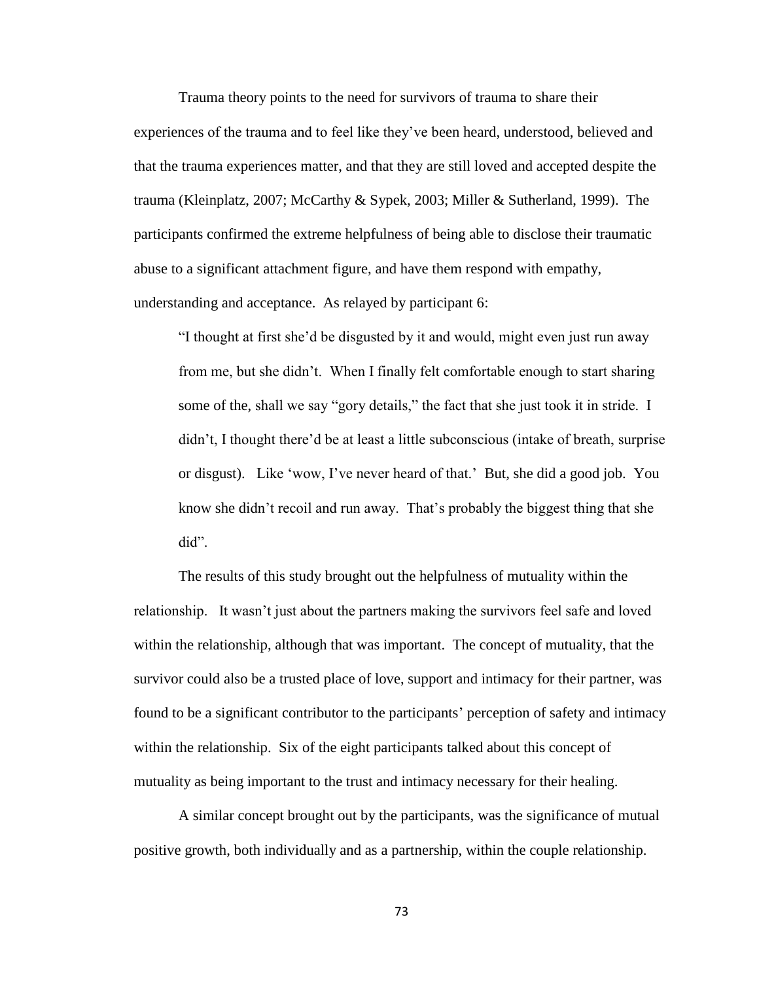Trauma theory points to the need for survivors of trauma to share their

experiences of the trauma and to feel like they've been heard, understood, believed and that the trauma experiences matter, and that they are still loved and accepted despite the trauma (Kleinplatz, 2007; McCarthy & Sypek, 2003; Miller & Sutherland, 1999). The participants confirmed the extreme helpfulness of being able to disclose their traumatic abuse to a significant attachment figure, and have them respond with empathy, understanding and acceptance. As relayed by participant 6:

"I thought at first she'd be disgusted by it and would, might even just run away from me, but she didn't. When I finally felt comfortable enough to start sharing some of the, shall we say "gory details," the fact that she just took it in stride. I didn't, I thought there'd be at least a little subconscious (intake of breath, surprise or disgust). Like 'wow, I've never heard of that.' But, she did a good job. You know she didn't recoil and run away. That's probably the biggest thing that she did".

The results of this study brought out the helpfulness of mutuality within the relationship. It wasn't just about the partners making the survivors feel safe and loved within the relationship, although that was important. The concept of mutuality, that the survivor could also be a trusted place of love, support and intimacy for their partner, was found to be a significant contributor to the participants' perception of safety and intimacy within the relationship. Six of the eight participants talked about this concept of mutuality as being important to the trust and intimacy necessary for their healing.

A similar concept brought out by the participants, was the significance of mutual positive growth, both individually and as a partnership, within the couple relationship.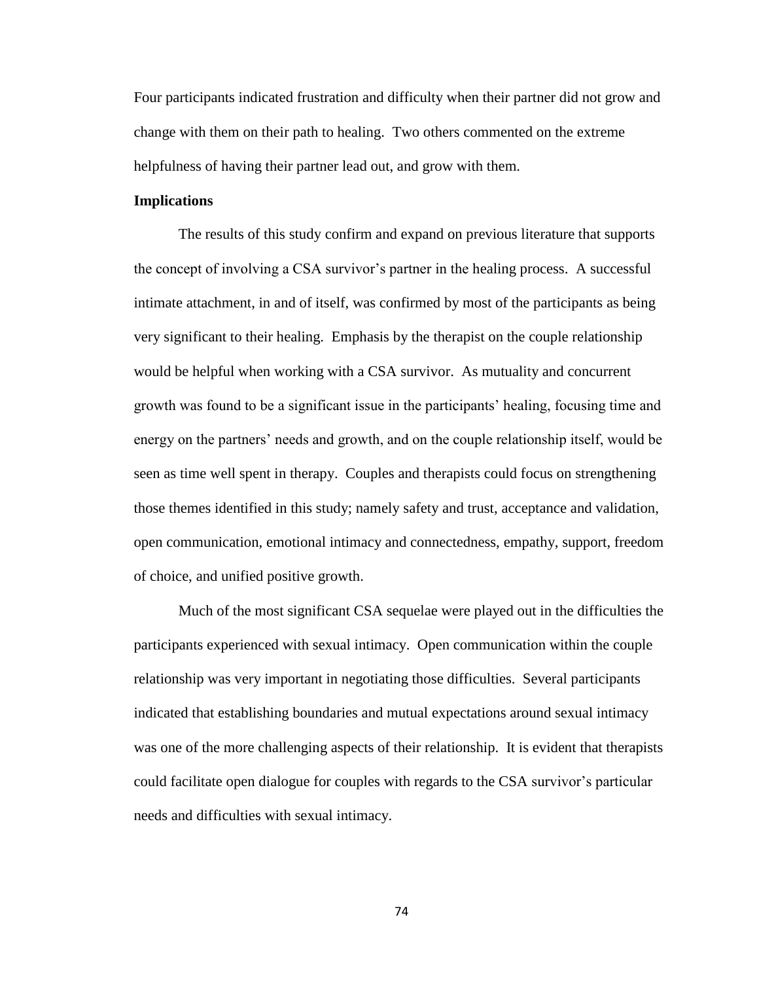Four participants indicated frustration and difficulty when their partner did not grow and change with them on their path to healing. Two others commented on the extreme helpfulness of having their partner lead out, and grow with them.

### **Implications**

The results of this study confirm and expand on previous literature that supports the concept of involving a CSA survivor's partner in the healing process. A successful intimate attachment, in and of itself, was confirmed by most of the participants as being very significant to their healing. Emphasis by the therapist on the couple relationship would be helpful when working with a CSA survivor. As mutuality and concurrent growth was found to be a significant issue in the participants' healing, focusing time and energy on the partners' needs and growth, and on the couple relationship itself, would be seen as time well spent in therapy. Couples and therapists could focus on strengthening those themes identified in this study; namely safety and trust, acceptance and validation, open communication, emotional intimacy and connectedness, empathy, support, freedom of choice, and unified positive growth.

Much of the most significant CSA sequelae were played out in the difficulties the participants experienced with sexual intimacy. Open communication within the couple relationship was very important in negotiating those difficulties. Several participants indicated that establishing boundaries and mutual expectations around sexual intimacy was one of the more challenging aspects of their relationship. It is evident that therapists could facilitate open dialogue for couples with regards to the CSA survivor's particular needs and difficulties with sexual intimacy.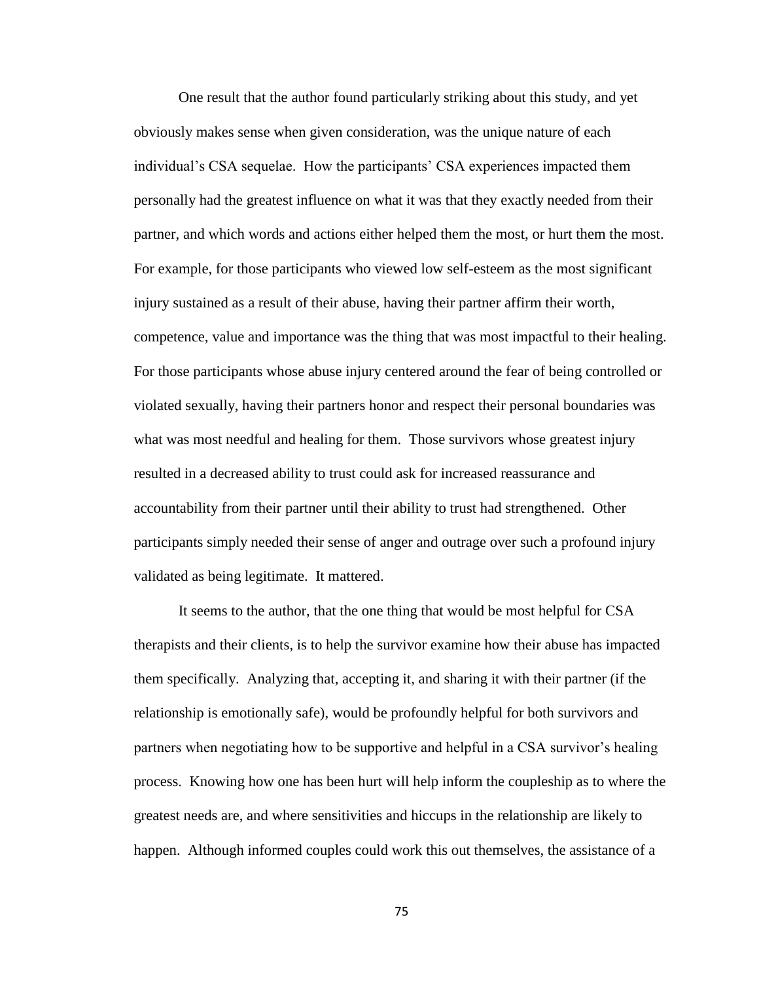One result that the author found particularly striking about this study, and yet obviously makes sense when given consideration, was the unique nature of each individual's CSA sequelae. How the participants' CSA experiences impacted them personally had the greatest influence on what it was that they exactly needed from their partner, and which words and actions either helped them the most, or hurt them the most. For example, for those participants who viewed low self-esteem as the most significant injury sustained as a result of their abuse, having their partner affirm their worth, competence, value and importance was the thing that was most impactful to their healing. For those participants whose abuse injury centered around the fear of being controlled or violated sexually, having their partners honor and respect their personal boundaries was what was most needful and healing for them. Those survivors whose greatest injury resulted in a decreased ability to trust could ask for increased reassurance and accountability from their partner until their ability to trust had strengthened. Other participants simply needed their sense of anger and outrage over such a profound injury validated as being legitimate. It mattered.

It seems to the author, that the one thing that would be most helpful for CSA therapists and their clients, is to help the survivor examine how their abuse has impacted them specifically. Analyzing that, accepting it, and sharing it with their partner (if the relationship is emotionally safe), would be profoundly helpful for both survivors and partners when negotiating how to be supportive and helpful in a CSA survivor's healing process. Knowing how one has been hurt will help inform the coupleship as to where the greatest needs are, and where sensitivities and hiccups in the relationship are likely to happen. Although informed couples could work this out themselves, the assistance of a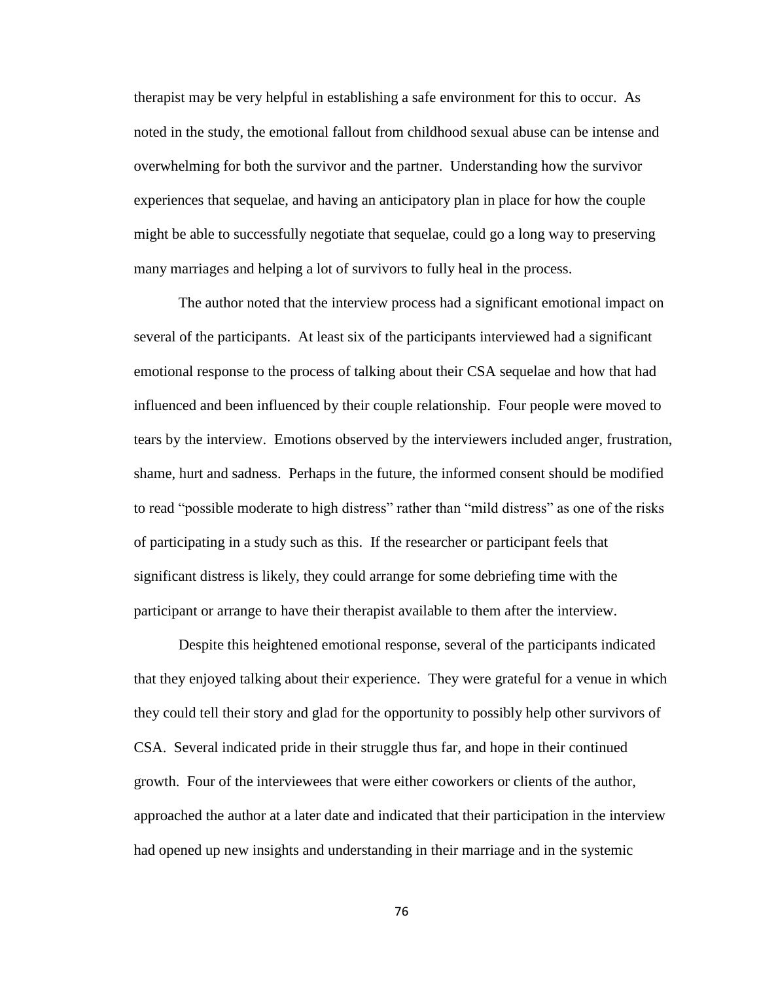therapist may be very helpful in establishing a safe environment for this to occur. As noted in the study, the emotional fallout from childhood sexual abuse can be intense and overwhelming for both the survivor and the partner. Understanding how the survivor experiences that sequelae, and having an anticipatory plan in place for how the couple might be able to successfully negotiate that sequelae, could go a long way to preserving many marriages and helping a lot of survivors to fully heal in the process.

The author noted that the interview process had a significant emotional impact on several of the participants. At least six of the participants interviewed had a significant emotional response to the process of talking about their CSA sequelae and how that had influenced and been influenced by their couple relationship. Four people were moved to tears by the interview. Emotions observed by the interviewers included anger, frustration, shame, hurt and sadness. Perhaps in the future, the informed consent should be modified to read "possible moderate to high distress" rather than "mild distress" as one of the risks of participating in a study such as this. If the researcher or participant feels that significant distress is likely, they could arrange for some debriefing time with the participant or arrange to have their therapist available to them after the interview.

Despite this heightened emotional response, several of the participants indicated that they enjoyed talking about their experience. They were grateful for a venue in which they could tell their story and glad for the opportunity to possibly help other survivors of CSA. Several indicated pride in their struggle thus far, and hope in their continued growth. Four of the interviewees that were either coworkers or clients of the author, approached the author at a later date and indicated that their participation in the interview had opened up new insights and understanding in their marriage and in the systemic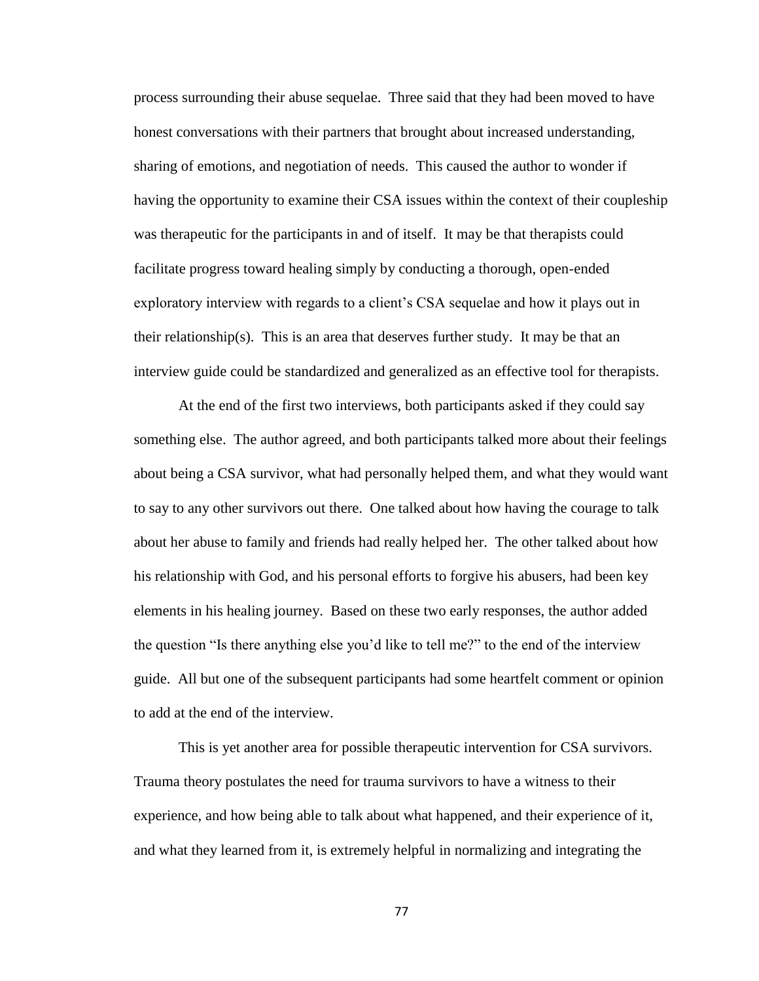process surrounding their abuse sequelae. Three said that they had been moved to have honest conversations with their partners that brought about increased understanding, sharing of emotions, and negotiation of needs. This caused the author to wonder if having the opportunity to examine their CSA issues within the context of their coupleship was therapeutic for the participants in and of itself. It may be that therapists could facilitate progress toward healing simply by conducting a thorough, open-ended exploratory interview with regards to a client's CSA sequelae and how it plays out in their relationship(s). This is an area that deserves further study. It may be that an interview guide could be standardized and generalized as an effective tool for therapists.

At the end of the first two interviews, both participants asked if they could say something else. The author agreed, and both participants talked more about their feelings about being a CSA survivor, what had personally helped them, and what they would want to say to any other survivors out there. One talked about how having the courage to talk about her abuse to family and friends had really helped her. The other talked about how his relationship with God, and his personal efforts to forgive his abusers, had been key elements in his healing journey. Based on these two early responses, the author added the question "Is there anything else you'd like to tell me?" to the end of the interview guide. All but one of the subsequent participants had some heartfelt comment or opinion to add at the end of the interview.

This is yet another area for possible therapeutic intervention for CSA survivors. Trauma theory postulates the need for trauma survivors to have a witness to their experience, and how being able to talk about what happened, and their experience of it, and what they learned from it, is extremely helpful in normalizing and integrating the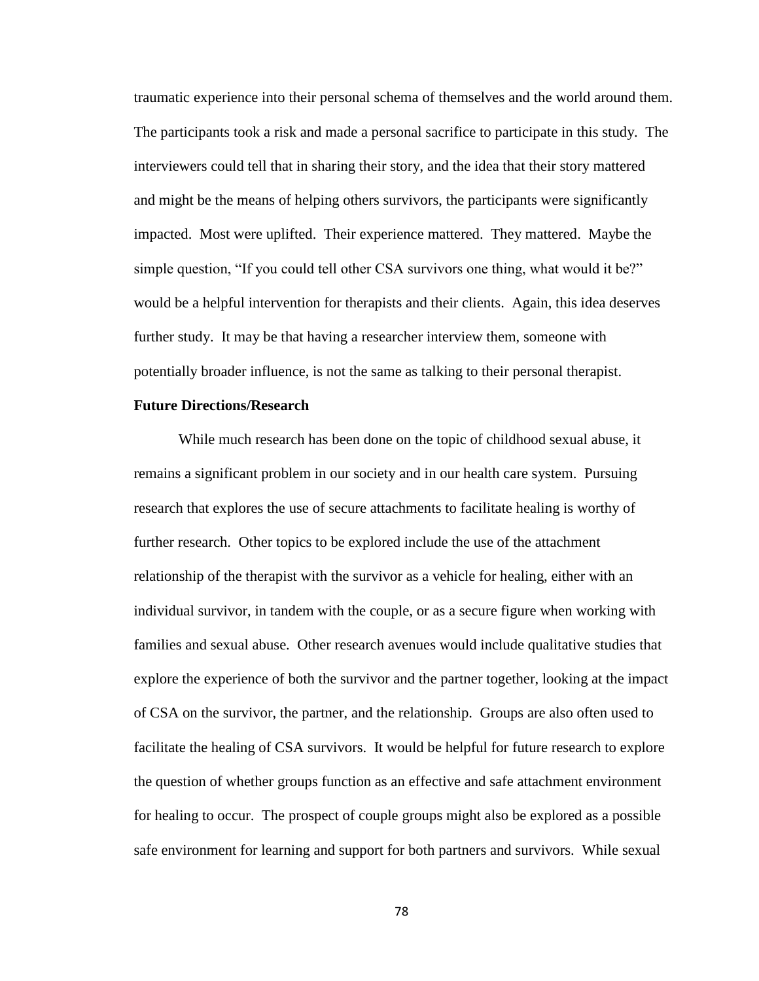traumatic experience into their personal schema of themselves and the world around them. The participants took a risk and made a personal sacrifice to participate in this study. The interviewers could tell that in sharing their story, and the idea that their story mattered and might be the means of helping others survivors, the participants were significantly impacted. Most were uplifted. Their experience mattered. They mattered. Maybe the simple question, "If you could tell other CSA survivors one thing, what would it be?" would be a helpful intervention for therapists and their clients. Again, this idea deserves further study. It may be that having a researcher interview them, someone with potentially broader influence, is not the same as talking to their personal therapist.

### **Future Directions/Research**

While much research has been done on the topic of childhood sexual abuse, it remains a significant problem in our society and in our health care system. Pursuing research that explores the use of secure attachments to facilitate healing is worthy of further research. Other topics to be explored include the use of the attachment relationship of the therapist with the survivor as a vehicle for healing, either with an individual survivor, in tandem with the couple, or as a secure figure when working with families and sexual abuse. Other research avenues would include qualitative studies that explore the experience of both the survivor and the partner together, looking at the impact of CSA on the survivor, the partner, and the relationship. Groups are also often used to facilitate the healing of CSA survivors. It would be helpful for future research to explore the question of whether groups function as an effective and safe attachment environment for healing to occur. The prospect of couple groups might also be explored as a possible safe environment for learning and support for both partners and survivors. While sexual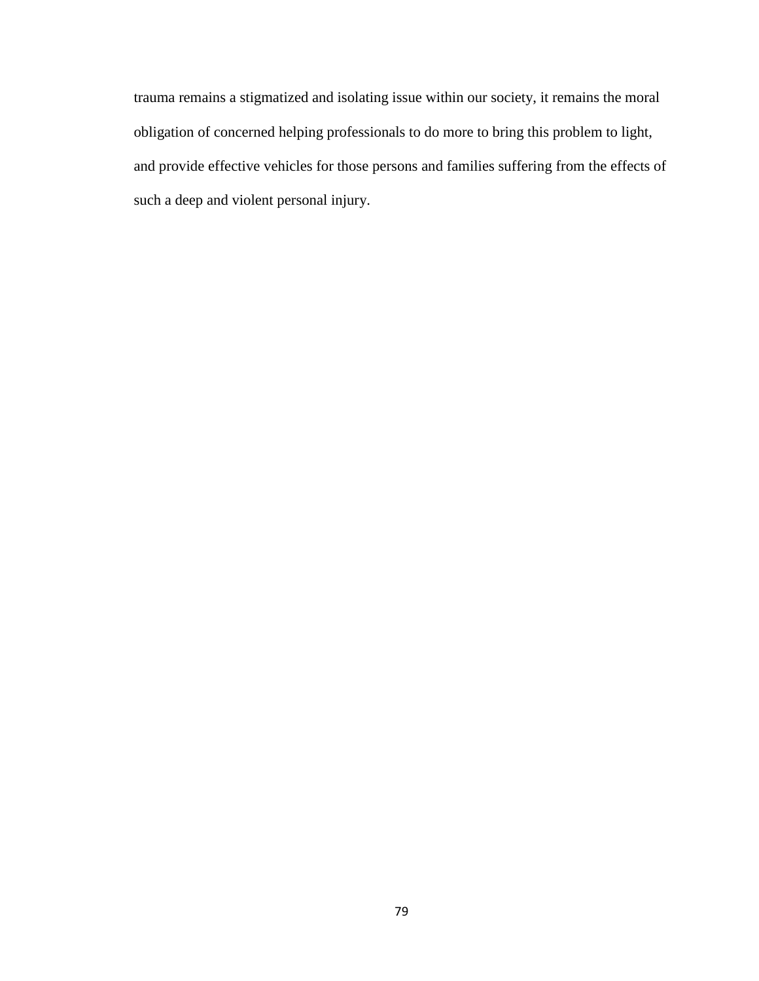trauma remains a stigmatized and isolating issue within our society, it remains the moral obligation of concerned helping professionals to do more to bring this problem to light, and provide effective vehicles for those persons and families suffering from the effects of such a deep and violent personal injury.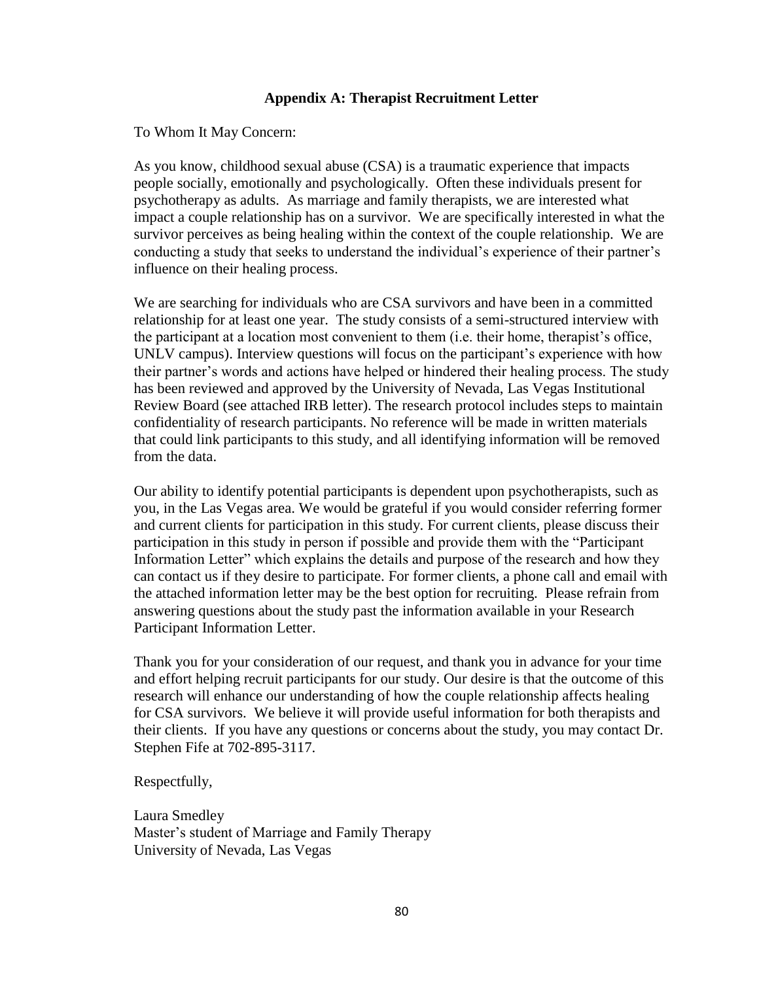## **Appendix A: Therapist Recruitment Letter**

To Whom It May Concern:

As you know, childhood sexual abuse (CSA) is a traumatic experience that impacts people socially, emotionally and psychologically. Often these individuals present for psychotherapy as adults. As marriage and family therapists, we are interested what impact a couple relationship has on a survivor. We are specifically interested in what the survivor perceives as being healing within the context of the couple relationship. We are conducting a study that seeks to understand the individual's experience of their partner's influence on their healing process.

We are searching for individuals who are CSA survivors and have been in a committed relationship for at least one year. The study consists of a semi-structured interview with the participant at a location most convenient to them (i.e. their home, therapist's office, UNLV campus). Interview questions will focus on the participant's experience with how their partner's words and actions have helped or hindered their healing process. The study has been reviewed and approved by the University of Nevada, Las Vegas Institutional Review Board (see attached IRB letter). The research protocol includes steps to maintain confidentiality of research participants. No reference will be made in written materials that could link participants to this study, and all identifying information will be removed from the data.

Our ability to identify potential participants is dependent upon psychotherapists, such as you, in the Las Vegas area. We would be grateful if you would consider referring former and current clients for participation in this study. For current clients, please discuss their participation in this study in person if possible and provide them with the "Participant Information Letter" which explains the details and purpose of the research and how they can contact us if they desire to participate. For former clients, a phone call and email with the attached information letter may be the best option for recruiting. Please refrain from answering questions about the study past the information available in your Research Participant Information Letter.

Thank you for your consideration of our request, and thank you in advance for your time and effort helping recruit participants for our study. Our desire is that the outcome of this research will enhance our understanding of how the couple relationship affects healing for CSA survivors. We believe it will provide useful information for both therapists and their clients. If you have any questions or concerns about the study, you may contact Dr. Stephen Fife at 702-895-3117.

### Respectfully,

Laura Smedley Master's student of Marriage and Family Therapy University of Nevada, Las Vegas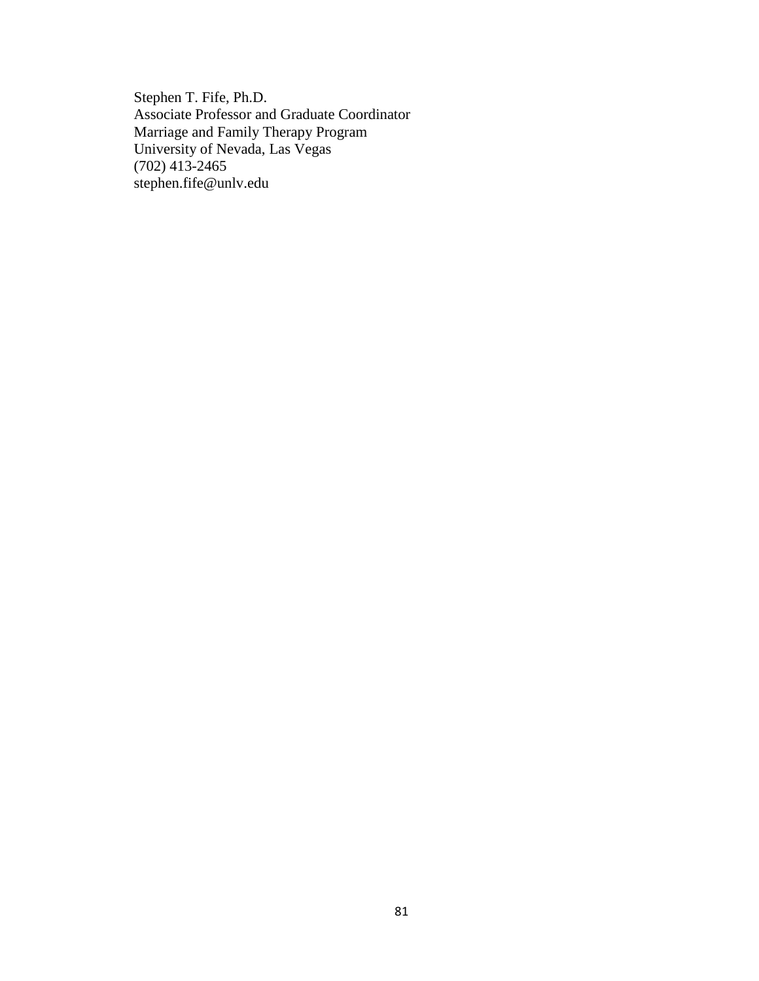Stephen T. Fife, Ph.D. Associate Professor and Graduate Coordinator Marriage and Family Therapy Program University of Nevada, Las Vegas (702) 413-2465 stephen.fife@unlv.edu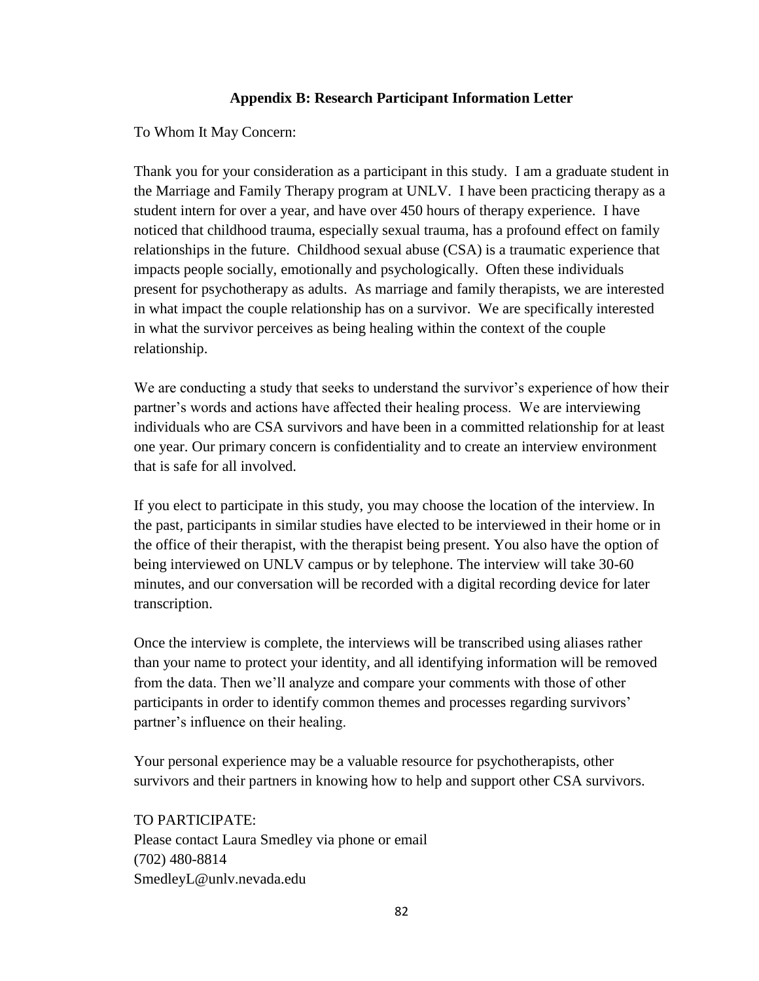# **Appendix B: Research Participant Information Letter**

To Whom It May Concern:

Thank you for your consideration as a participant in this study. I am a graduate student in the Marriage and Family Therapy program at UNLV. I have been practicing therapy as a student intern for over a year, and have over 450 hours of therapy experience. I have noticed that childhood trauma, especially sexual trauma, has a profound effect on family relationships in the future. Childhood sexual abuse (CSA) is a traumatic experience that impacts people socially, emotionally and psychologically. Often these individuals present for psychotherapy as adults. As marriage and family therapists, we are interested in what impact the couple relationship has on a survivor. We are specifically interested in what the survivor perceives as being healing within the context of the couple relationship.

We are conducting a study that seeks to understand the survivor's experience of how their partner's words and actions have affected their healing process. We are interviewing individuals who are CSA survivors and have been in a committed relationship for at least one year. Our primary concern is confidentiality and to create an interview environment that is safe for all involved.

If you elect to participate in this study, you may choose the location of the interview. In the past, participants in similar studies have elected to be interviewed in their home or in the office of their therapist, with the therapist being present. You also have the option of being interviewed on UNLV campus or by telephone. The interview will take 30-60 minutes, and our conversation will be recorded with a digital recording device for later transcription.

Once the interview is complete, the interviews will be transcribed using aliases rather than your name to protect your identity, and all identifying information will be removed from the data. Then we'll analyze and compare your comments with those of other participants in order to identify common themes and processes regarding survivors' partner's influence on their healing.

Your personal experience may be a valuable resource for psychotherapists, other survivors and their partners in knowing how to help and support other CSA survivors.

TO PARTICIPATE: Please contact Laura Smedley via phone or email (702) 480-8814 SmedleyL@unlv.nevada.edu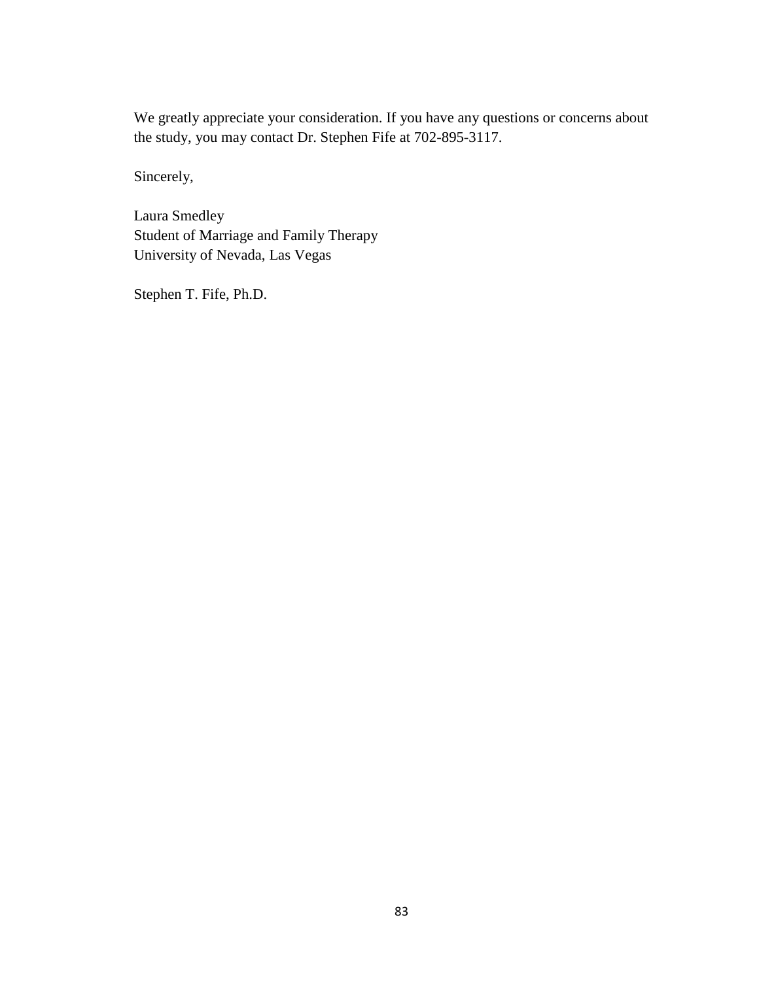We greatly appreciate your consideration. If you have any questions or concerns about the study, you may contact Dr. Stephen Fife at 702-895-3117.

Sincerely,

Laura Smedley Student of Marriage and Family Therapy University of Nevada, Las Vegas

Stephen T. Fife, Ph.D.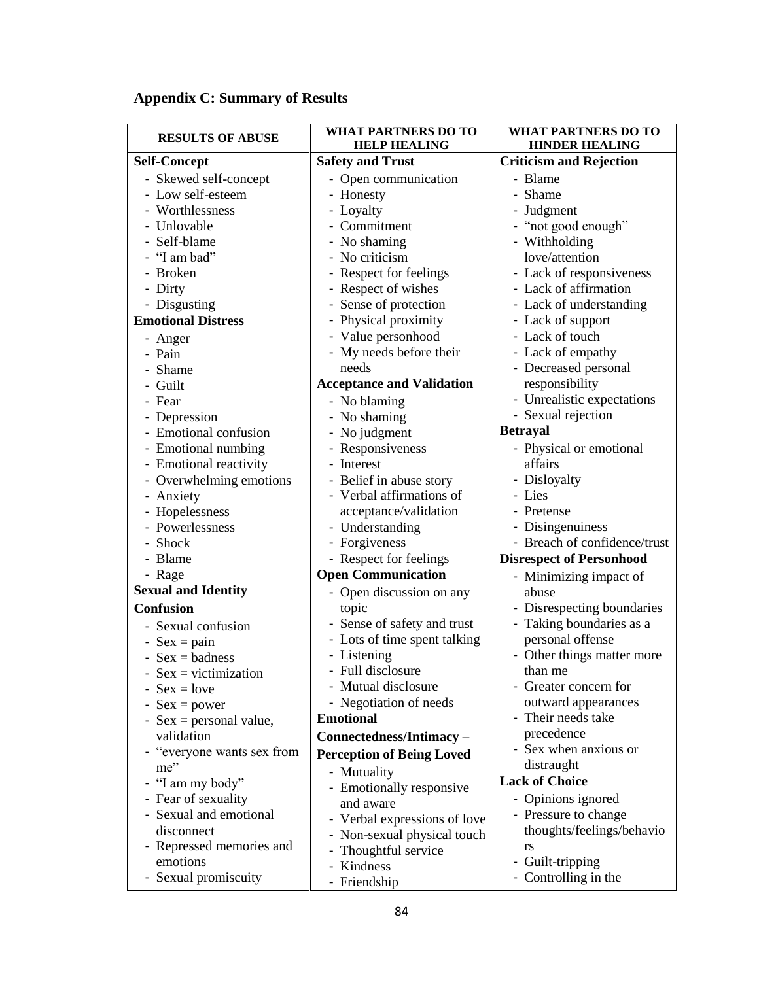| <b>RESULTS OF ABUSE</b>    | <b>WHAT PARTNERS DO TO</b><br><b>HELP HEALING</b> | WHAT PARTNERS DO TO<br><b>HINDER HEALING</b> |
|----------------------------|---------------------------------------------------|----------------------------------------------|
| <b>Self-Concept</b>        | <b>Safety and Trust</b>                           | <b>Criticism and Rejection</b>               |
| - Skewed self-concept      | - Open communication                              | - Blame                                      |
| - Low self-esteem          | - Honesty                                         | - Shame                                      |
| - Worthlessness            | - Loyalty                                         | - Judgment                                   |
| - Unlovable                | - Commitment                                      | - "not good enough"                          |
| - Self-blame               | - No shaming                                      | - Withholding                                |
| - "I am bad"               | No criticism                                      | love/attention                               |
| - Broken                   | Respect for feelings                              | - Lack of responsiveness                     |
| - Dirty                    | Respect of wishes                                 | - Lack of affirmation                        |
| - Disgusting               | - Sense of protection                             | - Lack of understanding                      |
| <b>Emotional Distress</b>  | - Physical proximity                              | - Lack of support                            |
| - Anger                    | - Value personhood                                | - Lack of touch                              |
| - Pain                     | - My needs before their                           | - Lack of empathy                            |
| Shame                      | needs                                             | - Decreased personal                         |
| - Guilt                    | <b>Acceptance and Validation</b>                  | responsibility                               |
| - Fear                     | - No blaming                                      | - Unrealistic expectations                   |
| - Depression               | - No shaming                                      | - Sexual rejection                           |
| - Emotional confusion      | - No judgment                                     | <b>Betrayal</b>                              |
| - Emotional numbing        | - Responsiveness                                  | - Physical or emotional                      |
| - Emotional reactivity     | - Interest                                        | affairs                                      |
| - Overwhelming emotions    | - Belief in abuse story                           | - Disloyalty                                 |
| - Anxiety                  | - Verbal affirmations of                          | - Lies                                       |
| - Hopelessness             | acceptance/validation                             | - Pretense                                   |
| - Powerlessness            | - Understanding                                   | - Disingenuiness                             |
| - Shock                    | - Forgiveness                                     | - Breach of confidence/trust                 |
| - Blame                    | - Respect for feelings                            | <b>Disrespect of Personhood</b>              |
| - Rage                     | <b>Open Communication</b>                         | - Minimizing impact of                       |
| <b>Sexual and Identity</b> | - Open discussion on any                          | abuse                                        |
| <b>Confusion</b>           | topic                                             | - Disrespecting boundaries                   |
| - Sexual confusion         | - Sense of safety and trust                       | - Taking boundaries as a                     |
| - $Sex = pain$             | - Lots of time spent talking                      | personal offense                             |
| - $Sex = badness$          | - Listening                                       | - Other things matter more                   |
| - $Sex = victimization$    | - Full disclosure                                 | than me                                      |
| - $Sex = love$             | - Mutual disclosure                               | - Greater concern for                        |
| $Sex = power$              | - Negotiation of needs                            | outward appearances                          |
| - $Sex = personal value$ , | <b>Emotional</b>                                  | - Their needs take                           |
| validation                 | Connectedness/Intimacy-                           | precedence                                   |
| - "everyone wants sex from | <b>Perception of Being Loved</b>                  | - Sex when anxious or                        |
| me"                        | - Mutuality                                       | distraught                                   |
| - "I am my body"           | - Emotionally responsive                          | <b>Lack of Choice</b>                        |
| - Fear of sexuality        | and aware                                         | - Opinions ignored                           |
| - Sexual and emotional     | - Verbal expressions of love                      | - Pressure to change                         |
| disconnect                 | - Non-sexual physical touch                       | thoughts/feelings/behavio                    |
| - Repressed memories and   | Thoughtful service                                | rs                                           |
| emotions                   | - Kindness                                        | - Guilt-tripping                             |
| - Sexual promiscuity       | - Friendship                                      | - Controlling in the                         |

# **Appendix C: Summary of Results**

a l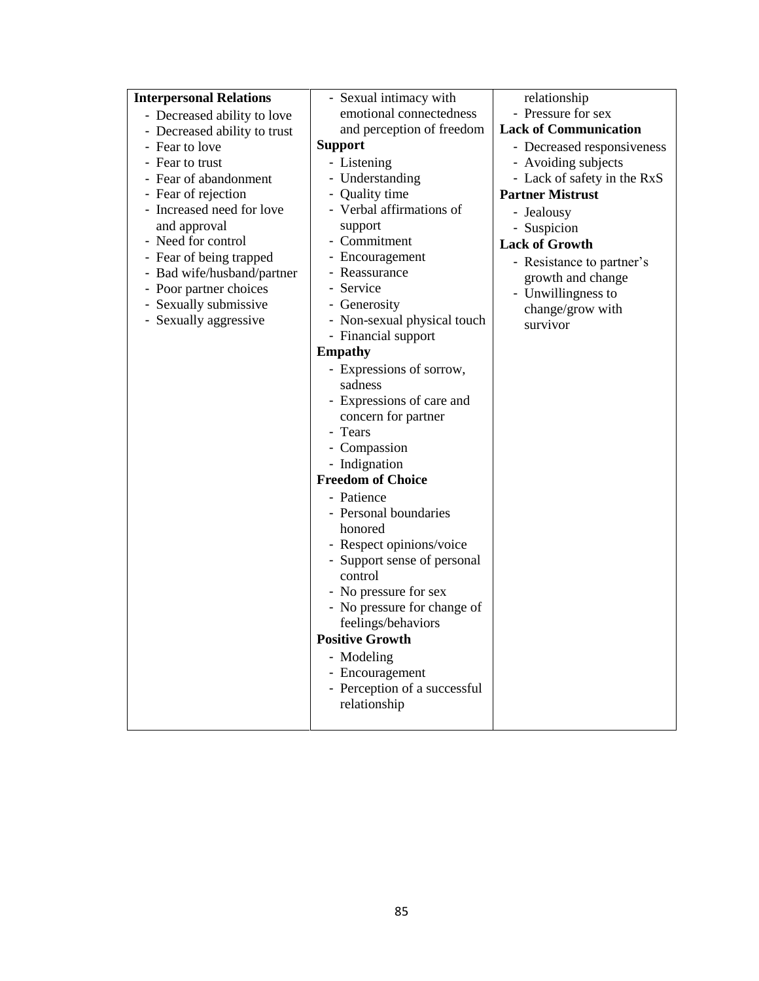| <b>Interpersonal Relations</b> | - Sexual intimacy with       | relationship                 |
|--------------------------------|------------------------------|------------------------------|
| - Decreased ability to love    | emotional connectedness      | - Pressure for sex           |
| - Decreased ability to trust   | and perception of freedom    | <b>Lack of Communication</b> |
| - Fear to love                 | <b>Support</b>               | - Decreased responsiveness   |
| - Fear to trust                | - Listening                  | - Avoiding subjects          |
| - Fear of abandonment          | - Understanding              | - Lack of safety in the RxS  |
| - Fear of rejection            | - Quality time               | <b>Partner Mistrust</b>      |
| - Increased need for love      | - Verbal affirmations of     | - Jealousy                   |
| and approval                   | support                      | - Suspicion                  |
| - Need for control             | - Commitment                 | <b>Lack of Growth</b>        |
| - Fear of being trapped        | - Encouragement              | - Resistance to partner's    |
| - Bad wife/husband/partner     | - Reassurance                | growth and change            |
| - Poor partner choices         | - Service                    | - Unwillingness to           |
| - Sexually submissive          | - Generosity                 | change/grow with             |
| - Sexually aggressive          | - Non-sexual physical touch  | survivor                     |
|                                | - Financial support          |                              |
|                                | <b>Empathy</b>               |                              |
|                                | - Expressions of sorrow,     |                              |
|                                | sadness                      |                              |
|                                | - Expressions of care and    |                              |
|                                | concern for partner          |                              |
|                                | - Tears                      |                              |
|                                | - Compassion                 |                              |
|                                | - Indignation                |                              |
|                                | <b>Freedom of Choice</b>     |                              |
|                                | - Patience                   |                              |
|                                | - Personal boundaries        |                              |
|                                | honored                      |                              |
|                                | - Respect opinions/voice     |                              |
|                                | - Support sense of personal  |                              |
|                                | control                      |                              |
|                                | - No pressure for sex        |                              |
|                                | - No pressure for change of  |                              |
|                                | feelings/behaviors           |                              |
|                                | <b>Positive Growth</b>       |                              |
|                                | - Modeling                   |                              |
|                                | - Encouragement              |                              |
|                                | - Perception of a successful |                              |
|                                | relationship                 |                              |
|                                |                              |                              |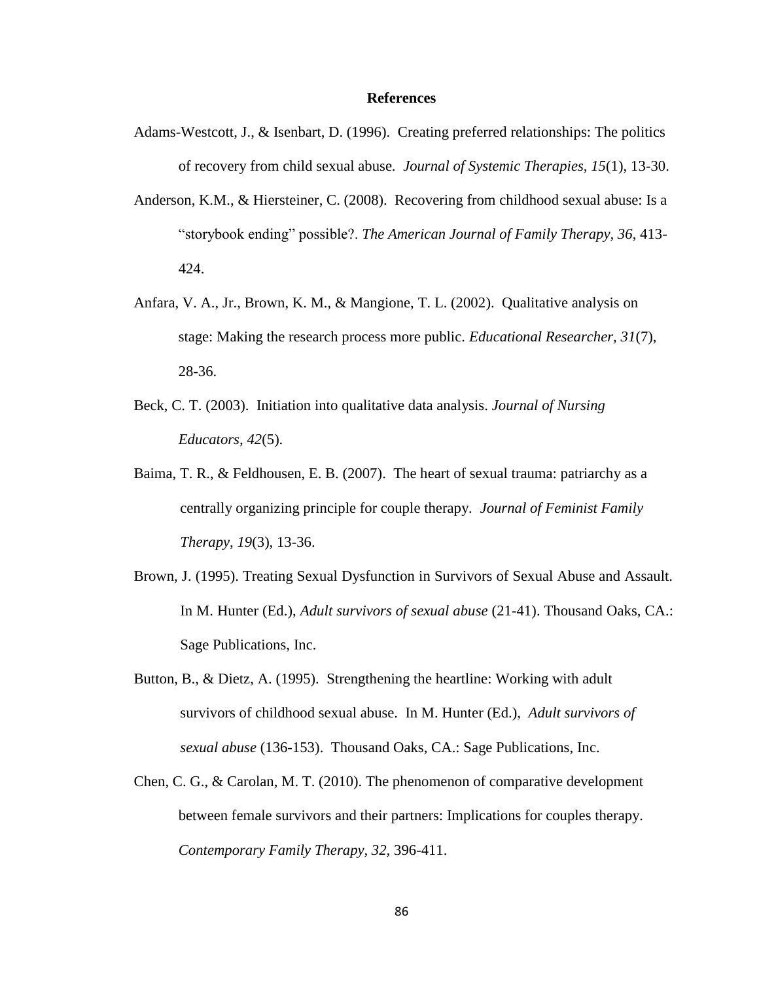#### **References**

- Adams-Westcott, J., & Isenbart, D. (1996). Creating preferred relationships: The politics of recovery from child sexual abuse. *Journal of Systemic Therapies, 15*(1), 13-30.
- Anderson, K.M., & Hiersteiner, C. (2008). Recovering from childhood sexual abuse: Is a "storybook ending" possible?. *The American Journal of Family Therapy, 36*, 413- 424.
- Anfara, V. A., Jr., Brown, K. M., & Mangione, T. L. (2002). Qualitative analysis on stage: Making the research process more public. *Educational Researcher, 31*(7), 28-36.
- Beck, C. T. (2003). Initiation into qualitative data analysis. *Journal of Nursing Educators, 42*(5).
- Baima, T. R., & Feldhousen, E. B. (2007). The heart of sexual trauma: patriarchy as a centrally organizing principle for couple therapy. *Journal of Feminist Family Therapy*, *19*(3), 13-36.
- Brown, J. (1995). Treating Sexual Dysfunction in Survivors of Sexual Abuse and Assault. In M. Hunter (Ed.), *Adult survivors of sexual abuse* (21-41). Thousand Oaks, CA.: Sage Publications, Inc.
- Button, B., & Dietz, A. (1995). Strengthening the heartline: Working with adult survivors of childhood sexual abuse. In M. Hunter (Ed.), *Adult survivors of sexual abuse* (136-153). Thousand Oaks, CA.: Sage Publications, Inc.
- Chen, C. G., & Carolan, M. T. (2010). The phenomenon of comparative development between female survivors and their partners: Implications for couples therapy. *Contemporary Family Therapy, 32,* 396-411.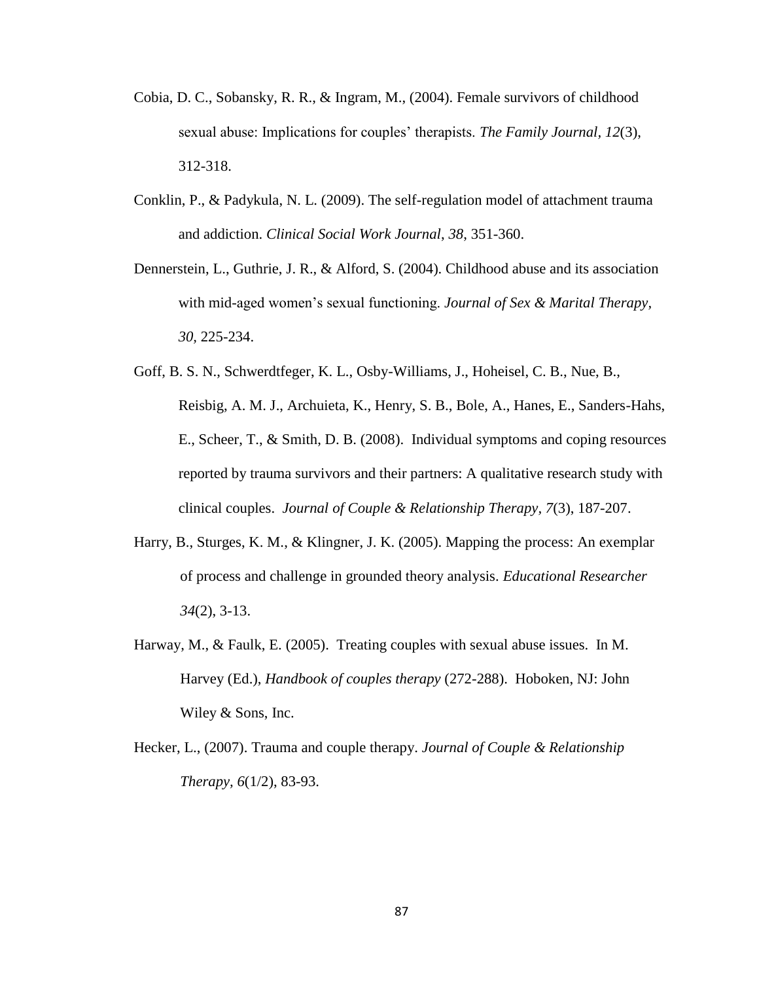- Cobia, D. C., Sobansky, R. R., & Ingram, M., (2004). Female survivors of childhood sexual abuse: Implications for couples' therapists. *The Family Journal, 12*(3), 312-318.
- Conklin, P., & Padykula, N. L. (2009). The self-regulation model of attachment trauma and addiction. *Clinical Social Work Journal*, *38*, 351-360.
- Dennerstein, L., Guthrie, J. R., & Alford, S. (2004). Childhood abuse and its association with mid-aged women's sexual functioning. *Journal of Sex & Marital Therapy, 30,* 225-234.
- Goff, B. S. N., Schwerdtfeger, K. L., Osby-Williams, J., Hoheisel, C. B., Nue, B., Reisbig, A. M. J., Archuieta, K., Henry, S. B., Bole, A., Hanes, E., Sanders-Hahs, E., Scheer, T., & Smith, D. B. (2008). Individual symptoms and coping resources reported by trauma survivors and their partners: A qualitative research study with clinical couples. *Journal of Couple & Relationship Therapy, 7*(3), 187-207.
- Harry, B., Sturges, K. M., & Klingner, J. K. (2005). Mapping the process: An exemplar of process and challenge in grounded theory analysis. *Educational Researcher 34*(2), 3-13.
- Harway, M., & Faulk, E. (2005). Treating couples with sexual abuse issues. In M. Harvey (Ed.), *Handbook of couples therapy* (272-288). Hoboken, NJ: John Wiley & Sons, Inc.
- Hecker, L., (2007). Trauma and couple therapy. *Journal of Couple & Relationship Therapy, 6*(1/2), 83-93.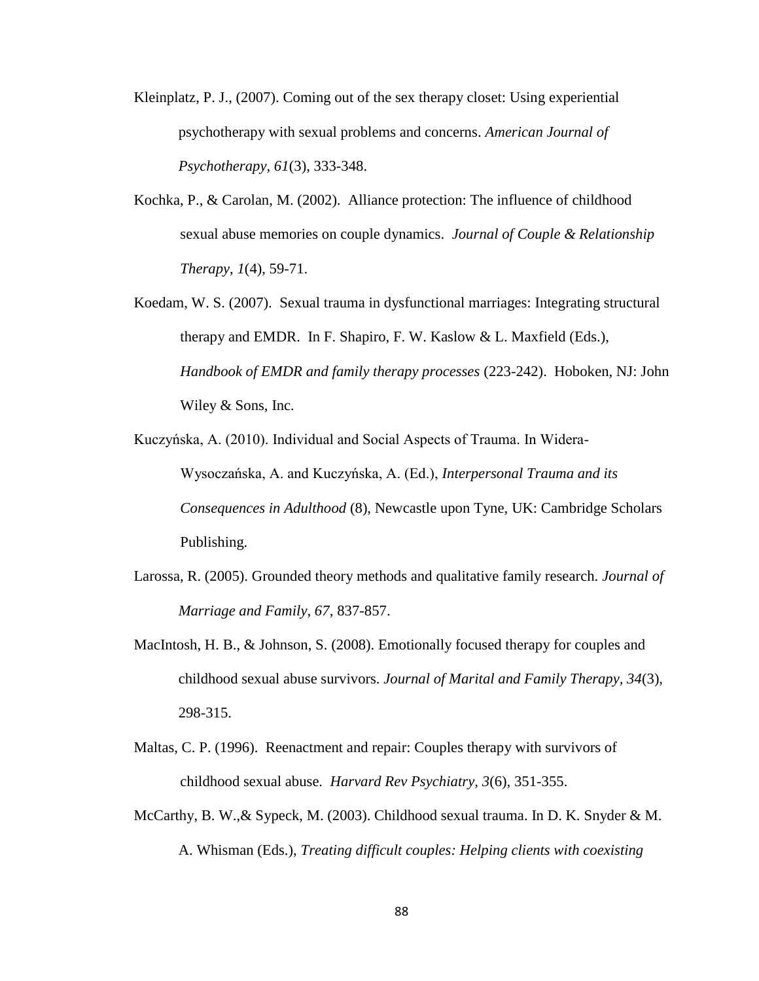- Kleinplatz, P. J., (2007). Coming out of the sex therapy closet: Using experiential psychotherapy with sexual problems and concerns. *American Journal of Psychotherapy, 61*(3), 333-348.
- Kochka, P., & Carolan, M. (2002). Alliance protection: The influence of childhood sexual abuse memories on couple dynamics. *Journal of Couple & Relationship Therapy*, *1*(4), 59-71.
- Koedam, W. S. (2007). Sexual trauma in dysfunctional marriages: Integrating structural therapy and EMDR. In F. Shapiro, F. W. Kaslow & L. Maxfield (Eds.), *Handbook of EMDR and family therapy processes* (223-242). Hoboken, NJ: John Wiley & Sons, Inc.
- Kuczyńska, A. (2010). Individual and Social Aspects of Trauma. In Widera-Wysoczańska, A. and Kuczyńska, A. (Ed.), *Interpersonal Trauma and its Consequences in Adulthood* (8), Newcastle upon Tyne, UK: Cambridge Scholars Publishing.
- Larossa, R. (2005). Grounded theory methods and qualitative family research. *Journal of Marriage and Family, 67*, 837-857.
- MacIntosh, H. B., & Johnson, S. (2008). Emotionally focused therapy for couples and childhood sexual abuse survivors. *Journal of Marital and Family Therapy, 34*(3), 298-315.
- Maltas, C. P. (1996). Reenactment and repair: Couples therapy with survivors of childhood sexual abuse. *Harvard Rev Psychiatry, 3*(6), 351-355.
- McCarthy, B. W.,& Sypeck, M. (2003). Childhood sexual trauma. In D. K. Snyder & M. A. Whisman (Eds.), *Treating difficult couples: Helping clients with coexisting*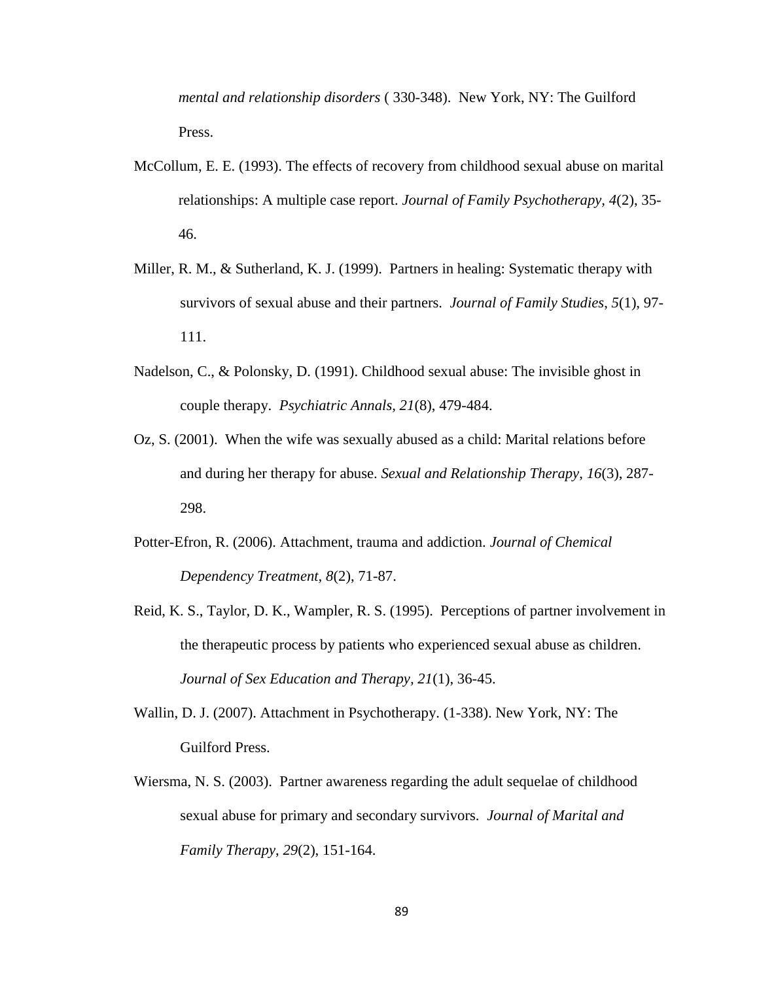*mental and relationship disorders* ( 330-348). New York, NY: The Guilford Press.

- McCollum, E. E. (1993). The effects of recovery from childhood sexual abuse on marital relationships: A multiple case report. *Journal of Family Psychotherapy, 4*(2), 35- 46.
- Miller, R. M., & Sutherland, K. J. (1999). Partners in healing: Systematic therapy with survivors of sexual abuse and their partners. *Journal of Family Studies*, *5*(1), 97- 111.
- Nadelson, C., & Polonsky, D. (1991). Childhood sexual abuse: The invisible ghost in couple therapy. *Psychiatric Annals, 21*(8), 479-484.
- Oz, S. (2001). When the wife was sexually abused as a child: Marital relations before and during her therapy for abuse. *Sexual and Relationship Therapy*, *16*(3), 287- 298.
- Potter-Efron, R. (2006). Attachment, trauma and addiction. *Journal of Chemical Dependency Treatment, 8*(2), 71-87.
- Reid, K. S., Taylor, D. K., Wampler, R. S. (1995). Perceptions of partner involvement in the therapeutic process by patients who experienced sexual abuse as children. *Journal of Sex Education and Therapy, 21*(1), 36-45.
- Wallin, D. J. (2007). Attachment in Psychotherapy. (1-338). New York, NY: The Guilford Press.
- Wiersma, N. S. (2003). Partner awareness regarding the adult sequelae of childhood sexual abuse for primary and secondary survivors. *Journal of Marital and Family Therapy*, *29*(2), 151-164.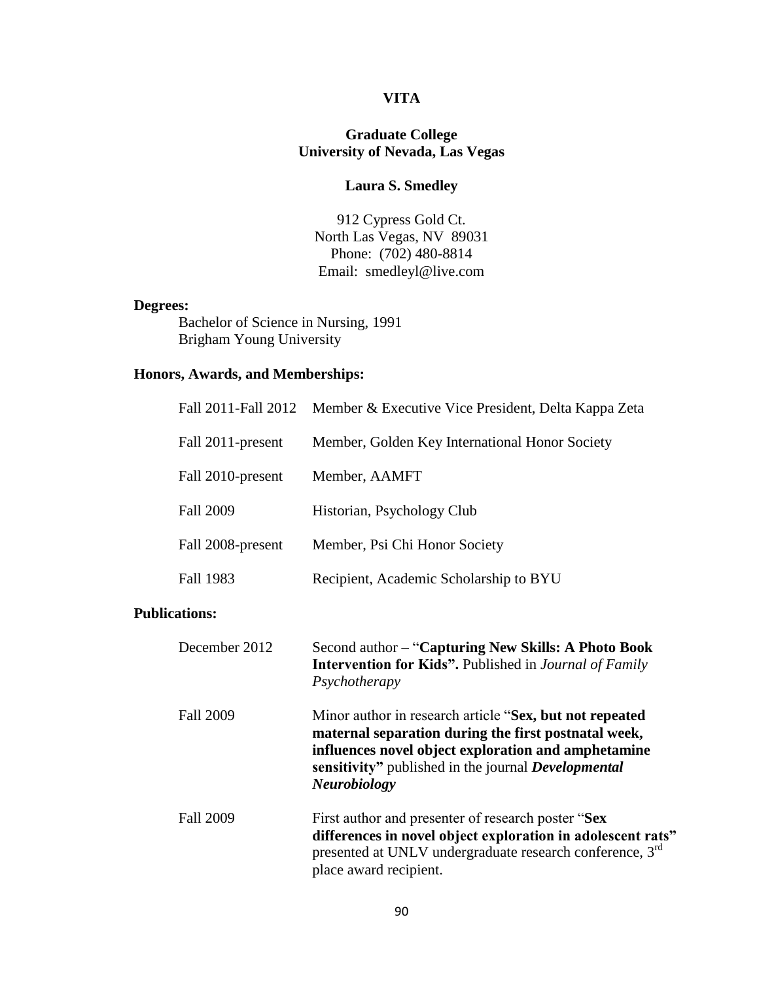# **VITA**

# **Graduate College University of Nevada, Las Vegas**

# **Laura S. Smedley**

912 Cypress Gold Ct. North Las Vegas, NV 89031 Phone: (702) 480-8814 Email: smedleyl@live.com

# **Degrees:**

Bachelor of Science in Nursing, 1991 Brigham Young University

# **Honors, Awards, and Memberships:**

|                      | Fall 2011-Fall 2012 | Member & Executive Vice President, Delta Kappa Zeta                                                                                                                                                                                                         |  |
|----------------------|---------------------|-------------------------------------------------------------------------------------------------------------------------------------------------------------------------------------------------------------------------------------------------------------|--|
|                      | Fall 2011-present   | Member, Golden Key International Honor Society                                                                                                                                                                                                              |  |
|                      | Fall 2010-present   | Member, AAMFT                                                                                                                                                                                                                                               |  |
|                      | <b>Fall 2009</b>    | Historian, Psychology Club                                                                                                                                                                                                                                  |  |
|                      | Fall 2008-present   | Member, Psi Chi Honor Society                                                                                                                                                                                                                               |  |
|                      | Fall 1983           | Recipient, Academic Scholarship to BYU                                                                                                                                                                                                                      |  |
| <b>Publications:</b> |                     |                                                                                                                                                                                                                                                             |  |
|                      | December 2012       | Second author – "Capturing New Skills: A Photo Book<br><b>Intervention for Kids".</b> Published in Journal of Family<br>Psychotherapy                                                                                                                       |  |
|                      | <b>Fall 2009</b>    | Minor author in research article "Sex, but not repeated<br>maternal separation during the first postnatal week,<br>influences novel object exploration and amphetamine<br>sensitivity" published in the journal <i>Developmental</i><br><b>Neurobiology</b> |  |
|                      | <b>Fall 2009</b>    | First author and presenter of research poster "Sex<br>differences in novel object exploration in adolescent rats"<br>presented at UNLV undergraduate research conference, 3 <sup>rd</sup><br>place award recipient.                                         |  |